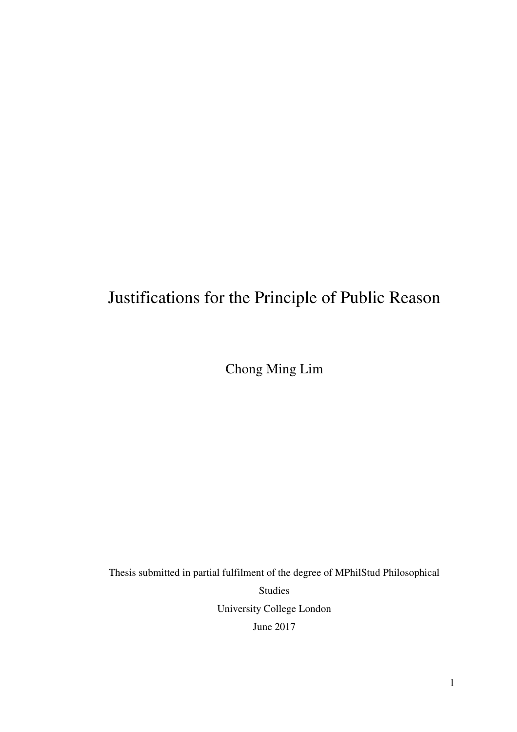# Justifications for the Principle of Public Reason

Chong Ming Lim

Thesis submitted in partial fulfilment of the degree of MPhilStud Philosophical Studies University College London June 2017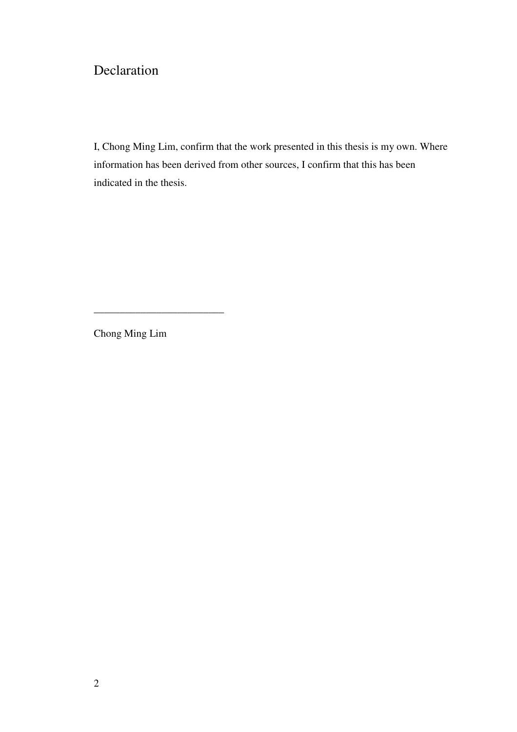## Declaration

I, Chong Ming Lim, confirm that the work presented in this thesis is my own. Where information has been derived from other sources, I confirm that this has been indicated in the thesis.

Chong Ming Lim

\_\_\_\_\_\_\_\_\_\_\_\_\_\_\_\_\_\_\_\_\_\_\_\_\_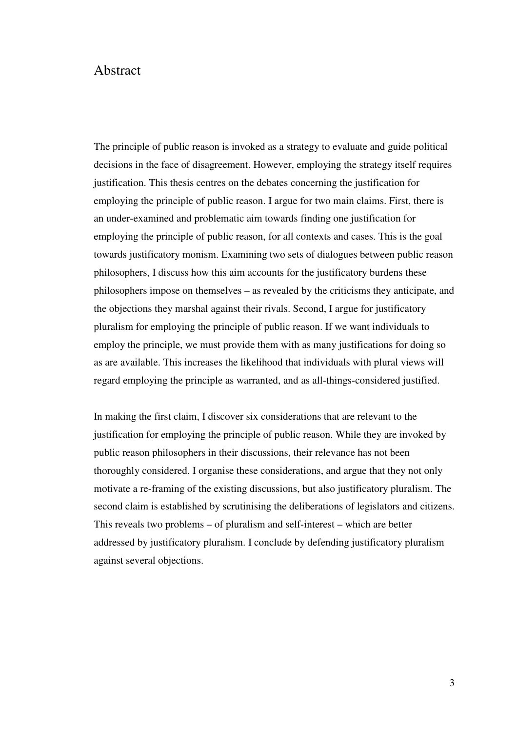### Abstract

The principle of public reason is invoked as a strategy to evaluate and guide political decisions in the face of disagreement. However, employing the strategy itself requires justification. This thesis centres on the debates concerning the justification for employing the principle of public reason. I argue for two main claims. First, there is an under-examined and problematic aim towards finding one justification for employing the principle of public reason, for all contexts and cases. This is the goal towards justificatory monism. Examining two sets of dialogues between public reason philosophers, I discuss how this aim accounts for the justificatory burdens these philosophers impose on themselves – as revealed by the criticisms they anticipate, and the objections they marshal against their rivals. Second, I argue for justificatory pluralism for employing the principle of public reason. If we want individuals to employ the principle, we must provide them with as many justifications for doing so as are available. This increases the likelihood that individuals with plural views will regard employing the principle as warranted, and as all-things-considered justified.

In making the first claim, I discover six considerations that are relevant to the justification for employing the principle of public reason. While they are invoked by public reason philosophers in their discussions, their relevance has not been thoroughly considered. I organise these considerations, and argue that they not only motivate a re-framing of the existing discussions, but also justificatory pluralism. The second claim is established by scrutinising the deliberations of legislators and citizens. This reveals two problems – of pluralism and self-interest – which are better addressed by justificatory pluralism. I conclude by defending justificatory pluralism against several objections.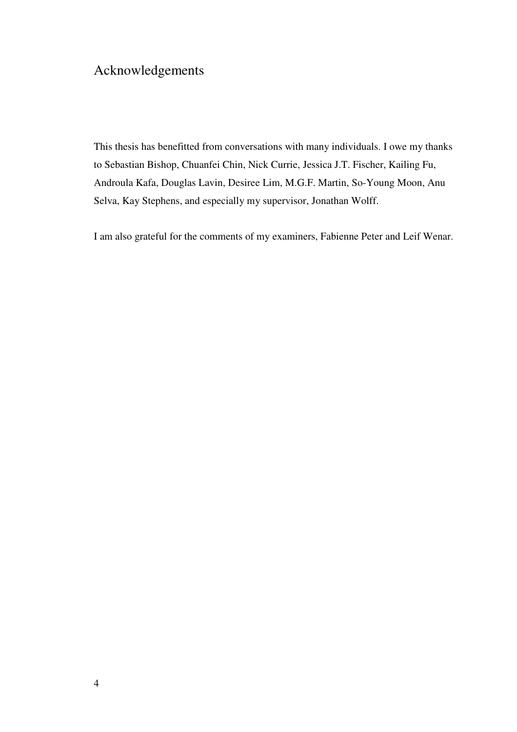## Acknowledgements

This thesis has benefitted from conversations with many individuals. I owe my thanks to Sebastian Bishop, Chuanfei Chin, Nick Currie, Jessica J.T. Fischer, Kailing Fu, Androula Kafa, Douglas Lavin, Desiree Lim, M.G.F. Martin, So-Young Moon, Anu Selva, Kay Stephens, and especially my supervisor, Jonathan Wolff.

I am also grateful for the comments of my examiners, Fabienne Peter and Leif Wenar.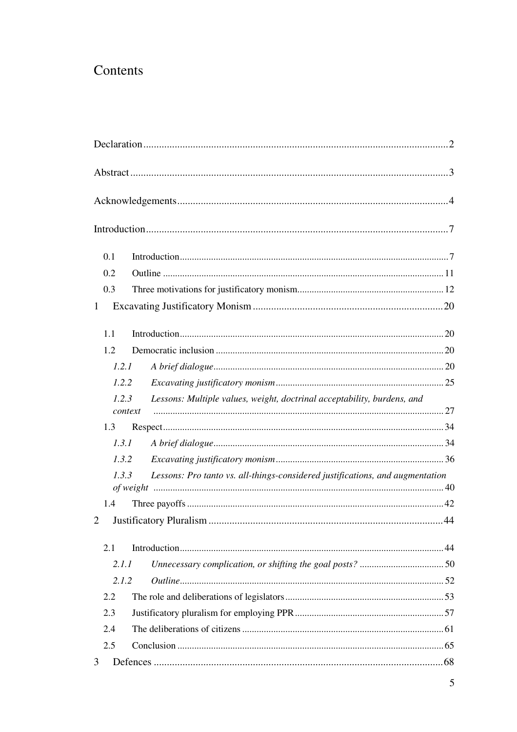## Contents

| 0.1                                                                                    |                                                                         |  |
|----------------------------------------------------------------------------------------|-------------------------------------------------------------------------|--|
| 0.2                                                                                    |                                                                         |  |
| 0.3                                                                                    |                                                                         |  |
| $\mathbf{1}$                                                                           |                                                                         |  |
| 1.1                                                                                    |                                                                         |  |
| 1.2                                                                                    |                                                                         |  |
| 1.2.1                                                                                  |                                                                         |  |
| 1.2.2                                                                                  |                                                                         |  |
| 1.2.3                                                                                  | Lessons: Multiple values, weight, doctrinal acceptability, burdens, and |  |
| context                                                                                |                                                                         |  |
| 1.3                                                                                    |                                                                         |  |
| 1.3.1                                                                                  |                                                                         |  |
| 1.3.2                                                                                  |                                                                         |  |
| Lessons: Pro tanto vs. all-things-considered justifications, and augmentation<br>1.3.3 |                                                                         |  |
| 1.4                                                                                    |                                                                         |  |
| 2                                                                                      |                                                                         |  |
| 2.1                                                                                    |                                                                         |  |
| 2.1.1                                                                                  |                                                                         |  |
| 2.1.2                                                                                  |                                                                         |  |
| 2.2                                                                                    |                                                                         |  |
| 2.3                                                                                    |                                                                         |  |
| 2.4                                                                                    |                                                                         |  |
| 2.5                                                                                    |                                                                         |  |
| 3                                                                                      |                                                                         |  |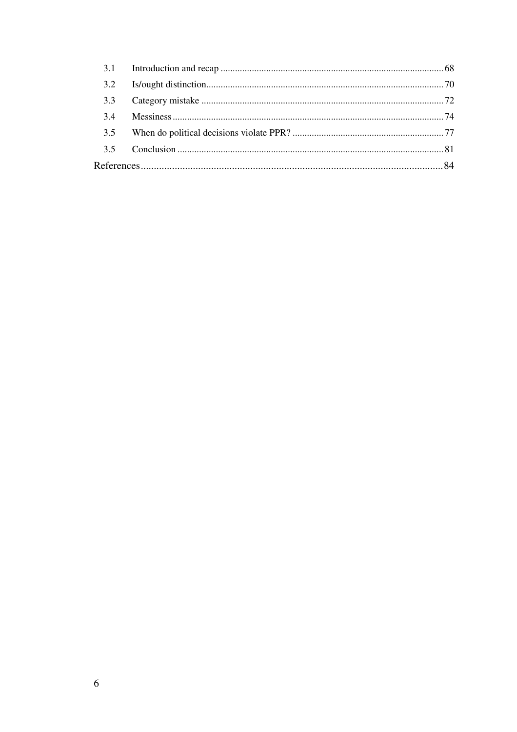| 3.1 |  |  |  |
|-----|--|--|--|
| 3.2 |  |  |  |
| 3.3 |  |  |  |
| 3.4 |  |  |  |
| 3.5 |  |  |  |
| 35  |  |  |  |
|     |  |  |  |
|     |  |  |  |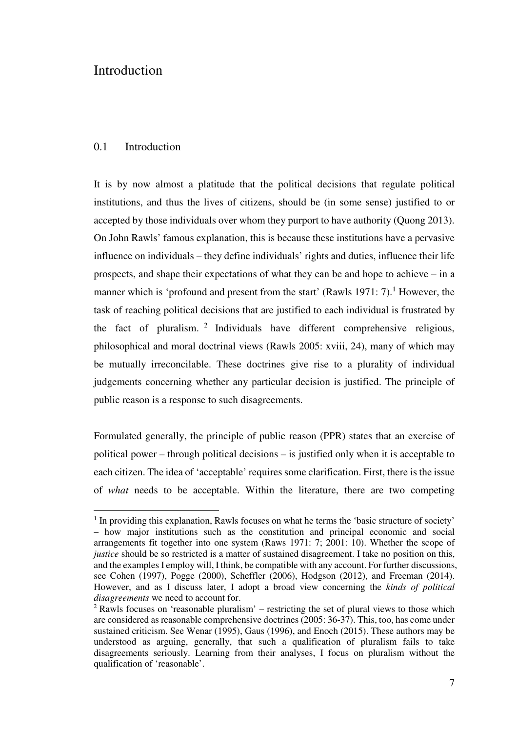### **Introduction**

### 0.1 Introduction

l

It is by now almost a platitude that the political decisions that regulate political institutions, and thus the lives of citizens, should be (in some sense) justified to or accepted by those individuals over whom they purport to have authority (Quong 2013). On John Rawls' famous explanation, this is because these institutions have a pervasive influence on individuals – they define individuals' rights and duties, influence their life prospects, and shape their expectations of what they can be and hope to achieve – in a manner which is 'profound and present from the start' (Rawls 1971: 7).<sup>1</sup> However, the task of reaching political decisions that are justified to each individual is frustrated by the fact of pluralism.  $2$  Individuals have different comprehensive religious, philosophical and moral doctrinal views (Rawls 2005: xviii, 24), many of which may be mutually irreconcilable. These doctrines give rise to a plurality of individual judgements concerning whether any particular decision is justified. The principle of public reason is a response to such disagreements.

Formulated generally, the principle of public reason (PPR) states that an exercise of political power – through political decisions – is justified only when it is acceptable to each citizen. The idea of 'acceptable' requires some clarification. First, there is the issue of *what* needs to be acceptable. Within the literature, there are two competing

<sup>&</sup>lt;sup>1</sup> In providing this explanation, Rawls focuses on what he terms the 'basic structure of society' – how major institutions such as the constitution and principal economic and social arrangements fit together into one system (Raws 1971: 7; 2001: 10). Whether the scope of *justice* should be so restricted is a matter of sustained disagreement. I take no position on this, and the examples I employ will, I think, be compatible with any account. For further discussions, see Cohen (1997), Pogge (2000), Scheffler (2006), Hodgson (2012), and Freeman (2014). However, and as I discuss later, I adopt a broad view concerning the *kinds of political disagreements* we need to account for.

 $2$  Rawls focuses on 'reasonable pluralism' – restricting the set of plural views to those which are considered as reasonable comprehensive doctrines (2005: 36-37). This, too, has come under sustained criticism. See Wenar (1995), Gaus (1996), and Enoch (2015). These authors may be understood as arguing, generally, that such a qualification of pluralism fails to take disagreements seriously. Learning from their analyses, I focus on pluralism without the qualification of 'reasonable'.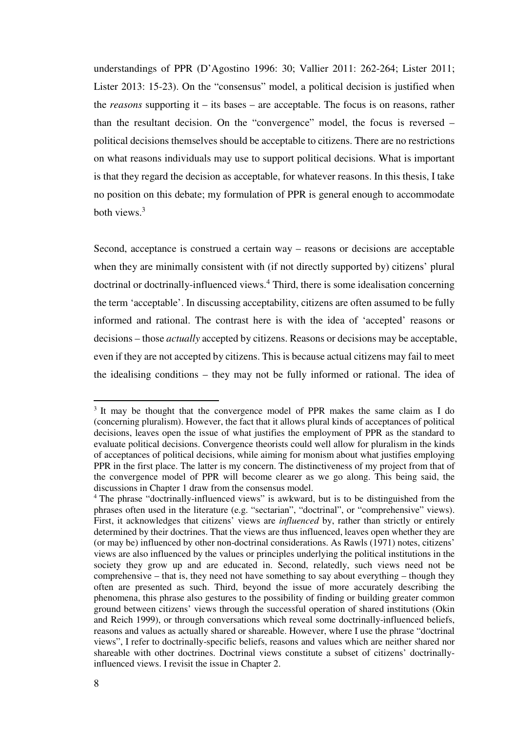understandings of PPR (D'Agostino 1996: 30; Vallier 2011: 262-264; Lister 2011; Lister 2013: 15-23). On the "consensus" model, a political decision is justified when the *reasons* supporting it – its bases – are acceptable. The focus is on reasons, rather than the resultant decision. On the "convergence" model, the focus is reversed – political decisions themselves should be acceptable to citizens. There are no restrictions on what reasons individuals may use to support political decisions. What is important is that they regard the decision as acceptable, for whatever reasons. In this thesis, I take no position on this debate; my formulation of PPR is general enough to accommodate both views.<sup>3</sup>

Second, acceptance is construed a certain way – reasons or decisions are acceptable when they are minimally consistent with (if not directly supported by) citizens' plural doctrinal or doctrinally-influenced views.<sup>4</sup> Third, there is some idealisation concerning the term 'acceptable'. In discussing acceptability, citizens are often assumed to be fully informed and rational. The contrast here is with the idea of 'accepted' reasons or decisions – those *actually* accepted by citizens. Reasons or decisions may be acceptable, even if they are not accepted by citizens. This is because actual citizens may fail to meet the idealising conditions – they may not be fully informed or rational. The idea of

<sup>&</sup>lt;sup>3</sup> It may be thought that the convergence model of PPR makes the same claim as I do (concerning pluralism). However, the fact that it allows plural kinds of acceptances of political decisions, leaves open the issue of what justifies the employment of PPR as the standard to evaluate political decisions. Convergence theorists could well allow for pluralism in the kinds of acceptances of political decisions, while aiming for monism about what justifies employing PPR in the first place. The latter is my concern. The distinctiveness of my project from that of the convergence model of PPR will become clearer as we go along. This being said, the discussions in Chapter 1 draw from the consensus model.

<sup>&</sup>lt;sup>4</sup> The phrase "doctrinally-influenced views" is awkward, but is to be distinguished from the phrases often used in the literature (e.g. "sectarian", "doctrinal", or "comprehensive" views). First, it acknowledges that citizens' views are *influenced* by, rather than strictly or entirely determined by their doctrines. That the views are thus influenced, leaves open whether they are (or may be) influenced by other non-doctrinal considerations. As Rawls (1971) notes, citizens' views are also influenced by the values or principles underlying the political institutions in the society they grow up and are educated in. Second, relatedly, such views need not be comprehensive – that is, they need not have something to say about everything – though they often are presented as such. Third, beyond the issue of more accurately describing the phenomena, this phrase also gestures to the possibility of finding or building greater common ground between citizens' views through the successful operation of shared institutions (Okin and Reich 1999), or through conversations which reveal some doctrinally-influenced beliefs, reasons and values as actually shared or shareable. However, where I use the phrase "doctrinal views", I refer to doctrinally-specific beliefs, reasons and values which are neither shared nor shareable with other doctrines. Doctrinal views constitute a subset of citizens' doctrinallyinfluenced views. I revisit the issue in Chapter 2.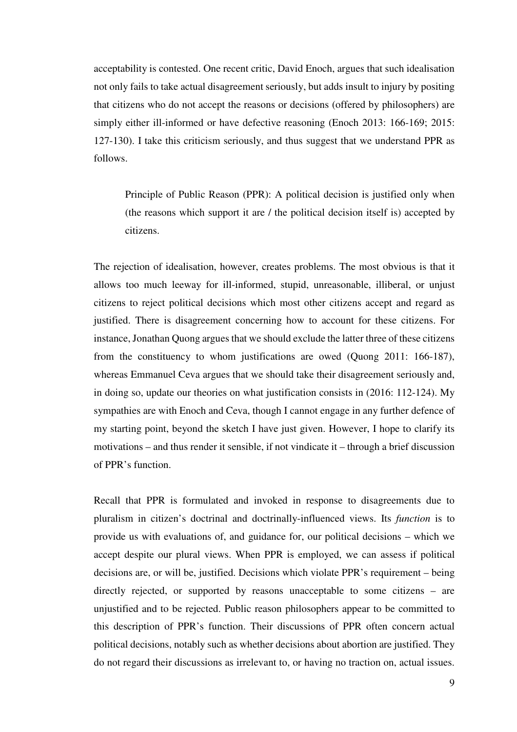acceptability is contested. One recent critic, David Enoch, argues that such idealisation not only fails to take actual disagreement seriously, but adds insult to injury by positing that citizens who do not accept the reasons or decisions (offered by philosophers) are simply either ill-informed or have defective reasoning (Enoch 2013: 166-169; 2015: 127-130). I take this criticism seriously, and thus suggest that we understand PPR as follows.

Principle of Public Reason (PPR): A political decision is justified only when (the reasons which support it are / the political decision itself is) accepted by citizens.

The rejection of idealisation, however, creates problems. The most obvious is that it allows too much leeway for ill-informed, stupid, unreasonable, illiberal, or unjust citizens to reject political decisions which most other citizens accept and regard as justified. There is disagreement concerning how to account for these citizens. For instance, Jonathan Quong argues that we should exclude the latter three of these citizens from the constituency to whom justifications are owed (Quong 2011: 166-187), whereas Emmanuel Ceva argues that we should take their disagreement seriously and, in doing so, update our theories on what justification consists in (2016: 112-124). My sympathies are with Enoch and Ceva, though I cannot engage in any further defence of my starting point, beyond the sketch I have just given. However, I hope to clarify its motivations – and thus render it sensible, if not vindicate it – through a brief discussion of PPR's function.

Recall that PPR is formulated and invoked in response to disagreements due to pluralism in citizen's doctrinal and doctrinally-influenced views. Its *function* is to provide us with evaluations of, and guidance for, our political decisions – which we accept despite our plural views. When PPR is employed, we can assess if political decisions are, or will be, justified. Decisions which violate PPR's requirement – being directly rejected, or supported by reasons unacceptable to some citizens – are unjustified and to be rejected. Public reason philosophers appear to be committed to this description of PPR's function. Their discussions of PPR often concern actual political decisions, notably such as whether decisions about abortion are justified. They do not regard their discussions as irrelevant to, or having no traction on, actual issues.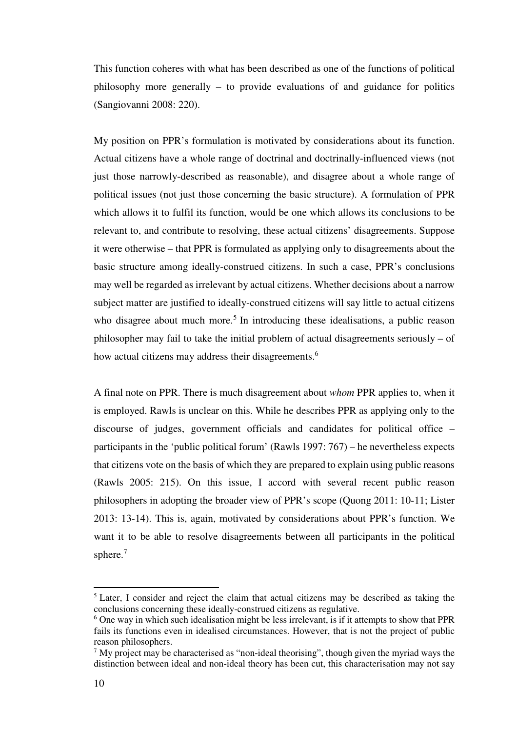This function coheres with what has been described as one of the functions of political philosophy more generally – to provide evaluations of and guidance for politics (Sangiovanni 2008: 220).

My position on PPR's formulation is motivated by considerations about its function. Actual citizens have a whole range of doctrinal and doctrinally-influenced views (not just those narrowly-described as reasonable), and disagree about a whole range of political issues (not just those concerning the basic structure). A formulation of PPR which allows it to fulfil its function, would be one which allows its conclusions to be relevant to, and contribute to resolving, these actual citizens' disagreements. Suppose it were otherwise – that PPR is formulated as applying only to disagreements about the basic structure among ideally-construed citizens. In such a case, PPR's conclusions may well be regarded as irrelevant by actual citizens. Whether decisions about a narrow subject matter are justified to ideally-construed citizens will say little to actual citizens who disagree about much more.<sup>5</sup> In introducing these idealisations, a public reason philosopher may fail to take the initial problem of actual disagreements seriously – of how actual citizens may address their disagreements.<sup>6</sup>

A final note on PPR. There is much disagreement about *whom* PPR applies to, when it is employed. Rawls is unclear on this. While he describes PPR as applying only to the discourse of judges, government officials and candidates for political office – participants in the 'public political forum' (Rawls 1997: 767) – he nevertheless expects that citizens vote on the basis of which they are prepared to explain using public reasons (Rawls 2005: 215). On this issue, I accord with several recent public reason philosophers in adopting the broader view of PPR's scope (Quong 2011: 10-11; Lister 2013: 13-14). This is, again, motivated by considerations about PPR's function. We want it to be able to resolve disagreements between all participants in the political sphere.<sup>7</sup>

<sup>&</sup>lt;sup>5</sup> Later, I consider and reject the claim that actual citizens may be described as taking the conclusions concerning these ideally-construed citizens as regulative.

<sup>&</sup>lt;sup>6</sup> One way in which such idealisation might be less irrelevant, is if it attempts to show that PPR fails its functions even in idealised circumstances. However, that is not the project of public reason philosophers.

 $<sup>7</sup>$  My project may be characterised as "non-ideal theorising", though given the myriad ways the</sup> distinction between ideal and non-ideal theory has been cut, this characterisation may not say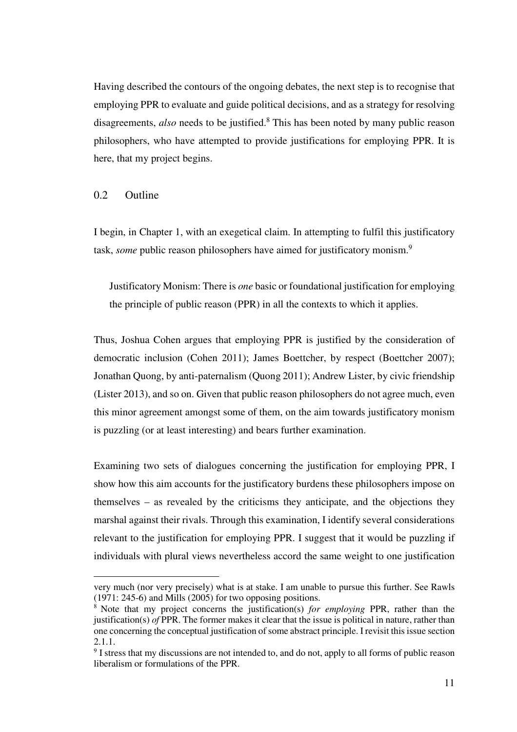Having described the contours of the ongoing debates, the next step is to recognise that employing PPR to evaluate and guide political decisions, and as a strategy for resolving disagreements, *also* needs to be justified.<sup>8</sup> This has been noted by many public reason philosophers, who have attempted to provide justifications for employing PPR. It is here, that my project begins.

### 0.2 Outline

l

I begin, in Chapter 1, with an exegetical claim. In attempting to fulfil this justificatory task, *some* public reason philosophers have aimed for justificatory monism.<sup>9</sup>

Justificatory Monism: There is *one* basic or foundational justification for employing the principle of public reason (PPR) in all the contexts to which it applies.

Thus, Joshua Cohen argues that employing PPR is justified by the consideration of democratic inclusion (Cohen 2011); James Boettcher, by respect (Boettcher 2007); Jonathan Quong, by anti-paternalism (Quong 2011); Andrew Lister, by civic friendship (Lister 2013), and so on. Given that public reason philosophers do not agree much, even this minor agreement amongst some of them, on the aim towards justificatory monism is puzzling (or at least interesting) and bears further examination.

Examining two sets of dialogues concerning the justification for employing PPR, I show how this aim accounts for the justificatory burdens these philosophers impose on themselves – as revealed by the criticisms they anticipate, and the objections they marshal against their rivals. Through this examination, I identify several considerations relevant to the justification for employing PPR. I suggest that it would be puzzling if individuals with plural views nevertheless accord the same weight to one justification

very much (nor very precisely) what is at stake. I am unable to pursue this further. See Rawls (1971: 245-6) and Mills (2005) for two opposing positions.

<sup>8</sup> Note that my project concerns the justification(s) *for employing* PPR, rather than the justification(s) *of* PPR. The former makes it clear that the issue is political in nature, rather than one concerning the conceptual justification of some abstract principle. I revisit this issue section 2.1.1.

<sup>&</sup>lt;sup>9</sup> I stress that my discussions are not intended to, and do not, apply to all forms of public reason liberalism or formulations of the PPR.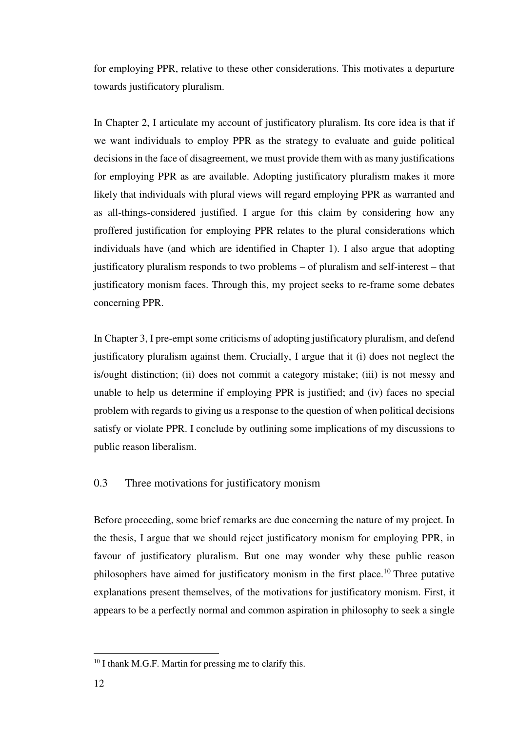for employing PPR, relative to these other considerations. This motivates a departure towards justificatory pluralism.

In Chapter 2, I articulate my account of justificatory pluralism. Its core idea is that if we want individuals to employ PPR as the strategy to evaluate and guide political decisions in the face of disagreement, we must provide them with as many justifications for employing PPR as are available. Adopting justificatory pluralism makes it more likely that individuals with plural views will regard employing PPR as warranted and as all-things-considered justified. I argue for this claim by considering how any proffered justification for employing PPR relates to the plural considerations which individuals have (and which are identified in Chapter 1). I also argue that adopting justificatory pluralism responds to two problems – of pluralism and self-interest – that justificatory monism faces. Through this, my project seeks to re-frame some debates concerning PPR.

In Chapter 3, I pre-empt some criticisms of adopting justificatory pluralism, and defend justificatory pluralism against them. Crucially, I argue that it (i) does not neglect the is/ought distinction; (ii) does not commit a category mistake; (iii) is not messy and unable to help us determine if employing PPR is justified; and (iv) faces no special problem with regards to giving us a response to the question of when political decisions satisfy or violate PPR. I conclude by outlining some implications of my discussions to public reason liberalism.

### 0.3 Three motivations for justificatory monism

Before proceeding, some brief remarks are due concerning the nature of my project. In the thesis, I argue that we should reject justificatory monism for employing PPR, in favour of justificatory pluralism. But one may wonder why these public reason philosophers have aimed for justificatory monism in the first place.<sup>10</sup> Three putative explanations present themselves, of the motivations for justificatory monism. First, it appears to be a perfectly normal and common aspiration in philosophy to seek a single

<sup>&</sup>lt;sup>10</sup> I thank M.G.F. Martin for pressing me to clarify this.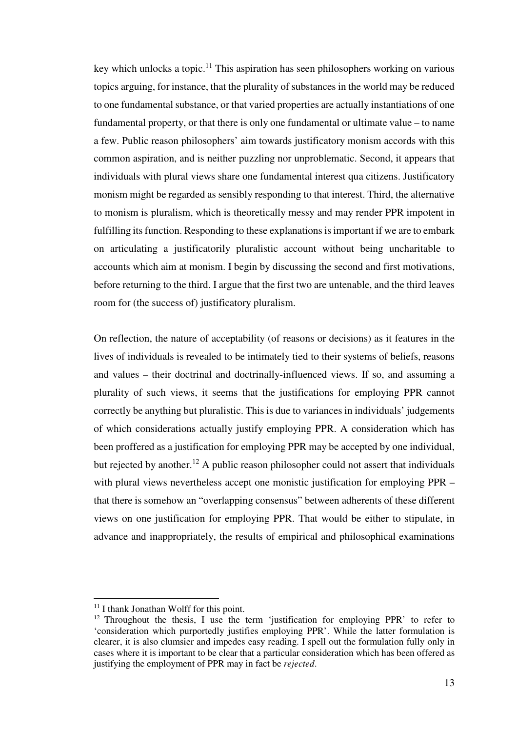key which unlocks a topic.<sup>11</sup> This aspiration has seen philosophers working on various topics arguing, for instance, that the plurality of substances in the world may be reduced to one fundamental substance, or that varied properties are actually instantiations of one fundamental property, or that there is only one fundamental or ultimate value – to name a few. Public reason philosophers' aim towards justificatory monism accords with this common aspiration, and is neither puzzling nor unproblematic. Second, it appears that individuals with plural views share one fundamental interest qua citizens. Justificatory monism might be regarded as sensibly responding to that interest. Third, the alternative to monism is pluralism, which is theoretically messy and may render PPR impotent in fulfilling its function. Responding to these explanations is important if we are to embark on articulating a justificatorily pluralistic account without being uncharitable to accounts which aim at monism. I begin by discussing the second and first motivations, before returning to the third. I argue that the first two are untenable, and the third leaves room for (the success of) justificatory pluralism.

On reflection, the nature of acceptability (of reasons or decisions) as it features in the lives of individuals is revealed to be intimately tied to their systems of beliefs, reasons and values – their doctrinal and doctrinally-influenced views. If so, and assuming a plurality of such views, it seems that the justifications for employing PPR cannot correctly be anything but pluralistic. This is due to variances in individuals' judgements of which considerations actually justify employing PPR. A consideration which has been proffered as a justification for employing PPR may be accepted by one individual, but rejected by another.<sup>12</sup> A public reason philosopher could not assert that individuals with plural views nevertheless accept one monistic justification for employing PPR – that there is somehow an "overlapping consensus" between adherents of these different views on one justification for employing PPR. That would be either to stipulate, in advance and inappropriately, the results of empirical and philosophical examinations

<sup>&</sup>lt;sup>11</sup> I thank Jonathan Wolff for this point.

<sup>&</sup>lt;sup>12</sup> Throughout the thesis, I use the term 'justification for employing PPR' to refer to 'consideration which purportedly justifies employing PPR'. While the latter formulation is clearer, it is also clumsier and impedes easy reading. I spell out the formulation fully only in cases where it is important to be clear that a particular consideration which has been offered as justifying the employment of PPR may in fact be *rejected*.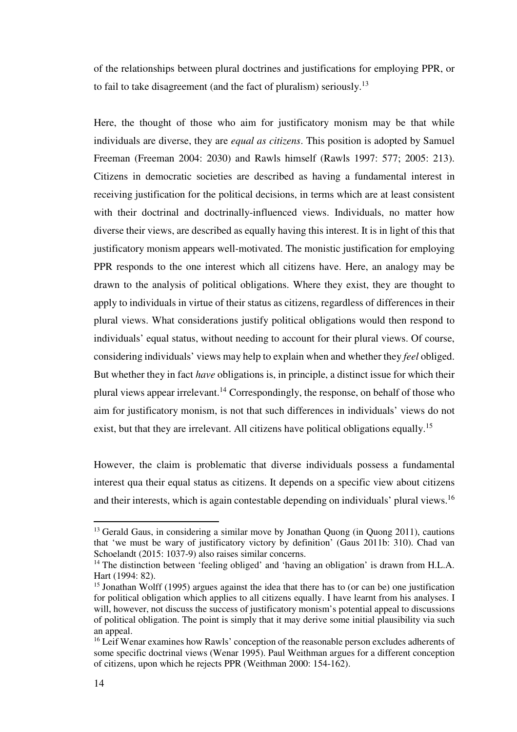of the relationships between plural doctrines and justifications for employing PPR, or to fail to take disagreement (and the fact of pluralism) seriously.<sup>13</sup>

Here, the thought of those who aim for justificatory monism may be that while individuals are diverse, they are *equal as citizens*. This position is adopted by Samuel Freeman (Freeman 2004: 2030) and Rawls himself (Rawls 1997: 577; 2005: 213). Citizens in democratic societies are described as having a fundamental interest in receiving justification for the political decisions, in terms which are at least consistent with their doctrinal and doctrinally-influenced views. Individuals, no matter how diverse their views, are described as equally having this interest. It is in light of this that justificatory monism appears well-motivated. The monistic justification for employing PPR responds to the one interest which all citizens have. Here, an analogy may be drawn to the analysis of political obligations. Where they exist, they are thought to apply to individuals in virtue of their status as citizens, regardless of differences in their plural views. What considerations justify political obligations would then respond to individuals' equal status, without needing to account for their plural views. Of course, considering individuals' views may help to explain when and whether they *feel* obliged. But whether they in fact *have* obligations is, in principle, a distinct issue for which their plural views appear irrelevant.<sup>14</sup> Correspondingly, the response, on behalf of those who aim for justificatory monism, is not that such differences in individuals' views do not exist, but that they are irrelevant. All citizens have political obligations equally.<sup>15</sup>

However, the claim is problematic that diverse individuals possess a fundamental interest qua their equal status as citizens. It depends on a specific view about citizens and their interests, which is again contestable depending on individuals' plural views.<sup>16</sup>

<sup>&</sup>lt;sup>13</sup> Gerald Gaus, in considering a similar move by Jonathan Quong (in Quong 2011), cautions that 'we must be wary of justificatory victory by definition' (Gaus 2011b: 310). Chad van Schoelandt (2015: 1037-9) also raises similar concerns.

<sup>&</sup>lt;sup>14</sup> The distinction between 'feeling obliged' and 'having an obligation' is drawn from H.L.A. Hart (1994: 82).

<sup>&</sup>lt;sup>15</sup> Jonathan Wolff (1995) argues against the idea that there has to (or can be) one justification for political obligation which applies to all citizens equally. I have learnt from his analyses. I will, however, not discuss the success of justificatory monism's potential appeal to discussions of political obligation. The point is simply that it may derive some initial plausibility via such an appeal.

<sup>&</sup>lt;sup>16</sup> Leif Wenar examines how Rawls' conception of the reasonable person excludes adherents of some specific doctrinal views (Wenar 1995). Paul Weithman argues for a different conception of citizens, upon which he rejects PPR (Weithman 2000: 154-162).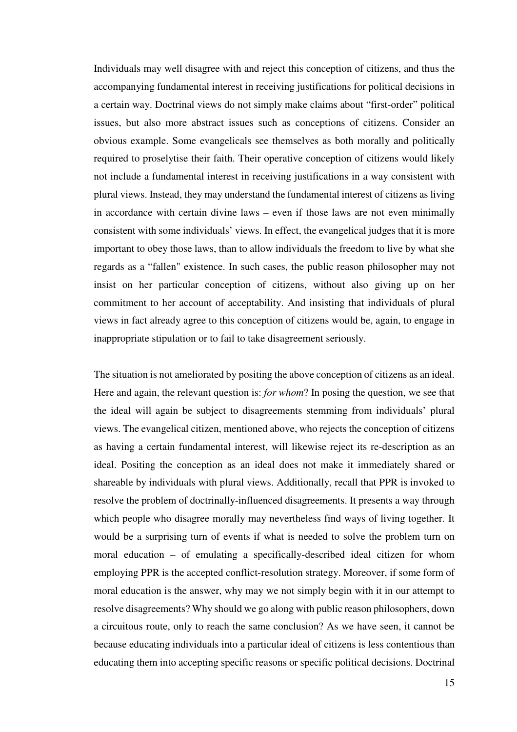Individuals may well disagree with and reject this conception of citizens, and thus the accompanying fundamental interest in receiving justifications for political decisions in a certain way. Doctrinal views do not simply make claims about "first-order" political issues, but also more abstract issues such as conceptions of citizens. Consider an obvious example. Some evangelicals see themselves as both morally and politically required to proselytise their faith. Their operative conception of citizens would likely not include a fundamental interest in receiving justifications in a way consistent with plural views. Instead, they may understand the fundamental interest of citizens as living in accordance with certain divine laws – even if those laws are not even minimally consistent with some individuals' views. In effect, the evangelical judges that it is more important to obey those laws, than to allow individuals the freedom to live by what she regards as a "fallen" existence. In such cases, the public reason philosopher may not insist on her particular conception of citizens, without also giving up on her commitment to her account of acceptability. And insisting that individuals of plural views in fact already agree to this conception of citizens would be, again, to engage in inappropriate stipulation or to fail to take disagreement seriously.

The situation is not ameliorated by positing the above conception of citizens as an ideal. Here and again, the relevant question is: *for whom*? In posing the question, we see that the ideal will again be subject to disagreements stemming from individuals' plural views. The evangelical citizen, mentioned above, who rejects the conception of citizens as having a certain fundamental interest, will likewise reject its re-description as an ideal. Positing the conception as an ideal does not make it immediately shared or shareable by individuals with plural views. Additionally, recall that PPR is invoked to resolve the problem of doctrinally-influenced disagreements. It presents a way through which people who disagree morally may nevertheless find ways of living together. It would be a surprising turn of events if what is needed to solve the problem turn on moral education – of emulating a specifically-described ideal citizen for whom employing PPR is the accepted conflict-resolution strategy. Moreover, if some form of moral education is the answer, why may we not simply begin with it in our attempt to resolve disagreements? Why should we go along with public reason philosophers, down a circuitous route, only to reach the same conclusion? As we have seen, it cannot be because educating individuals into a particular ideal of citizens is less contentious than educating them into accepting specific reasons or specific political decisions. Doctrinal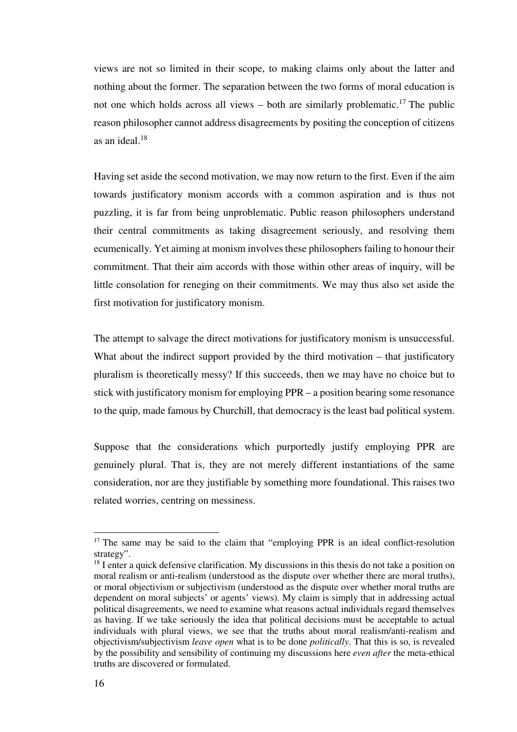views are not so limited in their scope, to making claims only about the latter and nothing about the former. The separation between the two forms of moral education is not one which holds across all views – both are similarly problematic.<sup>17</sup> The public reason philosopher cannot address disagreements by positing the conception of citizens as an ideal.<sup>18</sup>

Having set aside the second motivation, we may now return to the first. Even if the aim towards justificatory monism accords with a common aspiration and is thus not puzzling, it is far from being unproblematic. Public reason philosophers understand their central commitments as taking disagreement seriously, and resolving them ecumenically. Yet aiming at monism involves these philosophers failing to honour their commitment. That their aim accords with those within other areas of inquiry, will be little consolation for reneging on their commitments. We may thus also set aside the first motivation for justificatory monism.

The attempt to salvage the direct motivations for justificatory monism is unsuccessful. What about the indirect support provided by the third motivation – that justificatory pluralism is theoretically messy? If this succeeds, then we may have no choice but to stick with justificatory monism for employing PPR – a position bearing some resonance to the quip, made famous by Churchill, that democracy is the least bad political system.

Suppose that the considerations which purportedly justify employing PPR are genuinely plural. That is, they are not merely different instantiations of the same consideration, nor are they justifiable by something more foundational. This raises two related worries, centring on messiness.

<sup>&</sup>lt;sup>17</sup> The same may be said to the claim that "employing PPR is an ideal conflict-resolution strategy".

<sup>&</sup>lt;sup>18</sup> I enter a quick defensive clarification. My discussions in this thesis do not take a position on moral realism or anti-realism (understood as the dispute over whether there are moral truths), or moral objectivism or subjectivism (understood as the dispute over whether moral truths are dependent on moral subjects' or agents' views). My claim is simply that in addressing actual political disagreements, we need to examine what reasons actual individuals regard themselves as having. If we take seriously the idea that political decisions must be acceptable to actual individuals with plural views, we see that the truths about moral realism/anti-realism and objectivism/subjectivism *leave open* what is to be done *politically*. That this is so, is revealed by the possibility and sensibility of continuing my discussions here *even after* the meta-ethical truths are discovered or formulated.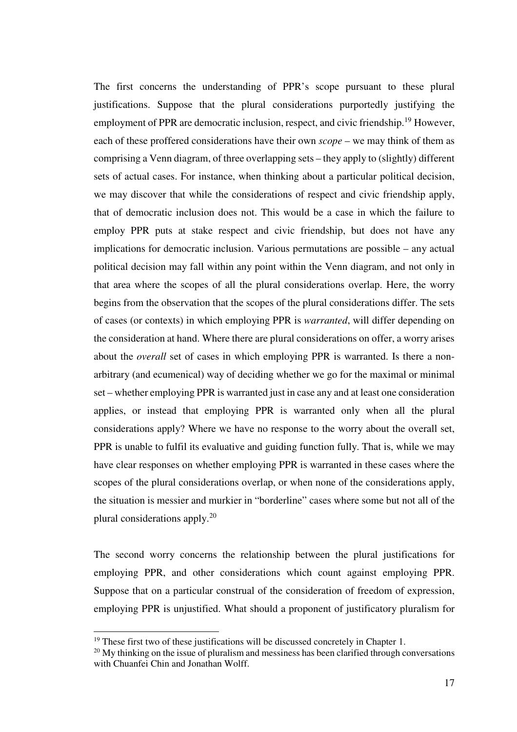The first concerns the understanding of PPR's scope pursuant to these plural justifications. Suppose that the plural considerations purportedly justifying the employment of PPR are democratic inclusion, respect, and civic friendship.<sup>19</sup> However, each of these proffered considerations have their own *scope* – we may think of them as comprising a Venn diagram, of three overlapping sets – they apply to (slightly) different sets of actual cases. For instance, when thinking about a particular political decision, we may discover that while the considerations of respect and civic friendship apply, that of democratic inclusion does not. This would be a case in which the failure to employ PPR puts at stake respect and civic friendship, but does not have any implications for democratic inclusion. Various permutations are possible – any actual political decision may fall within any point within the Venn diagram, and not only in that area where the scopes of all the plural considerations overlap. Here, the worry begins from the observation that the scopes of the plural considerations differ. The sets of cases (or contexts) in which employing PPR is *warranted*, will differ depending on the consideration at hand. Where there are plural considerations on offer, a worry arises about the *overall* set of cases in which employing PPR is warranted. Is there a nonarbitrary (and ecumenical) way of deciding whether we go for the maximal or minimal set – whether employing PPR is warranted just in case any and at least one consideration applies, or instead that employing PPR is warranted only when all the plural considerations apply? Where we have no response to the worry about the overall set, PPR is unable to fulfil its evaluative and guiding function fully. That is, while we may have clear responses on whether employing PPR is warranted in these cases where the scopes of the plural considerations overlap, or when none of the considerations apply, the situation is messier and murkier in "borderline" cases where some but not all of the plural considerations apply.<sup>20</sup>

The second worry concerns the relationship between the plural justifications for employing PPR, and other considerations which count against employing PPR. Suppose that on a particular construal of the consideration of freedom of expression, employing PPR is unjustified. What should a proponent of justificatory pluralism for

<sup>&</sup>lt;sup>19</sup> These first two of these justifications will be discussed concretely in Chapter 1.

 $20$  My thinking on the issue of pluralism and messiness has been clarified through conversations with Chuanfei Chin and Jonathan Wolff.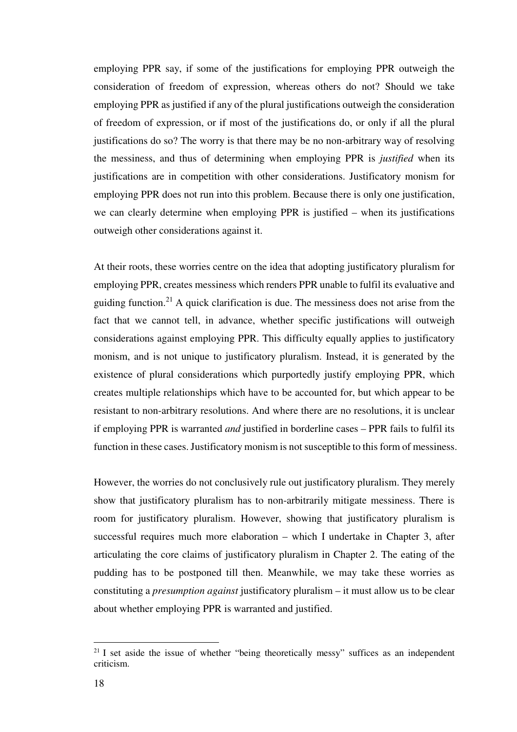employing PPR say, if some of the justifications for employing PPR outweigh the consideration of freedom of expression, whereas others do not? Should we take employing PPR as justified if any of the plural justifications outweigh the consideration of freedom of expression, or if most of the justifications do, or only if all the plural justifications do so? The worry is that there may be no non-arbitrary way of resolving the messiness, and thus of determining when employing PPR is *justified* when its justifications are in competition with other considerations. Justificatory monism for employing PPR does not run into this problem. Because there is only one justification, we can clearly determine when employing PPR is justified – when its justifications outweigh other considerations against it.

At their roots, these worries centre on the idea that adopting justificatory pluralism for employing PPR, creates messiness which renders PPR unable to fulfil its evaluative and guiding function.<sup>21</sup> A quick clarification is due. The messiness does not arise from the fact that we cannot tell, in advance, whether specific justifications will outweigh considerations against employing PPR. This difficulty equally applies to justificatory monism, and is not unique to justificatory pluralism. Instead, it is generated by the existence of plural considerations which purportedly justify employing PPR, which creates multiple relationships which have to be accounted for, but which appear to be resistant to non-arbitrary resolutions. And where there are no resolutions, it is unclear if employing PPR is warranted *and* justified in borderline cases – PPR fails to fulfil its function in these cases. Justificatory monism is not susceptible to this form of messiness.

However, the worries do not conclusively rule out justificatory pluralism. They merely show that justificatory pluralism has to non-arbitrarily mitigate messiness. There is room for justificatory pluralism. However, showing that justificatory pluralism is successful requires much more elaboration – which I undertake in Chapter 3, after articulating the core claims of justificatory pluralism in Chapter 2. The eating of the pudding has to be postponed till then. Meanwhile, we may take these worries as constituting a *presumption against* justificatory pluralism – it must allow us to be clear about whether employing PPR is warranted and justified.

 $21$  I set aside the issue of whether "being theoretically messy" suffices as an independent criticism.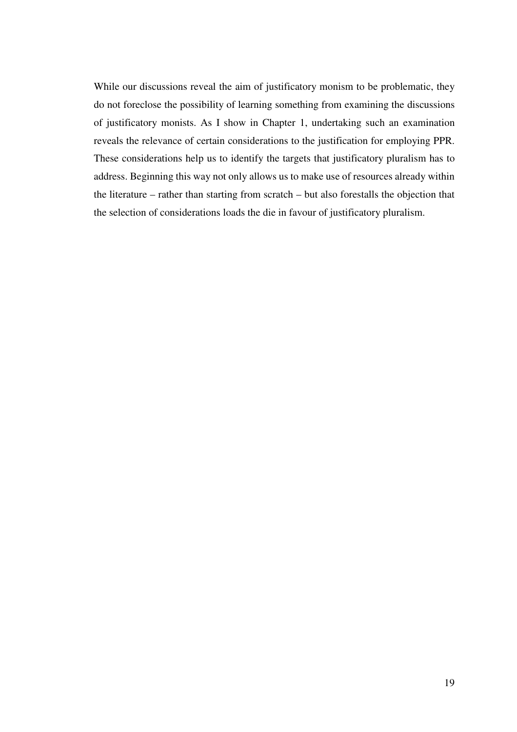While our discussions reveal the aim of justificatory monism to be problematic, they do not foreclose the possibility of learning something from examining the discussions of justificatory monists. As I show in Chapter 1, undertaking such an examination reveals the relevance of certain considerations to the justification for employing PPR. These considerations help us to identify the targets that justificatory pluralism has to address. Beginning this way not only allows us to make use of resources already within the literature – rather than starting from scratch – but also forestalls the objection that the selection of considerations loads the die in favour of justificatory pluralism.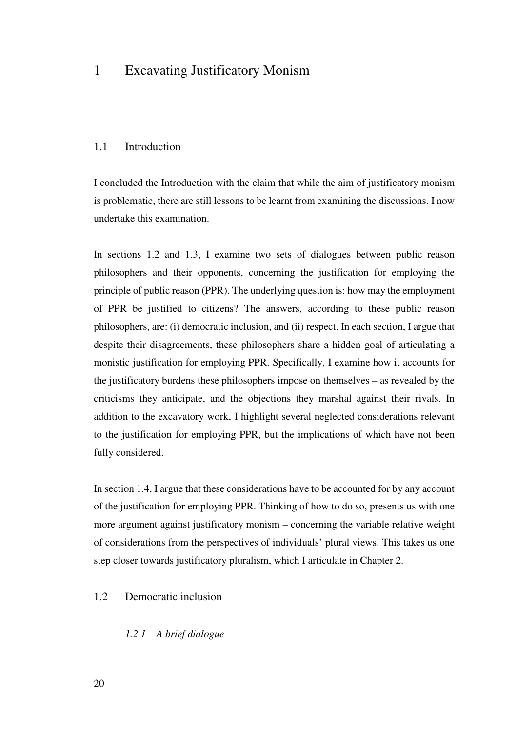### 1 Excavating Justificatory Monism

### 1.1 Introduction

I concluded the Introduction with the claim that while the aim of justificatory monism is problematic, there are still lessons to be learnt from examining the discussions. I now undertake this examination.

In sections 1.2 and 1.3, I examine two sets of dialogues between public reason philosophers and their opponents, concerning the justification for employing the principle of public reason (PPR). The underlying question is: how may the employment of PPR be justified to citizens? The answers, according to these public reason philosophers, are: (i) democratic inclusion, and (ii) respect. In each section, I argue that despite their disagreements, these philosophers share a hidden goal of articulating a monistic justification for employing PPR. Specifically, I examine how it accounts for the justificatory burdens these philosophers impose on themselves – as revealed by the criticisms they anticipate, and the objections they marshal against their rivals. In addition to the excavatory work, I highlight several neglected considerations relevant to the justification for employing PPR, but the implications of which have not been fully considered.

In section 1.4, I argue that these considerations have to be accounted for by any account of the justification for employing PPR. Thinking of how to do so, presents us with one more argument against justificatory monism – concerning the variable relative weight of considerations from the perspectives of individuals' plural views. This takes us one step closer towards justificatory pluralism, which I articulate in Chapter 2.

### 1.2 Democratic inclusion

#### *1.2.1 A brief dialogue*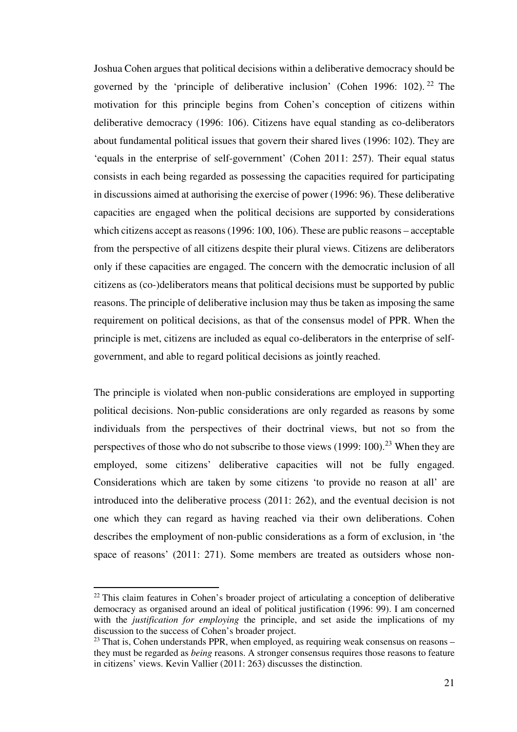Joshua Cohen argues that political decisions within a deliberative democracy should be governed by the 'principle of deliberative inclusion' (Cohen 1996: 102). <sup>22</sup> The motivation for this principle begins from Cohen's conception of citizens within deliberative democracy (1996: 106). Citizens have equal standing as co-deliberators about fundamental political issues that govern their shared lives (1996: 102). They are 'equals in the enterprise of self-government' (Cohen 2011: 257). Their equal status consists in each being regarded as possessing the capacities required for participating in discussions aimed at authorising the exercise of power (1996: 96). These deliberative capacities are engaged when the political decisions are supported by considerations which citizens accept as reasons (1996: 100, 106). These are public reasons – acceptable from the perspective of all citizens despite their plural views. Citizens are deliberators only if these capacities are engaged. The concern with the democratic inclusion of all citizens as (co-)deliberators means that political decisions must be supported by public reasons. The principle of deliberative inclusion may thus be taken as imposing the same requirement on political decisions, as that of the consensus model of PPR. When the principle is met, citizens are included as equal co-deliberators in the enterprise of selfgovernment, and able to regard political decisions as jointly reached.

The principle is violated when non-public considerations are employed in supporting political decisions. Non-public considerations are only regarded as reasons by some individuals from the perspectives of their doctrinal views, but not so from the perspectives of those who do not subscribe to those views  $(1999: 100).^{23}$  When they are employed, some citizens' deliberative capacities will not be fully engaged. Considerations which are taken by some citizens 'to provide no reason at all' are introduced into the deliberative process (2011: 262), and the eventual decision is not one which they can regard as having reached via their own deliberations. Cohen describes the employment of non-public considerations as a form of exclusion, in 'the space of reasons' (2011: 271). Some members are treated as outsiders whose non-

 $22$  This claim features in Cohen's broader project of articulating a conception of deliberative democracy as organised around an ideal of political justification (1996: 99). I am concerned with the *justification for employing* the principle, and set aside the implications of my discussion to the success of Cohen's broader project.

 $23$  That is, Cohen understands PPR, when employed, as requiring weak consensus on reasons – they must be regarded as *being* reasons. A stronger consensus requires those reasons to feature in citizens' views. Kevin Vallier (2011: 263) discusses the distinction.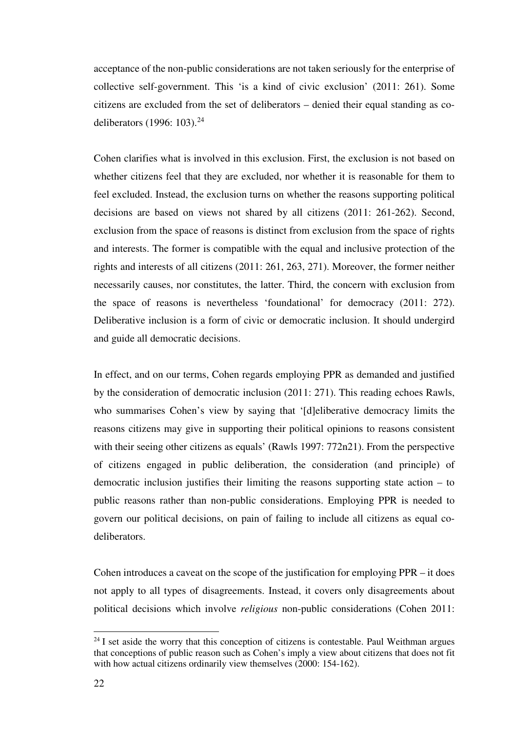acceptance of the non-public considerations are not taken seriously for the enterprise of collective self-government. This 'is a kind of civic exclusion' (2011: 261). Some citizens are excluded from the set of deliberators – denied their equal standing as codeliberators (1996: 103).<sup>24</sup>

Cohen clarifies what is involved in this exclusion. First, the exclusion is not based on whether citizens feel that they are excluded, nor whether it is reasonable for them to feel excluded. Instead, the exclusion turns on whether the reasons supporting political decisions are based on views not shared by all citizens (2011: 261-262). Second, exclusion from the space of reasons is distinct from exclusion from the space of rights and interests. The former is compatible with the equal and inclusive protection of the rights and interests of all citizens (2011: 261, 263, 271). Moreover, the former neither necessarily causes, nor constitutes, the latter. Third, the concern with exclusion from the space of reasons is nevertheless 'foundational' for democracy (2011: 272). Deliberative inclusion is a form of civic or democratic inclusion. It should undergird and guide all democratic decisions.

In effect, and on our terms, Cohen regards employing PPR as demanded and justified by the consideration of democratic inclusion (2011: 271). This reading echoes Rawls, who summarises Cohen's view by saying that '[d]eliberative democracy limits the reasons citizens may give in supporting their political opinions to reasons consistent with their seeing other citizens as equals' (Rawls 1997: 772n21). From the perspective of citizens engaged in public deliberation, the consideration (and principle) of democratic inclusion justifies their limiting the reasons supporting state action – to public reasons rather than non-public considerations. Employing PPR is needed to govern our political decisions, on pain of failing to include all citizens as equal codeliberators.

Cohen introduces a caveat on the scope of the justification for employing PPR – it does not apply to all types of disagreements. Instead, it covers only disagreements about political decisions which involve *religious* non-public considerations (Cohen 2011:

 $24$  I set aside the worry that this conception of citizens is contestable. Paul Weithman argues that conceptions of public reason such as Cohen's imply a view about citizens that does not fit with how actual citizens ordinarily view themselves (2000: 154-162).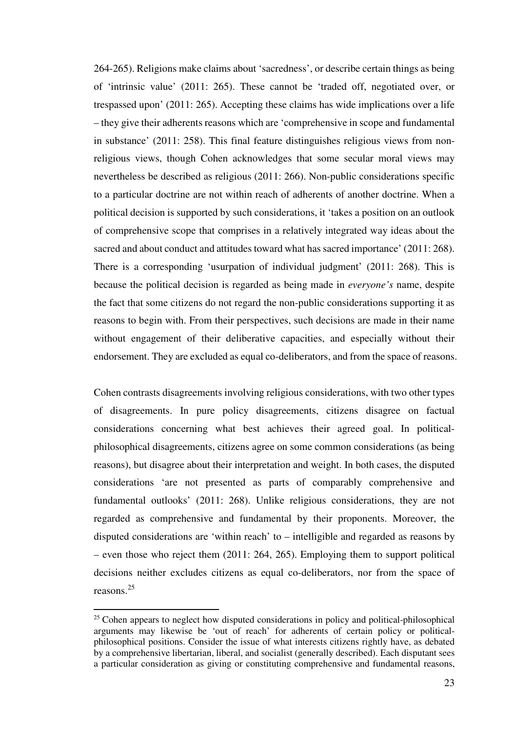264-265). Religions make claims about 'sacredness', or describe certain things as being of 'intrinsic value' (2011: 265). These cannot be 'traded off, negotiated over, or trespassed upon' (2011: 265). Accepting these claims has wide implications over a life – they give their adherents reasons which are 'comprehensive in scope and fundamental in substance' (2011: 258). This final feature distinguishes religious views from nonreligious views, though Cohen acknowledges that some secular moral views may nevertheless be described as religious (2011: 266). Non-public considerations specific to a particular doctrine are not within reach of adherents of another doctrine. When a political decision is supported by such considerations, it 'takes a position on an outlook of comprehensive scope that comprises in a relatively integrated way ideas about the sacred and about conduct and attitudes toward what has sacred importance' (2011: 268). There is a corresponding 'usurpation of individual judgment' (2011: 268). This is because the political decision is regarded as being made in *everyone's* name, despite the fact that some citizens do not regard the non-public considerations supporting it as reasons to begin with. From their perspectives, such decisions are made in their name without engagement of their deliberative capacities, and especially without their endorsement. They are excluded as equal co-deliberators, and from the space of reasons.

Cohen contrasts disagreements involving religious considerations, with two other types of disagreements. In pure policy disagreements, citizens disagree on factual considerations concerning what best achieves their agreed goal. In politicalphilosophical disagreements, citizens agree on some common considerations (as being reasons), but disagree about their interpretation and weight. In both cases, the disputed considerations 'are not presented as parts of comparably comprehensive and fundamental outlooks' (2011: 268). Unlike religious considerations, they are not regarded as comprehensive and fundamental by their proponents. Moreover, the disputed considerations are 'within reach' to – intelligible and regarded as reasons by – even those who reject them (2011: 264, 265). Employing them to support political decisions neither excludes citizens as equal co-deliberators, nor from the space of reasons.<sup>25</sup>

 $25$  Cohen appears to neglect how disputed considerations in policy and political-philosophical arguments may likewise be 'out of reach' for adherents of certain policy or politicalphilosophical positions. Consider the issue of what interests citizens rightly have, as debated by a comprehensive libertarian, liberal, and socialist (generally described). Each disputant sees a particular consideration as giving or constituting comprehensive and fundamental reasons,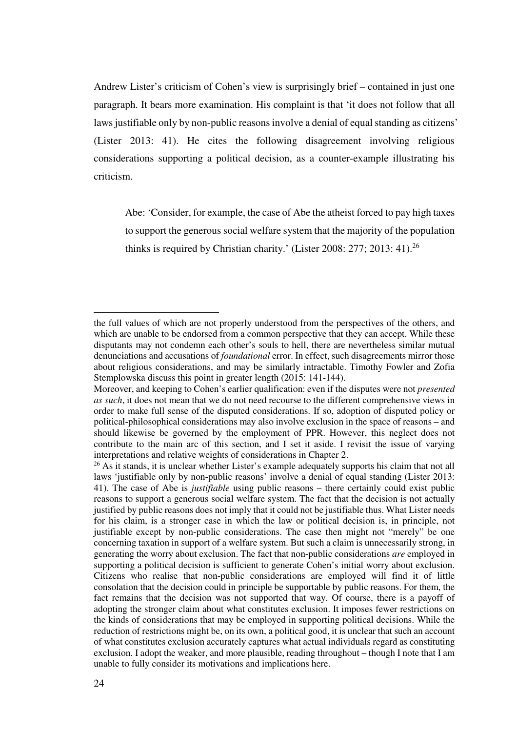Andrew Lister's criticism of Cohen's view is surprisingly brief – contained in just one paragraph. It bears more examination. His complaint is that 'it does not follow that all laws justifiable only by non-public reasons involve a denial of equal standing as citizens' (Lister 2013: 41). He cites the following disagreement involving religious considerations supporting a political decision, as a counter-example illustrating his criticism.

Abe: 'Consider, for example, the case of Abe the atheist forced to pay high taxes to support the generous social welfare system that the majority of the population thinks is required by Christian charity.' (Lister 2008: 277; 2013: 41).<sup>26</sup>

the full values of which are not properly understood from the perspectives of the others, and which are unable to be endorsed from a common perspective that they can accept. While these disputants may not condemn each other's souls to hell, there are nevertheless similar mutual denunciations and accusations of *foundational* error. In effect, such disagreements mirror those about religious considerations, and may be similarly intractable. Timothy Fowler and Zofia Stemplowska discuss this point in greater length (2015: 141-144).

Moreover, and keeping to Cohen's earlier qualification: even if the disputes were not *presented as such*, it does not mean that we do not need recourse to the different comprehensive views in order to make full sense of the disputed considerations. If so, adoption of disputed policy or political-philosophical considerations may also involve exclusion in the space of reasons – and should likewise be governed by the employment of PPR. However, this neglect does not contribute to the main arc of this section, and I set it aside. I revisit the issue of varying interpretations and relative weights of considerations in Chapter 2.

<sup>&</sup>lt;sup>26</sup> As it stands, it is unclear whether Lister's example adequately supports his claim that not all laws 'justifiable only by non-public reasons' involve a denial of equal standing (Lister 2013: 41). The case of Abe is *justifiable* using public reasons – there certainly could exist public reasons to support a generous social welfare system. The fact that the decision is not actually justified by public reasons does not imply that it could not be justifiable thus. What Lister needs for his claim, is a stronger case in which the law or political decision is, in principle, not justifiable except by non-public considerations. The case then might not "merely" be one concerning taxation in support of a welfare system. But such a claim is unnecessarily strong, in generating the worry about exclusion. The fact that non-public considerations *are* employed in supporting a political decision is sufficient to generate Cohen's initial worry about exclusion. Citizens who realise that non-public considerations are employed will find it of little consolation that the decision could in principle be supportable by public reasons. For them, the fact remains that the decision was not supported that way. Of course, there is a payoff of adopting the stronger claim about what constitutes exclusion. It imposes fewer restrictions on the kinds of considerations that may be employed in supporting political decisions. While the reduction of restrictions might be, on its own, a political good, it is unclear that such an account of what constitutes exclusion accurately captures what actual individuals regard as constituting exclusion. I adopt the weaker, and more plausible, reading throughout – though I note that I am unable to fully consider its motivations and implications here.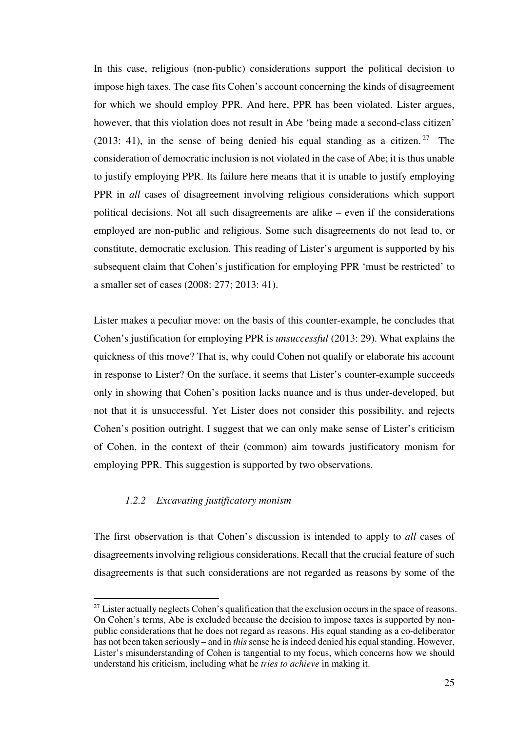In this case, religious (non-public) considerations support the political decision to impose high taxes. The case fits Cohen's account concerning the kinds of disagreement for which we should employ PPR. And here, PPR has been violated. Lister argues, however, that this violation does not result in Abe 'being made a second-class citizen' (2013: 41), in the sense of being denied his equal standing as a citizen. <sup>27</sup> The consideration of democratic inclusion is not violated in the case of Abe; it is thus unable to justify employing PPR. Its failure here means that it is unable to justify employing PPR in *all* cases of disagreement involving religious considerations which support political decisions. Not all such disagreements are alike – even if the considerations employed are non-public and religious. Some such disagreements do not lead to, or constitute, democratic exclusion. This reading of Lister's argument is supported by his subsequent claim that Cohen's justification for employing PPR 'must be restricted' to a smaller set of cases (2008: 277; 2013: 41).

Lister makes a peculiar move: on the basis of this counter-example, he concludes that Cohen's justification for employing PPR is *unsuccessful* (2013: 29). What explains the quickness of this move? That is, why could Cohen not qualify or elaborate his account in response to Lister? On the surface, it seems that Lister's counter-example succeeds only in showing that Cohen's position lacks nuance and is thus under-developed, but not that it is unsuccessful. Yet Lister does not consider this possibility, and rejects Cohen's position outright. I suggest that we can only make sense of Lister's criticism of Cohen, in the context of their (common) aim towards justificatory monism for employing PPR. This suggestion is supported by two observations.

### *1.2.2 Excavating justificatory monism*

l

The first observation is that Cohen's discussion is intended to apply to *all* cases of disagreements involving religious considerations. Recall that the crucial feature of such disagreements is that such considerations are not regarded as reasons by some of the

 $27$  Lister actually neglects Cohen's qualification that the exclusion occurs in the space of reasons. On Cohen's terms, Abe is excluded because the decision to impose taxes is supported by nonpublic considerations that he does not regard as reasons. His equal standing as a co-deliberator has not been taken seriously – and in *this* sense he is indeed denied his equal standing. However, Lister's misunderstanding of Cohen is tangential to my focus, which concerns how we should understand his criticism, including what he *tries to achieve* in making it.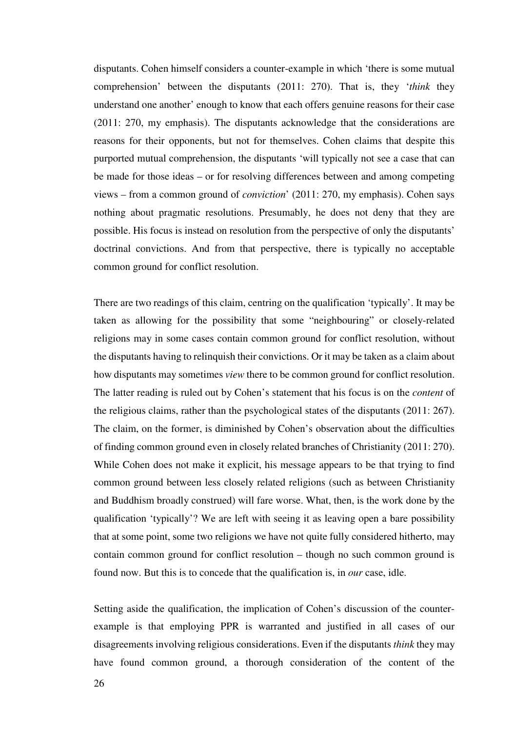disputants. Cohen himself considers a counter-example in which 'there is some mutual comprehension' between the disputants (2011: 270). That is, they '*think* they understand one another' enough to know that each offers genuine reasons for their case (2011: 270, my emphasis). The disputants acknowledge that the considerations are reasons for their opponents, but not for themselves. Cohen claims that despite this purported mutual comprehension, the disputants 'will typically not see a case that can be made for those ideas – or for resolving differences between and among competing views – from a common ground of *conviction*' (2011: 270, my emphasis). Cohen says nothing about pragmatic resolutions. Presumably, he does not deny that they are possible. His focus is instead on resolution from the perspective of only the disputants' doctrinal convictions. And from that perspective, there is typically no acceptable common ground for conflict resolution.

There are two readings of this claim, centring on the qualification 'typically'. It may be taken as allowing for the possibility that some "neighbouring" or closely-related religions may in some cases contain common ground for conflict resolution, without the disputants having to relinquish their convictions. Or it may be taken as a claim about how disputants may sometimes *view* there to be common ground for conflict resolution. The latter reading is ruled out by Cohen's statement that his focus is on the *content* of the religious claims, rather than the psychological states of the disputants (2011: 267). The claim, on the former, is diminished by Cohen's observation about the difficulties of finding common ground even in closely related branches of Christianity (2011: 270). While Cohen does not make it explicit, his message appears to be that trying to find common ground between less closely related religions (such as between Christianity and Buddhism broadly construed) will fare worse. What, then, is the work done by the qualification 'typically'? We are left with seeing it as leaving open a bare possibility that at some point, some two religions we have not quite fully considered hitherto, may contain common ground for conflict resolution – though no such common ground is found now. But this is to concede that the qualification is, in *our* case, idle.

Setting aside the qualification, the implication of Cohen's discussion of the counterexample is that employing PPR is warranted and justified in all cases of our disagreements involving religious considerations. Even if the disputants *think* they may have found common ground, a thorough consideration of the content of the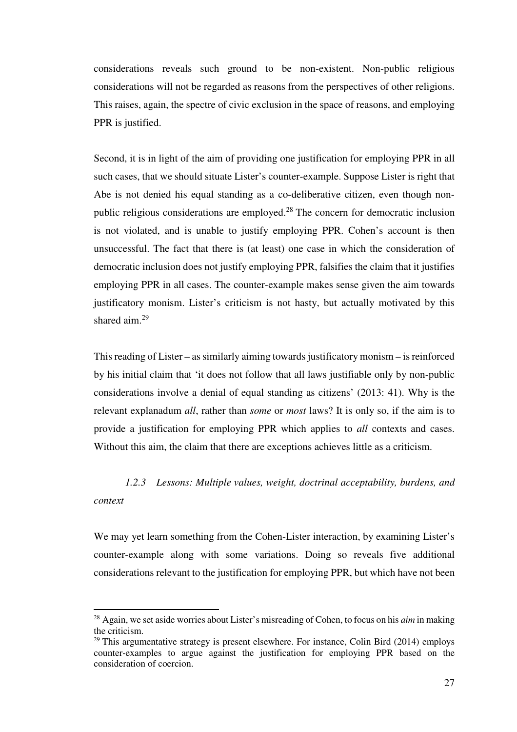considerations reveals such ground to be non-existent. Non-public religious considerations will not be regarded as reasons from the perspectives of other religions. This raises, again, the spectre of civic exclusion in the space of reasons, and employing PPR is justified.

Second, it is in light of the aim of providing one justification for employing PPR in all such cases, that we should situate Lister's counter-example. Suppose Lister is right that Abe is not denied his equal standing as a co-deliberative citizen, even though nonpublic religious considerations are employed.<sup>28</sup> The concern for democratic inclusion is not violated, and is unable to justify employing PPR. Cohen's account is then unsuccessful. The fact that there is (at least) one case in which the consideration of democratic inclusion does not justify employing PPR, falsifies the claim that it justifies employing PPR in all cases. The counter-example makes sense given the aim towards justificatory monism. Lister's criticism is not hasty, but actually motivated by this shared aim.<sup>29</sup>

This reading of Lister – as similarly aiming towards justificatory monism – is reinforced by his initial claim that 'it does not follow that all laws justifiable only by non-public considerations involve a denial of equal standing as citizens' (2013: 41). Why is the relevant explanadum *all*, rather than *some* or *most* laws? It is only so, if the aim is to provide a justification for employing PPR which applies to *all* contexts and cases. Without this aim, the claim that there are exceptions achieves little as a criticism.

### *1.2.3 Lessons: Multiple values, weight, doctrinal acceptability, burdens, and context*

We may yet learn something from the Cohen-Lister interaction, by examining Lister's counter-example along with some variations. Doing so reveals five additional considerations relevant to the justification for employing PPR, but which have not been

<sup>28</sup> Again, we set aside worries about Lister's misreading of Cohen, to focus on his *aim* in making the criticism.

 $29$  This argumentative strategy is present elsewhere. For instance, Colin Bird (2014) employs counter-examples to argue against the justification for employing PPR based on the consideration of coercion.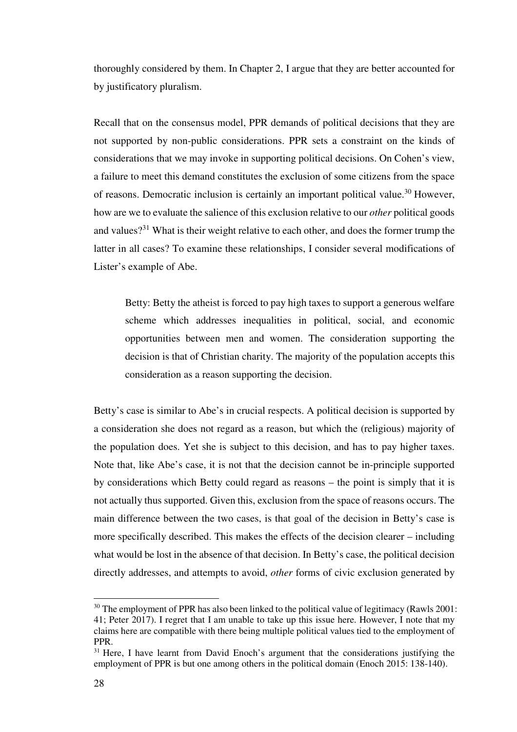thoroughly considered by them. In Chapter 2, I argue that they are better accounted for by justificatory pluralism.

Recall that on the consensus model, PPR demands of political decisions that they are not supported by non-public considerations. PPR sets a constraint on the kinds of considerations that we may invoke in supporting political decisions. On Cohen's view, a failure to meet this demand constitutes the exclusion of some citizens from the space of reasons. Democratic inclusion is certainly an important political value.<sup>30</sup> However, how are we to evaluate the salience of this exclusion relative to our *other* political goods and values?<sup>31</sup> What is their weight relative to each other, and does the former trump the latter in all cases? To examine these relationships, I consider several modifications of Lister's example of Abe.

Betty: Betty the atheist is forced to pay high taxes to support a generous welfare scheme which addresses inequalities in political, social, and economic opportunities between men and women. The consideration supporting the decision is that of Christian charity. The majority of the population accepts this consideration as a reason supporting the decision.

Betty's case is similar to Abe's in crucial respects. A political decision is supported by a consideration she does not regard as a reason, but which the (religious) majority of the population does. Yet she is subject to this decision, and has to pay higher taxes. Note that, like Abe's case, it is not that the decision cannot be in-principle supported by considerations which Betty could regard as reasons – the point is simply that it is not actually thus supported. Given this, exclusion from the space of reasons occurs. The main difference between the two cases, is that goal of the decision in Betty's case is more specifically described. This makes the effects of the decision clearer – including what would be lost in the absence of that decision. In Betty's case, the political decision directly addresses, and attempts to avoid, *other* forms of civic exclusion generated by

 $30$  The employment of PPR has also been linked to the political value of legitimacy (Rawls 2001: 41; Peter 2017). I regret that I am unable to take up this issue here. However, I note that my claims here are compatible with there being multiple political values tied to the employment of PPR.

 $31$  Here, I have learnt from David Enoch's argument that the considerations justifying the employment of PPR is but one among others in the political domain (Enoch 2015: 138-140).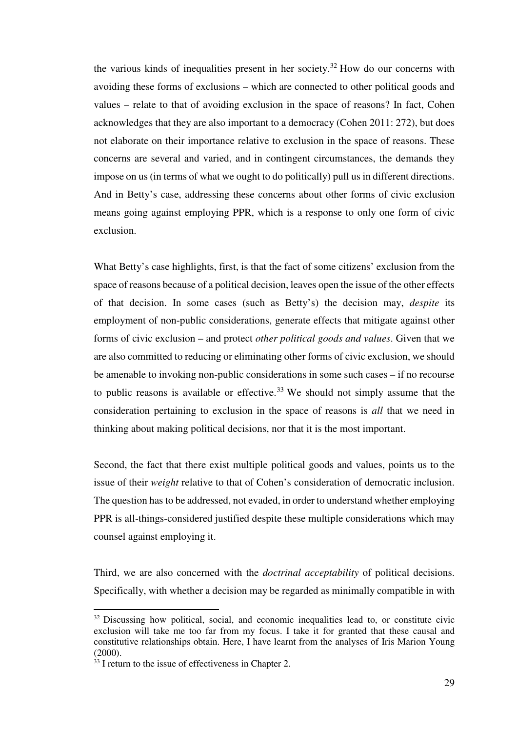the various kinds of inequalities present in her society.<sup>32</sup> How do our concerns with avoiding these forms of exclusions – which are connected to other political goods and values – relate to that of avoiding exclusion in the space of reasons? In fact, Cohen acknowledges that they are also important to a democracy (Cohen 2011: 272), but does not elaborate on their importance relative to exclusion in the space of reasons. These concerns are several and varied, and in contingent circumstances, the demands they impose on us (in terms of what we ought to do politically) pull us in different directions. And in Betty's case, addressing these concerns about other forms of civic exclusion means going against employing PPR, which is a response to only one form of civic exclusion.

What Betty's case highlights, first, is that the fact of some citizens' exclusion from the space of reasons because of a political decision, leaves open the issue of the other effects of that decision. In some cases (such as Betty's) the decision may, *despite* its employment of non-public considerations, generate effects that mitigate against other forms of civic exclusion – and protect *other political goods and values*. Given that we are also committed to reducing or eliminating other forms of civic exclusion, we should be amenable to invoking non-public considerations in some such cases – if no recourse to public reasons is available or effective.<sup>33</sup> We should not simply assume that the consideration pertaining to exclusion in the space of reasons is *all* that we need in thinking about making political decisions, nor that it is the most important.

Second, the fact that there exist multiple political goods and values, points us to the issue of their *weight* relative to that of Cohen's consideration of democratic inclusion. The question has to be addressed, not evaded, in order to understand whether employing PPR is all-things-considered justified despite these multiple considerations which may counsel against employing it.

Third, we are also concerned with the *doctrinal acceptability* of political decisions. Specifically, with whether a decision may be regarded as minimally compatible in with

 $32$  Discussing how political, social, and economic inequalities lead to, or constitute civic exclusion will take me too far from my focus. I take it for granted that these causal and constitutive relationships obtain. Here, I have learnt from the analyses of Iris Marion Young (2000).

<sup>&</sup>lt;sup>33</sup> I return to the issue of effectiveness in Chapter 2.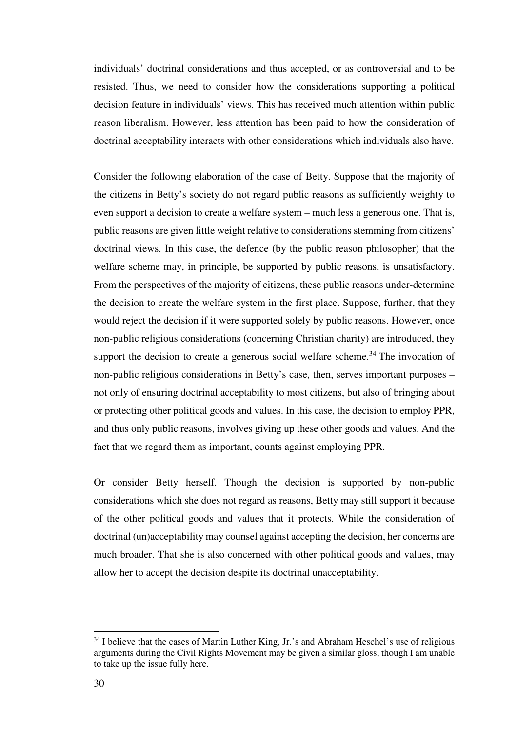individuals' doctrinal considerations and thus accepted, or as controversial and to be resisted. Thus, we need to consider how the considerations supporting a political decision feature in individuals' views. This has received much attention within public reason liberalism. However, less attention has been paid to how the consideration of doctrinal acceptability interacts with other considerations which individuals also have.

Consider the following elaboration of the case of Betty. Suppose that the majority of the citizens in Betty's society do not regard public reasons as sufficiently weighty to even support a decision to create a welfare system – much less a generous one. That is, public reasons are given little weight relative to considerations stemming from citizens' doctrinal views. In this case, the defence (by the public reason philosopher) that the welfare scheme may, in principle, be supported by public reasons, is unsatisfactory. From the perspectives of the majority of citizens, these public reasons under-determine the decision to create the welfare system in the first place. Suppose, further, that they would reject the decision if it were supported solely by public reasons. However, once non-public religious considerations (concerning Christian charity) are introduced, they support the decision to create a generous social welfare scheme.<sup>34</sup> The invocation of non-public religious considerations in Betty's case, then, serves important purposes – not only of ensuring doctrinal acceptability to most citizens, but also of bringing about or protecting other political goods and values. In this case, the decision to employ PPR, and thus only public reasons, involves giving up these other goods and values. And the fact that we regard them as important, counts against employing PPR.

Or consider Betty herself. Though the decision is supported by non-public considerations which she does not regard as reasons, Betty may still support it because of the other political goods and values that it protects. While the consideration of doctrinal (un)acceptability may counsel against accepting the decision, her concerns are much broader. That she is also concerned with other political goods and values, may allow her to accept the decision despite its doctrinal unacceptability.

<sup>&</sup>lt;sup>34</sup> I believe that the cases of Martin Luther King, Jr.'s and Abraham Heschel's use of religious arguments during the Civil Rights Movement may be given a similar gloss, though I am unable to take up the issue fully here.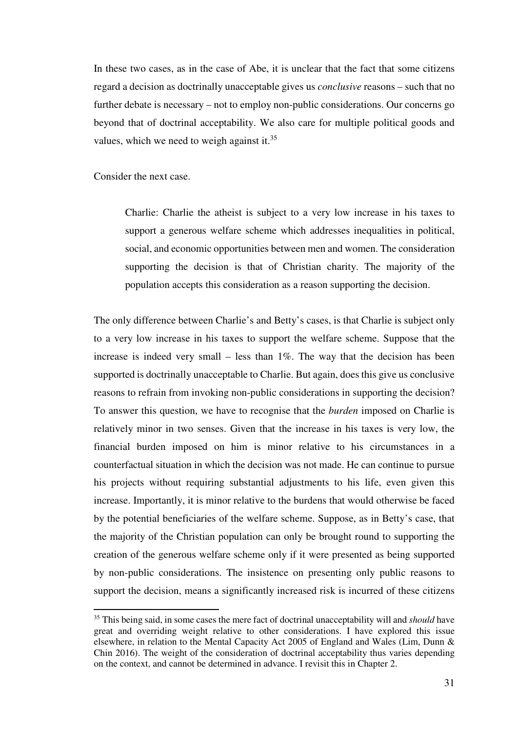In these two cases, as in the case of Abe, it is unclear that the fact that some citizens regard a decision as doctrinally unacceptable gives us *conclusive* reasons – such that no further debate is necessary – not to employ non-public considerations. Our concerns go beyond that of doctrinal acceptability. We also care for multiple political goods and values, which we need to weigh against it.<sup>35</sup>

Consider the next case.

l

Charlie: Charlie the atheist is subject to a very low increase in his taxes to support a generous welfare scheme which addresses inequalities in political, social, and economic opportunities between men and women. The consideration supporting the decision is that of Christian charity. The majority of the population accepts this consideration as a reason supporting the decision.

The only difference between Charlie's and Betty's cases, is that Charlie is subject only to a very low increase in his taxes to support the welfare scheme. Suppose that the increase is indeed very small – less than 1%. The way that the decision has been supported is doctrinally unacceptable to Charlie. But again, does this give us conclusive reasons to refrain from invoking non-public considerations in supporting the decision? To answer this question, we have to recognise that the *burden* imposed on Charlie is relatively minor in two senses. Given that the increase in his taxes is very low, the financial burden imposed on him is minor relative to his circumstances in a counterfactual situation in which the decision was not made. He can continue to pursue his projects without requiring substantial adjustments to his life, even given this increase. Importantly, it is minor relative to the burdens that would otherwise be faced by the potential beneficiaries of the welfare scheme. Suppose, as in Betty's case, that the majority of the Christian population can only be brought round to supporting the creation of the generous welfare scheme only if it were presented as being supported by non-public considerations. The insistence on presenting only public reasons to support the decision, means a significantly increased risk is incurred of these citizens

<sup>&</sup>lt;sup>35</sup> This being said, in some cases the mere fact of doctrinal unacceptability will and *should* have great and overriding weight relative to other considerations. I have explored this issue elsewhere, in relation to the Mental Capacity Act 2005 of England and Wales (Lim, Dunn & Chin 2016). The weight of the consideration of doctrinal acceptability thus varies depending on the context, and cannot be determined in advance. I revisit this in Chapter 2.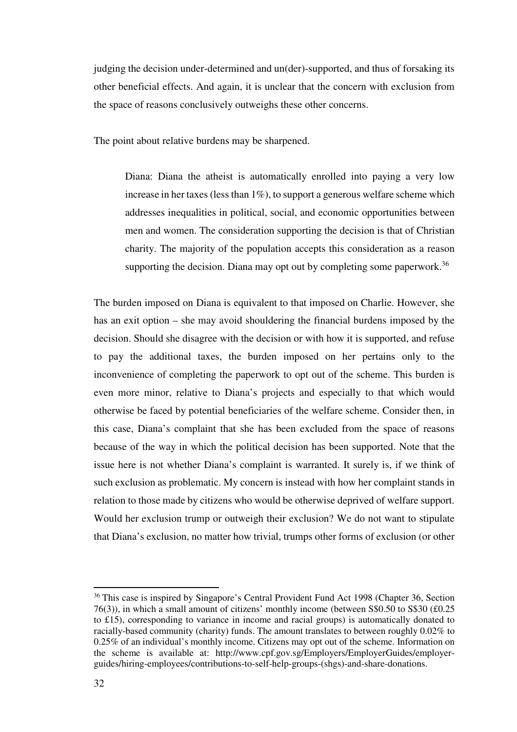judging the decision under-determined and un(der)-supported, and thus of forsaking its other beneficial effects. And again, it is unclear that the concern with exclusion from the space of reasons conclusively outweighs these other concerns.

The point about relative burdens may be sharpened.

Diana: Diana the atheist is automatically enrolled into paying a very low increase in her taxes (less than  $1\%$ ), to support a generous welfare scheme which addresses inequalities in political, social, and economic opportunities between men and women. The consideration supporting the decision is that of Christian charity. The majority of the population accepts this consideration as a reason supporting the decision. Diana may opt out by completing some paperwork.<sup>36</sup>

The burden imposed on Diana is equivalent to that imposed on Charlie. However, she has an exit option – she may avoid shouldering the financial burdens imposed by the decision. Should she disagree with the decision or with how it is supported, and refuse to pay the additional taxes, the burden imposed on her pertains only to the inconvenience of completing the paperwork to opt out of the scheme. This burden is even more minor, relative to Diana's projects and especially to that which would otherwise be faced by potential beneficiaries of the welfare scheme. Consider then, in this case, Diana's complaint that she has been excluded from the space of reasons because of the way in which the political decision has been supported. Note that the issue here is not whether Diana's complaint is warranted. It surely is, if we think of such exclusion as problematic. My concern is instead with how her complaint stands in relation to those made by citizens who would be otherwise deprived of welfare support. Would her exclusion trump or outweigh their exclusion? We do not want to stipulate that Diana's exclusion, no matter how trivial, trumps other forms of exclusion (or other

<sup>&</sup>lt;sup>36</sup> This case is inspired by Singapore's Central Provident Fund Act 1998 (Chapter 36, Section 76(3)), in which a small amount of citizens' monthly income (between S\$0.50 to S\$30 (£0.25 to £15), corresponding to variance in income and racial groups) is automatically donated to racially-based community (charity) funds. The amount translates to between roughly 0.02% to 0.25% of an individual's monthly income. Citizens may opt out of the scheme. Information on the scheme is available at: http://www.cpf.gov.sg/Employers/EmployerGuides/employerguides/hiring-employees/contributions-to-self-help-groups-(shgs)-and-share-donations.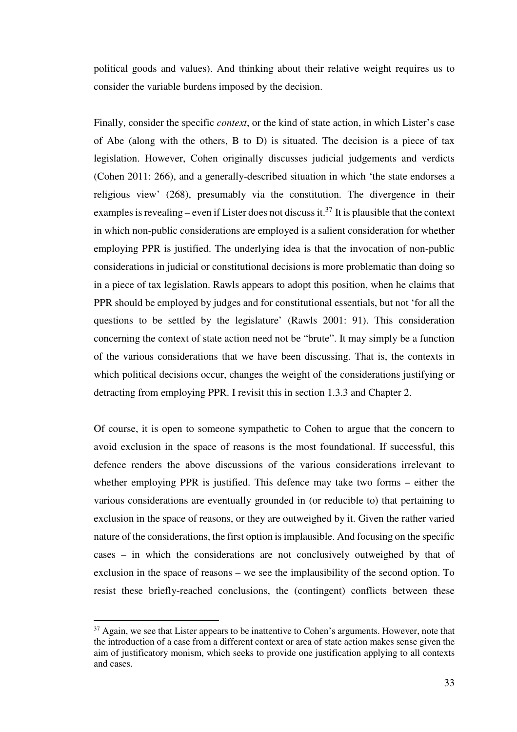political goods and values). And thinking about their relative weight requires us to consider the variable burdens imposed by the decision.

Finally, consider the specific *context*, or the kind of state action, in which Lister's case of Abe (along with the others, B to D) is situated. The decision is a piece of tax legislation. However, Cohen originally discusses judicial judgements and verdicts (Cohen 2011: 266), and a generally-described situation in which 'the state endorses a religious view' (268), presumably via the constitution. The divergence in their examples is revealing – even if Lister does not discuss it.<sup>37</sup> It is plausible that the context in which non-public considerations are employed is a salient consideration for whether employing PPR is justified. The underlying idea is that the invocation of non-public considerations in judicial or constitutional decisions is more problematic than doing so in a piece of tax legislation. Rawls appears to adopt this position, when he claims that PPR should be employed by judges and for constitutional essentials, but not 'for all the questions to be settled by the legislature' (Rawls 2001: 91). This consideration concerning the context of state action need not be "brute". It may simply be a function of the various considerations that we have been discussing. That is, the contexts in which political decisions occur, changes the weight of the considerations justifying or detracting from employing PPR. I revisit this in section 1.3.3 and Chapter 2.

Of course, it is open to someone sympathetic to Cohen to argue that the concern to avoid exclusion in the space of reasons is the most foundational. If successful, this defence renders the above discussions of the various considerations irrelevant to whether employing PPR is justified. This defence may take two forms – either the various considerations are eventually grounded in (or reducible to) that pertaining to exclusion in the space of reasons, or they are outweighed by it. Given the rather varied nature of the considerations, the first option is implausible. And focusing on the specific cases – in which the considerations are not conclusively outweighed by that of exclusion in the space of reasons – we see the implausibility of the second option. To resist these briefly-reached conclusions, the (contingent) conflicts between these

 $37$  Again, we see that Lister appears to be inattentive to Cohen's arguments. However, note that the introduction of a case from a different context or area of state action makes sense given the aim of justificatory monism, which seeks to provide one justification applying to all contexts and cases.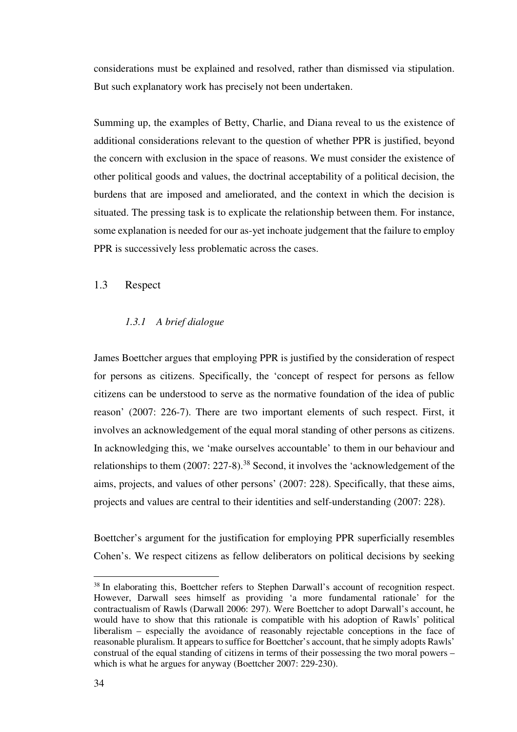considerations must be explained and resolved, rather than dismissed via stipulation. But such explanatory work has precisely not been undertaken.

Summing up, the examples of Betty, Charlie, and Diana reveal to us the existence of additional considerations relevant to the question of whether PPR is justified, beyond the concern with exclusion in the space of reasons. We must consider the existence of other political goods and values, the doctrinal acceptability of a political decision, the burdens that are imposed and ameliorated, and the context in which the decision is situated. The pressing task is to explicate the relationship between them. For instance, some explanation is needed for our as-yet inchoate judgement that the failure to employ PPR is successively less problematic across the cases.

### 1.3 Respect

### *1.3.1 A brief dialogue*

James Boettcher argues that employing PPR is justified by the consideration of respect for persons as citizens. Specifically, the 'concept of respect for persons as fellow citizens can be understood to serve as the normative foundation of the idea of public reason' (2007: 226-7). There are two important elements of such respect. First, it involves an acknowledgement of the equal moral standing of other persons as citizens. In acknowledging this, we 'make ourselves accountable' to them in our behaviour and relationships to them (2007: 227-8).<sup>38</sup> Second, it involves the 'acknowledgement of the aims, projects, and values of other persons' (2007: 228). Specifically, that these aims, projects and values are central to their identities and self-understanding (2007: 228).

Boettcher's argument for the justification for employing PPR superficially resembles Cohen's. We respect citizens as fellow deliberators on political decisions by seeking

<sup>&</sup>lt;sup>38</sup> In elaborating this, Boettcher refers to Stephen Darwall's account of recognition respect. However, Darwall sees himself as providing 'a more fundamental rationale' for the contractualism of Rawls (Darwall 2006: 297). Were Boettcher to adopt Darwall's account, he would have to show that this rationale is compatible with his adoption of Rawls' political liberalism – especially the avoidance of reasonably rejectable conceptions in the face of reasonable pluralism. It appears to suffice for Boettcher's account, that he simply adopts Rawls' construal of the equal standing of citizens in terms of their possessing the two moral powers – which is what he argues for anyway (Boettcher 2007: 229-230).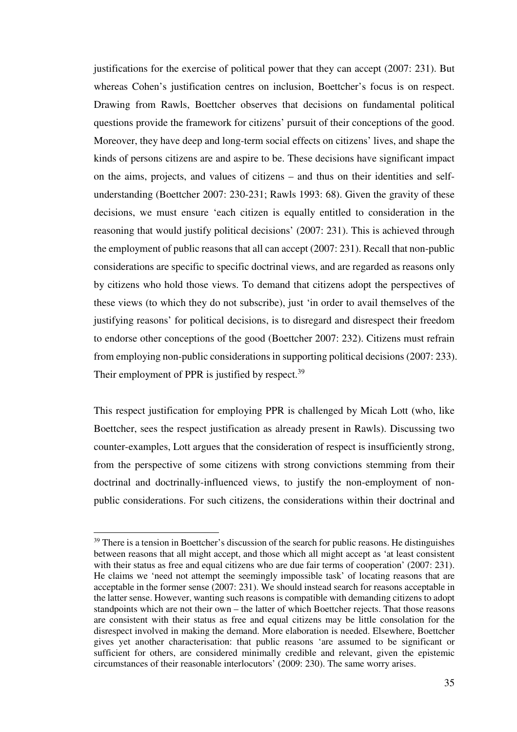justifications for the exercise of political power that they can accept (2007: 231). But whereas Cohen's justification centres on inclusion, Boettcher's focus is on respect. Drawing from Rawls, Boettcher observes that decisions on fundamental political questions provide the framework for citizens' pursuit of their conceptions of the good. Moreover, they have deep and long-term social effects on citizens' lives, and shape the kinds of persons citizens are and aspire to be. These decisions have significant impact on the aims, projects, and values of citizens – and thus on their identities and selfunderstanding (Boettcher 2007: 230-231; Rawls 1993: 68). Given the gravity of these decisions, we must ensure 'each citizen is equally entitled to consideration in the reasoning that would justify political decisions' (2007: 231). This is achieved through the employment of public reasons that all can accept (2007: 231). Recall that non-public considerations are specific to specific doctrinal views, and are regarded as reasons only by citizens who hold those views. To demand that citizens adopt the perspectives of these views (to which they do not subscribe), just 'in order to avail themselves of the justifying reasons' for political decisions, is to disregard and disrespect their freedom to endorse other conceptions of the good (Boettcher 2007: 232). Citizens must refrain from employing non-public considerations in supporting political decisions (2007: 233). Their employment of PPR is justified by respect.<sup>39</sup>

This respect justification for employing PPR is challenged by Micah Lott (who, like Boettcher, sees the respect justification as already present in Rawls). Discussing two counter-examples, Lott argues that the consideration of respect is insufficiently strong, from the perspective of some citizens with strong convictions stemming from their doctrinal and doctrinally-influenced views, to justify the non-employment of nonpublic considerations. For such citizens, the considerations within their doctrinal and

<sup>&</sup>lt;sup>39</sup> There is a tension in Boettcher's discussion of the search for public reasons. He distinguishes between reasons that all might accept, and those which all might accept as 'at least consistent with their status as free and equal citizens who are due fair terms of cooperation' (2007: 231). He claims we 'need not attempt the seemingly impossible task' of locating reasons that are acceptable in the former sense (2007: 231). We should instead search for reasons acceptable in the latter sense. However, wanting such reasons is compatible with demanding citizens to adopt standpoints which are not their own – the latter of which Boettcher rejects. That those reasons are consistent with their status as free and equal citizens may be little consolation for the disrespect involved in making the demand. More elaboration is needed. Elsewhere, Boettcher gives yet another characterisation: that public reasons 'are assumed to be significant or sufficient for others, are considered minimally credible and relevant, given the epistemic circumstances of their reasonable interlocutors' (2009: 230). The same worry arises.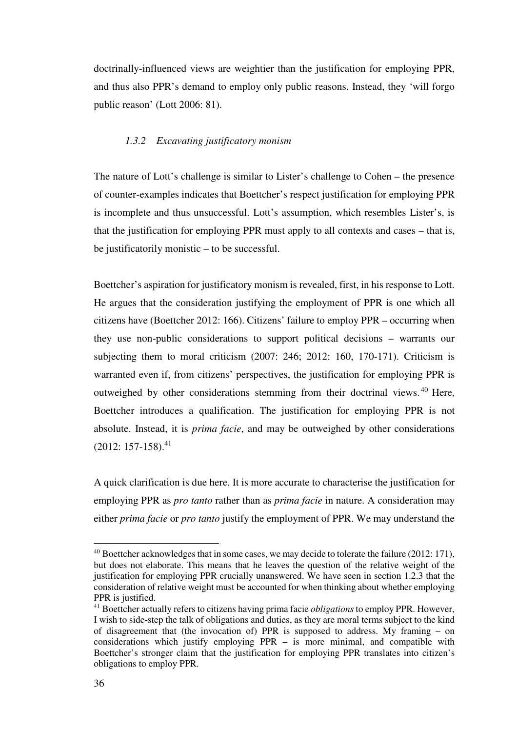doctrinally-influenced views are weightier than the justification for employing PPR, and thus also PPR's demand to employ only public reasons. Instead, they 'will forgo public reason' (Lott 2006: 81).

#### *1.3.2 Excavating justificatory monism*

The nature of Lott's challenge is similar to Lister's challenge to Cohen – the presence of counter-examples indicates that Boettcher's respect justification for employing PPR is incomplete and thus unsuccessful. Lott's assumption, which resembles Lister's, is that the justification for employing PPR must apply to all contexts and cases – that is, be justificatorily monistic – to be successful.

Boettcher's aspiration for justificatory monism is revealed, first, in his response to Lott. He argues that the consideration justifying the employment of PPR is one which all citizens have (Boettcher 2012: 166). Citizens' failure to employ PPR – occurring when they use non-public considerations to support political decisions – warrants our subjecting them to moral criticism (2007: 246; 2012: 160, 170-171). Criticism is warranted even if, from citizens' perspectives, the justification for employing PPR is outweighed by other considerations stemming from their doctrinal views. <sup>40</sup> Here, Boettcher introduces a qualification. The justification for employing PPR is not absolute. Instead, it is *prima facie*, and may be outweighed by other considerations  $(2012: 157-158).$ <sup>41</sup>

A quick clarification is due here. It is more accurate to characterise the justification for employing PPR as *pro tanto* rather than as *prima facie* in nature. A consideration may either *prima facie* or *pro tanto* justify the employment of PPR. We may understand the

 $40$  Boettcher acknowledges that in some cases, we may decide to tolerate the failure (2012: 171), but does not elaborate. This means that he leaves the question of the relative weight of the justification for employing PPR crucially unanswered. We have seen in section 1.2.3 that the consideration of relative weight must be accounted for when thinking about whether employing PPR is justified.

<sup>41</sup> Boettcher actually refers to citizens having prima facie *obligations* to employ PPR. However, I wish to side-step the talk of obligations and duties, as they are moral terms subject to the kind of disagreement that (the invocation of) PPR is supposed to address. My framing – on considerations which justify employing PPR – is more minimal, and compatible with Boettcher's stronger claim that the justification for employing PPR translates into citizen's obligations to employ PPR.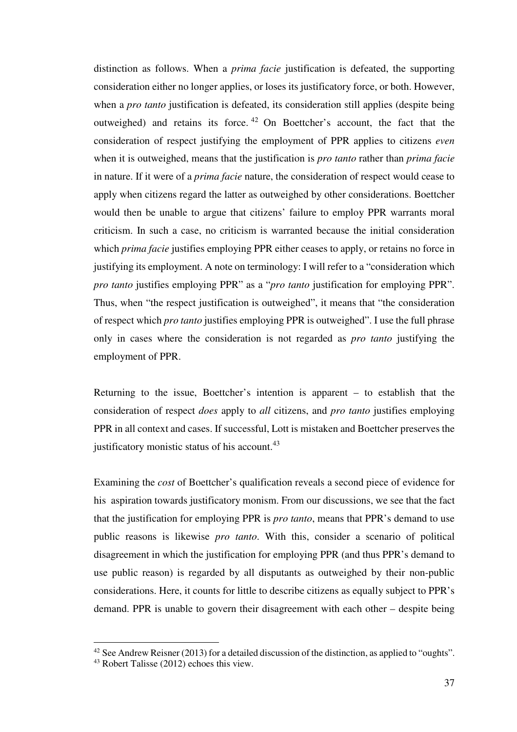distinction as follows. When a *prima facie* justification is defeated, the supporting consideration either no longer applies, or loses its justificatory force, or both. However, when a *pro tanto* justification is defeated, its consideration still applies (despite being outweighed) and retains its force. <sup>42</sup> On Boettcher's account, the fact that the consideration of respect justifying the employment of PPR applies to citizens *even* when it is outweighed, means that the justification is *pro tanto* rather than *prima facie* in nature. If it were of a *prima facie* nature, the consideration of respect would cease to apply when citizens regard the latter as outweighed by other considerations. Boettcher would then be unable to argue that citizens' failure to employ PPR warrants moral criticism. In such a case, no criticism is warranted because the initial consideration which *prima facie* justifies employing PPR either ceases to apply, or retains no force in justifying its employment. A note on terminology: I will refer to a "consideration which *pro tanto* justifies employing PPR" as a "*pro tanto* justification for employing PPR". Thus, when "the respect justification is outweighed", it means that "the consideration of respect which *pro tanto* justifies employing PPR is outweighed". I use the full phrase only in cases where the consideration is not regarded as *pro tanto* justifying the employment of PPR.

Returning to the issue, Boettcher's intention is apparent – to establish that the consideration of respect *does* apply to *all* citizens, and *pro tanto* justifies employing PPR in all context and cases. If successful, Lott is mistaken and Boettcher preserves the justificatory monistic status of his account.<sup>43</sup>

Examining the *cost* of Boettcher's qualification reveals a second piece of evidence for his aspiration towards justificatory monism. From our discussions, we see that the fact that the justification for employing PPR is *pro tanto*, means that PPR's demand to use public reasons is likewise *pro tanto*. With this, consider a scenario of political disagreement in which the justification for employing PPR (and thus PPR's demand to use public reason) is regarded by all disputants as outweighed by their non-public considerations. Here, it counts for little to describe citizens as equally subject to PPR's demand. PPR is unable to govern their disagreement with each other – despite being

<sup>&</sup>lt;sup>42</sup> See Andrew Reisner (2013) for a detailed discussion of the distinction, as applied to "oughts".

<sup>43</sup> Robert Talisse (2012) echoes this view.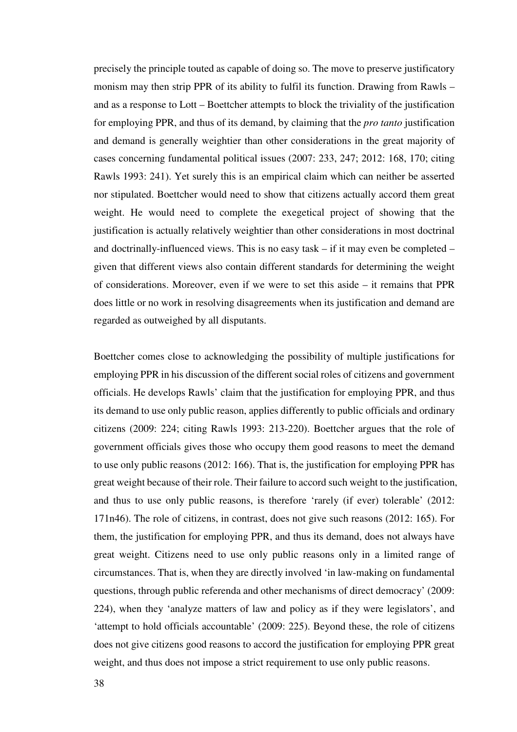precisely the principle touted as capable of doing so. The move to preserve justificatory monism may then strip PPR of its ability to fulfil its function. Drawing from Rawls – and as a response to Lott – Boettcher attempts to block the triviality of the justification for employing PPR, and thus of its demand, by claiming that the *pro tanto* justification and demand is generally weightier than other considerations in the great majority of cases concerning fundamental political issues (2007: 233, 247; 2012: 168, 170; citing Rawls 1993: 241). Yet surely this is an empirical claim which can neither be asserted nor stipulated. Boettcher would need to show that citizens actually accord them great weight. He would need to complete the exegetical project of showing that the justification is actually relatively weightier than other considerations in most doctrinal and doctrinally-influenced views. This is no easy task – if it may even be completed – given that different views also contain different standards for determining the weight of considerations. Moreover, even if we were to set this aside – it remains that PPR does little or no work in resolving disagreements when its justification and demand are regarded as outweighed by all disputants.

Boettcher comes close to acknowledging the possibility of multiple justifications for employing PPR in his discussion of the different social roles of citizens and government officials. He develops Rawls' claim that the justification for employing PPR, and thus its demand to use only public reason, applies differently to public officials and ordinary citizens (2009: 224; citing Rawls 1993: 213-220). Boettcher argues that the role of government officials gives those who occupy them good reasons to meet the demand to use only public reasons (2012: 166). That is, the justification for employing PPR has great weight because of their role. Their failure to accord such weight to the justification, and thus to use only public reasons, is therefore 'rarely (if ever) tolerable' (2012: 171n46). The role of citizens, in contrast, does not give such reasons (2012: 165). For them, the justification for employing PPR, and thus its demand, does not always have great weight. Citizens need to use only public reasons only in a limited range of circumstances. That is, when they are directly involved 'in law-making on fundamental questions, through public referenda and other mechanisms of direct democracy' (2009: 224), when they 'analyze matters of law and policy as if they were legislators', and 'attempt to hold officials accountable' (2009: 225). Beyond these, the role of citizens does not give citizens good reasons to accord the justification for employing PPR great weight, and thus does not impose a strict requirement to use only public reasons.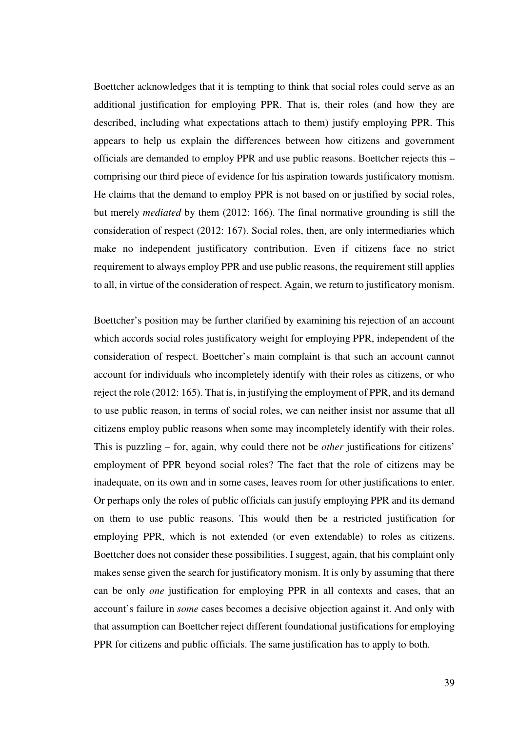Boettcher acknowledges that it is tempting to think that social roles could serve as an additional justification for employing PPR. That is, their roles (and how they are described, including what expectations attach to them) justify employing PPR. This appears to help us explain the differences between how citizens and government officials are demanded to employ PPR and use public reasons. Boettcher rejects this – comprising our third piece of evidence for his aspiration towards justificatory monism. He claims that the demand to employ PPR is not based on or justified by social roles, but merely *mediated* by them (2012: 166). The final normative grounding is still the consideration of respect (2012: 167). Social roles, then, are only intermediaries which make no independent justificatory contribution. Even if citizens face no strict requirement to always employ PPR and use public reasons, the requirement still applies to all, in virtue of the consideration of respect. Again, we return to justificatory monism.

Boettcher's position may be further clarified by examining his rejection of an account which accords social roles justificatory weight for employing PPR, independent of the consideration of respect. Boettcher's main complaint is that such an account cannot account for individuals who incompletely identify with their roles as citizens, or who reject the role (2012: 165). That is, in justifying the employment of PPR, and its demand to use public reason, in terms of social roles, we can neither insist nor assume that all citizens employ public reasons when some may incompletely identify with their roles. This is puzzling – for, again, why could there not be *other* justifications for citizens' employment of PPR beyond social roles? The fact that the role of citizens may be inadequate, on its own and in some cases, leaves room for other justifications to enter. Or perhaps only the roles of public officials can justify employing PPR and its demand on them to use public reasons. This would then be a restricted justification for employing PPR, which is not extended (or even extendable) to roles as citizens. Boettcher does not consider these possibilities. I suggest, again, that his complaint only makes sense given the search for justificatory monism. It is only by assuming that there can be only *one* justification for employing PPR in all contexts and cases, that an account's failure in *some* cases becomes a decisive objection against it. And only with that assumption can Boettcher reject different foundational justifications for employing PPR for citizens and public officials. The same justification has to apply to both.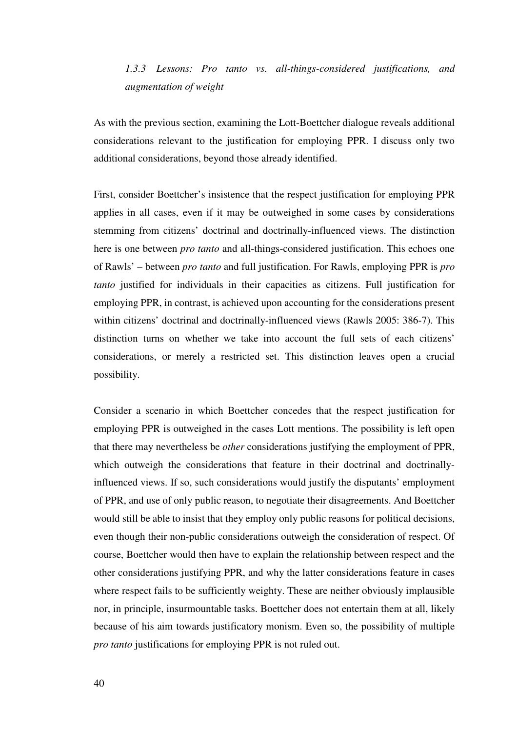# *1.3.3 Lessons: Pro tanto vs. all-things-considered justifications, and augmentation of weight*

As with the previous section, examining the Lott-Boettcher dialogue reveals additional considerations relevant to the justification for employing PPR. I discuss only two additional considerations, beyond those already identified.

First, consider Boettcher's insistence that the respect justification for employing PPR applies in all cases, even if it may be outweighed in some cases by considerations stemming from citizens' doctrinal and doctrinally-influenced views. The distinction here is one between *pro tanto* and all-things-considered justification. This echoes one of Rawls' – between *pro tanto* and full justification. For Rawls, employing PPR is *pro tanto* justified for individuals in their capacities as citizens. Full justification for employing PPR, in contrast, is achieved upon accounting for the considerations present within citizens' doctrinal and doctrinally-influenced views (Rawls 2005: 386-7). This distinction turns on whether we take into account the full sets of each citizens' considerations, or merely a restricted set. This distinction leaves open a crucial possibility.

Consider a scenario in which Boettcher concedes that the respect justification for employing PPR is outweighed in the cases Lott mentions. The possibility is left open that there may nevertheless be *other* considerations justifying the employment of PPR, which outweigh the considerations that feature in their doctrinal and doctrinallyinfluenced views. If so, such considerations would justify the disputants' employment of PPR, and use of only public reason, to negotiate their disagreements. And Boettcher would still be able to insist that they employ only public reasons for political decisions, even though their non-public considerations outweigh the consideration of respect. Of course, Boettcher would then have to explain the relationship between respect and the other considerations justifying PPR, and why the latter considerations feature in cases where respect fails to be sufficiently weighty. These are neither obviously implausible nor, in principle, insurmountable tasks. Boettcher does not entertain them at all, likely because of his aim towards justificatory monism. Even so, the possibility of multiple *pro tanto* justifications for employing PPR is not ruled out.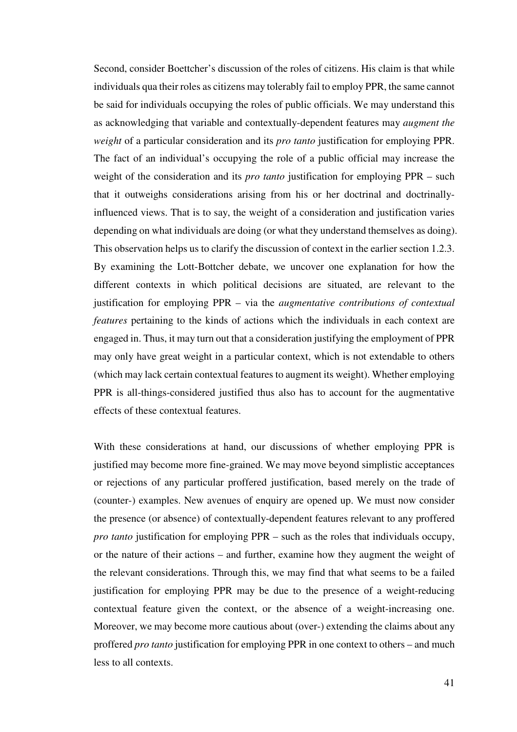Second, consider Boettcher's discussion of the roles of citizens. His claim is that while individuals qua their roles as citizens may tolerably fail to employ PPR, the same cannot be said for individuals occupying the roles of public officials. We may understand this as acknowledging that variable and contextually-dependent features may *augment the weight* of a particular consideration and its *pro tanto* justification for employing PPR. The fact of an individual's occupying the role of a public official may increase the weight of the consideration and its *pro tanto* justification for employing PPR – such that it outweighs considerations arising from his or her doctrinal and doctrinallyinfluenced views. That is to say, the weight of a consideration and justification varies depending on what individuals are doing (or what they understand themselves as doing). This observation helps us to clarify the discussion of context in the earlier section 1.2.3. By examining the Lott-Bottcher debate, we uncover one explanation for how the different contexts in which political decisions are situated, are relevant to the justification for employing PPR – via the *augmentative contributions of contextual features* pertaining to the kinds of actions which the individuals in each context are engaged in. Thus, it may turn out that a consideration justifying the employment of PPR may only have great weight in a particular context, which is not extendable to others (which may lack certain contextual features to augment its weight). Whether employing PPR is all-things-considered justified thus also has to account for the augmentative effects of these contextual features.

With these considerations at hand, our discussions of whether employing PPR is justified may become more fine-grained. We may move beyond simplistic acceptances or rejections of any particular proffered justification, based merely on the trade of (counter-) examples. New avenues of enquiry are opened up. We must now consider the presence (or absence) of contextually-dependent features relevant to any proffered *pro tanto* justification for employing PPR – such as the roles that individuals occupy, or the nature of their actions – and further, examine how they augment the weight of the relevant considerations. Through this, we may find that what seems to be a failed justification for employing PPR may be due to the presence of a weight-reducing contextual feature given the context, or the absence of a weight-increasing one. Moreover, we may become more cautious about (over-) extending the claims about any proffered *pro tanto* justification for employing PPR in one context to others – and much less to all contexts.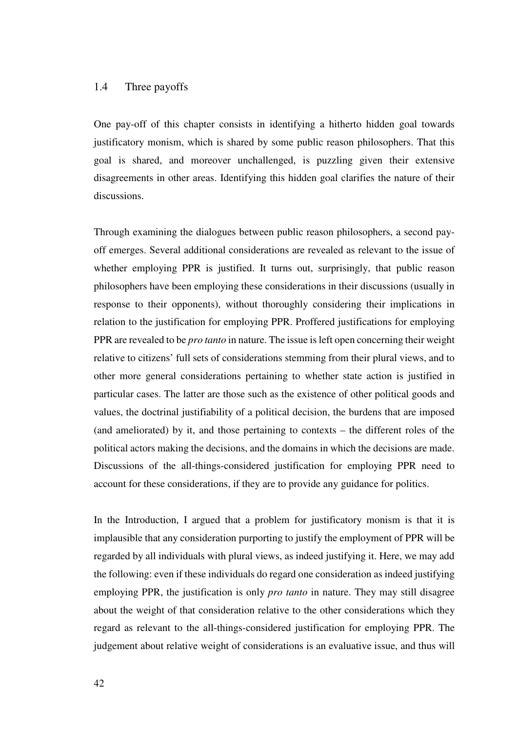## 1.4 Three payoffs

One pay-off of this chapter consists in identifying a hitherto hidden goal towards justificatory monism, which is shared by some public reason philosophers. That this goal is shared, and moreover unchallenged, is puzzling given their extensive disagreements in other areas. Identifying this hidden goal clarifies the nature of their discussions.

Through examining the dialogues between public reason philosophers, a second payoff emerges. Several additional considerations are revealed as relevant to the issue of whether employing PPR is justified. It turns out, surprisingly, that public reason philosophers have been employing these considerations in their discussions (usually in response to their opponents), without thoroughly considering their implications in relation to the justification for employing PPR. Proffered justifications for employing PPR are revealed to be *pro tanto* in nature. The issue is left open concerning their weight relative to citizens' full sets of considerations stemming from their plural views, and to other more general considerations pertaining to whether state action is justified in particular cases. The latter are those such as the existence of other political goods and values, the doctrinal justifiability of a political decision, the burdens that are imposed (and ameliorated) by it, and those pertaining to contexts – the different roles of the political actors making the decisions, and the domains in which the decisions are made. Discussions of the all-things-considered justification for employing PPR need to account for these considerations, if they are to provide any guidance for politics.

In the Introduction, I argued that a problem for justificatory monism is that it is implausible that any consideration purporting to justify the employment of PPR will be regarded by all individuals with plural views, as indeed justifying it. Here, we may add the following: even if these individuals do regard one consideration as indeed justifying employing PPR, the justification is only *pro tanto* in nature. They may still disagree about the weight of that consideration relative to the other considerations which they regard as relevant to the all-things-considered justification for employing PPR. The judgement about relative weight of considerations is an evaluative issue, and thus will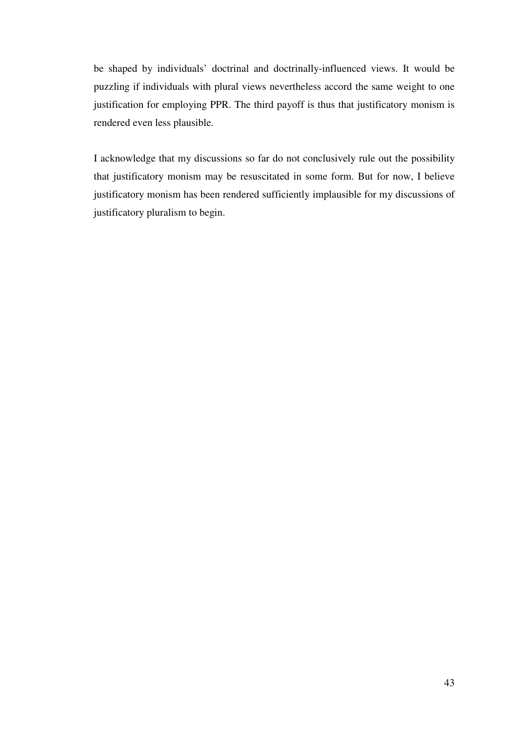be shaped by individuals' doctrinal and doctrinally-influenced views. It would be puzzling if individuals with plural views nevertheless accord the same weight to one justification for employing PPR. The third payoff is thus that justificatory monism is rendered even less plausible.

I acknowledge that my discussions so far do not conclusively rule out the possibility that justificatory monism may be resuscitated in some form. But for now, I believe justificatory monism has been rendered sufficiently implausible for my discussions of justificatory pluralism to begin.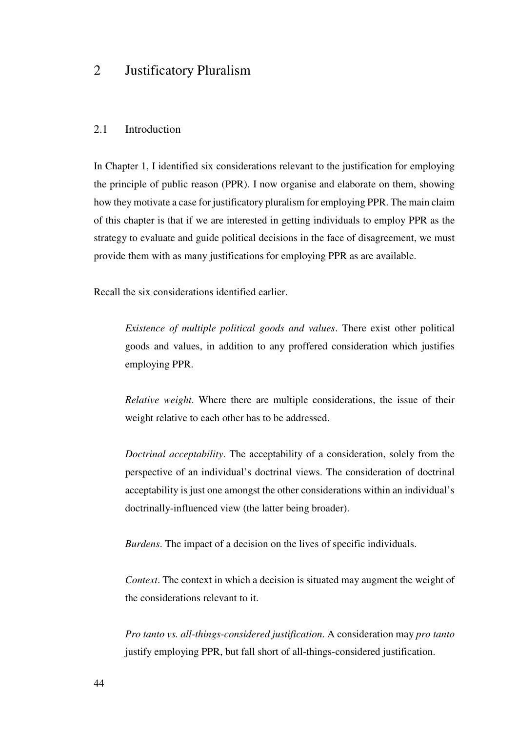## 2 Justificatory Pluralism

## 2.1 Introduction

In Chapter 1, I identified six considerations relevant to the justification for employing the principle of public reason (PPR). I now organise and elaborate on them, showing how they motivate a case for justificatory pluralism for employing PPR. The main claim of this chapter is that if we are interested in getting individuals to employ PPR as the strategy to evaluate and guide political decisions in the face of disagreement, we must provide them with as many justifications for employing PPR as are available.

Recall the six considerations identified earlier.

*Existence of multiple political goods and values*. There exist other political goods and values, in addition to any proffered consideration which justifies employing PPR.

*Relative weight*. Where there are multiple considerations, the issue of their weight relative to each other has to be addressed.

*Doctrinal acceptability*. The acceptability of a consideration, solely from the perspective of an individual's doctrinal views. The consideration of doctrinal acceptability is just one amongst the other considerations within an individual's doctrinally-influenced view (the latter being broader).

*Burdens*. The impact of a decision on the lives of specific individuals.

*Context*. The context in which a decision is situated may augment the weight of the considerations relevant to it.

*Pro tanto vs. all-things-considered justification*. A consideration may *pro tanto* justify employing PPR, but fall short of all-things-considered justification.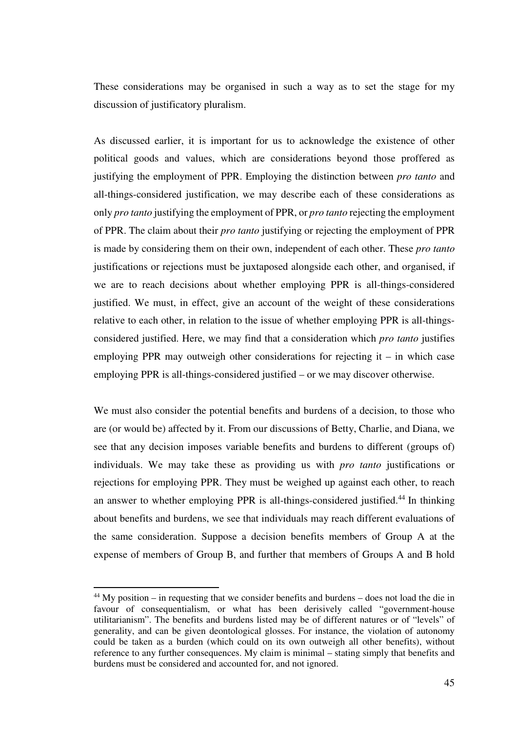These considerations may be organised in such a way as to set the stage for my discussion of justificatory pluralism.

As discussed earlier, it is important for us to acknowledge the existence of other political goods and values, which are considerations beyond those proffered as justifying the employment of PPR. Employing the distinction between *pro tanto* and all-things-considered justification, we may describe each of these considerations as only *pro tanto* justifying the employment of PPR, or *pro tanto* rejecting the employment of PPR. The claim about their *pro tanto* justifying or rejecting the employment of PPR is made by considering them on their own, independent of each other. These *pro tanto* justifications or rejections must be juxtaposed alongside each other, and organised, if we are to reach decisions about whether employing PPR is all-things-considered justified. We must, in effect, give an account of the weight of these considerations relative to each other, in relation to the issue of whether employing PPR is all-thingsconsidered justified. Here, we may find that a consideration which *pro tanto* justifies employing PPR may outweigh other considerations for rejecting it – in which case employing PPR is all-things-considered justified – or we may discover otherwise.

We must also consider the potential benefits and burdens of a decision, to those who are (or would be) affected by it. From our discussions of Betty, Charlie, and Diana, we see that any decision imposes variable benefits and burdens to different (groups of) individuals. We may take these as providing us with *pro tanto* justifications or rejections for employing PPR. They must be weighed up against each other, to reach an answer to whether employing PPR is all-things-considered justified.<sup>44</sup> In thinking about benefits and burdens, we see that individuals may reach different evaluations of the same consideration. Suppose a decision benefits members of Group A at the expense of members of Group B, and further that members of Groups A and B hold

 $\overline{a}$ 

<sup>44</sup> My position – in requesting that we consider benefits and burdens – does not load the die in favour of consequentialism, or what has been derisively called "government-house utilitarianism". The benefits and burdens listed may be of different natures or of "levels" of generality, and can be given deontological glosses. For instance, the violation of autonomy could be taken as a burden (which could on its own outweigh all other benefits), without reference to any further consequences. My claim is minimal – stating simply that benefits and burdens must be considered and accounted for, and not ignored.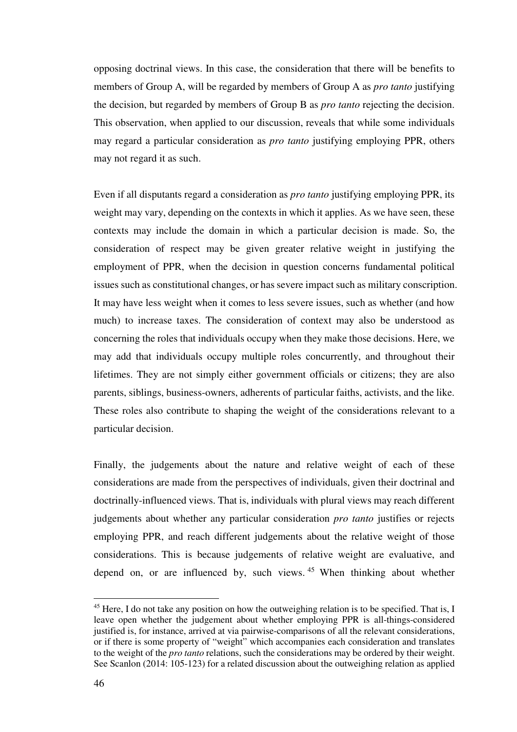opposing doctrinal views. In this case, the consideration that there will be benefits to members of Group A, will be regarded by members of Group A as *pro tanto* justifying the decision, but regarded by members of Group B as *pro tanto* rejecting the decision. This observation, when applied to our discussion, reveals that while some individuals may regard a particular consideration as *pro tanto* justifying employing PPR, others may not regard it as such.

Even if all disputants regard a consideration as *pro tanto* justifying employing PPR, its weight may vary, depending on the contexts in which it applies. As we have seen, these contexts may include the domain in which a particular decision is made. So, the consideration of respect may be given greater relative weight in justifying the employment of PPR, when the decision in question concerns fundamental political issues such as constitutional changes, or has severe impact such as military conscription. It may have less weight when it comes to less severe issues, such as whether (and how much) to increase taxes. The consideration of context may also be understood as concerning the roles that individuals occupy when they make those decisions. Here, we may add that individuals occupy multiple roles concurrently, and throughout their lifetimes. They are not simply either government officials or citizens; they are also parents, siblings, business-owners, adherents of particular faiths, activists, and the like. These roles also contribute to shaping the weight of the considerations relevant to a particular decision.

Finally, the judgements about the nature and relative weight of each of these considerations are made from the perspectives of individuals, given their doctrinal and doctrinally-influenced views. That is, individuals with plural views may reach different judgements about whether any particular consideration *pro tanto* justifies or rejects employing PPR, and reach different judgements about the relative weight of those considerations. This is because judgements of relative weight are evaluative, and depend on, or are influenced by, such views.<sup>45</sup> When thinking about whether

<sup>&</sup>lt;sup>45</sup> Here, I do not take any position on how the outweighing relation is to be specified. That is, I leave open whether the judgement about whether employing PPR is all-things-considered justified is, for instance, arrived at via pairwise-comparisons of all the relevant considerations, or if there is some property of "weight" which accompanies each consideration and translates to the weight of the *pro tanto* relations, such the considerations may be ordered by their weight. See Scanlon (2014: 105-123) for a related discussion about the outweighing relation as applied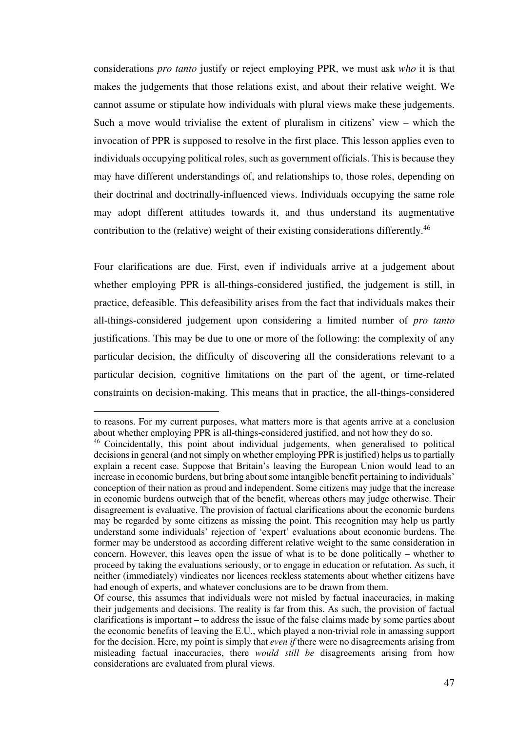considerations *pro tanto* justify or reject employing PPR, we must ask *who* it is that makes the judgements that those relations exist, and about their relative weight. We cannot assume or stipulate how individuals with plural views make these judgements. Such a move would trivialise the extent of pluralism in citizens' view – which the invocation of PPR is supposed to resolve in the first place. This lesson applies even to individuals occupying political roles, such as government officials. This is because they may have different understandings of, and relationships to, those roles, depending on their doctrinal and doctrinally-influenced views. Individuals occupying the same role may adopt different attitudes towards it, and thus understand its augmentative contribution to the (relative) weight of their existing considerations differently.<sup>46</sup>

Four clarifications are due. First, even if individuals arrive at a judgement about whether employing PPR is all-things-considered justified, the judgement is still, in practice, defeasible. This defeasibility arises from the fact that individuals makes their all-things-considered judgement upon considering a limited number of *pro tanto* justifications. This may be due to one or more of the following: the complexity of any particular decision, the difficulty of discovering all the considerations relevant to a particular decision, cognitive limitations on the part of the agent, or time-related constraints on decision-making. This means that in practice, the all-things-considered

to reasons. For my current purposes, what matters more is that agents arrive at a conclusion about whether employing PPR is all-things-considered justified, and not how they do so.

<sup>46</sup> Coincidentally, this point about individual judgements, when generalised to political decisions in general (and not simply on whether employing PPR is justified) helps us to partially explain a recent case. Suppose that Britain's leaving the European Union would lead to an increase in economic burdens, but bring about some intangible benefit pertaining to individuals' conception of their nation as proud and independent. Some citizens may judge that the increase in economic burdens outweigh that of the benefit, whereas others may judge otherwise. Their disagreement is evaluative. The provision of factual clarifications about the economic burdens may be regarded by some citizens as missing the point. This recognition may help us partly understand some individuals' rejection of 'expert' evaluations about economic burdens. The former may be understood as according different relative weight to the same consideration in concern. However, this leaves open the issue of what is to be done politically – whether to proceed by taking the evaluations seriously, or to engage in education or refutation. As such, it neither (immediately) vindicates nor licences reckless statements about whether citizens have had enough of experts, and whatever conclusions are to be drawn from them.

Of course, this assumes that individuals were not misled by factual inaccuracies, in making their judgements and decisions. The reality is far from this. As such, the provision of factual clarifications is important – to address the issue of the false claims made by some parties about the economic benefits of leaving the E.U., which played a non-trivial role in amassing support for the decision. Here, my point is simply that *even if* there were no disagreements arising from misleading factual inaccuracies, there *would still be* disagreements arising from how considerations are evaluated from plural views.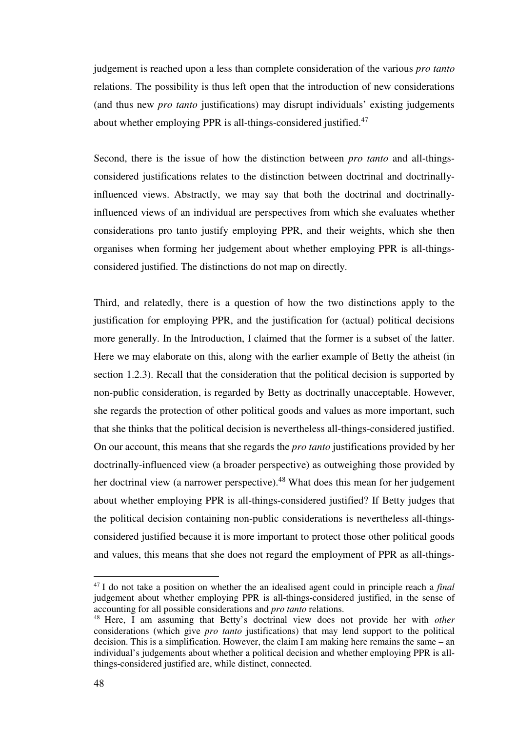judgement is reached upon a less than complete consideration of the various *pro tanto* relations. The possibility is thus left open that the introduction of new considerations (and thus new *pro tanto* justifications) may disrupt individuals' existing judgements about whether employing PPR is all-things-considered justified.<sup>47</sup>

Second, there is the issue of how the distinction between *pro tanto* and all-thingsconsidered justifications relates to the distinction between doctrinal and doctrinallyinfluenced views. Abstractly, we may say that both the doctrinal and doctrinallyinfluenced views of an individual are perspectives from which she evaluates whether considerations pro tanto justify employing PPR, and their weights, which she then organises when forming her judgement about whether employing PPR is all-thingsconsidered justified. The distinctions do not map on directly.

Third, and relatedly, there is a question of how the two distinctions apply to the justification for employing PPR, and the justification for (actual) political decisions more generally. In the Introduction, I claimed that the former is a subset of the latter. Here we may elaborate on this, along with the earlier example of Betty the atheist (in section 1.2.3). Recall that the consideration that the political decision is supported by non-public consideration, is regarded by Betty as doctrinally unacceptable. However, she regards the protection of other political goods and values as more important, such that she thinks that the political decision is nevertheless all-things-considered justified. On our account, this means that she regards the *pro tanto* justifications provided by her doctrinally-influenced view (a broader perspective) as outweighing those provided by her doctrinal view (a narrower perspective).<sup>48</sup> What does this mean for her judgement about whether employing PPR is all-things-considered justified? If Betty judges that the political decision containing non-public considerations is nevertheless all-thingsconsidered justified because it is more important to protect those other political goods and values, this means that she does not regard the employment of PPR as all-things-

<sup>47</sup> I do not take a position on whether the an idealised agent could in principle reach a *final* judgement about whether employing PPR is all-things-considered justified, in the sense of accounting for all possible considerations and *pro tanto* relations.

<sup>48</sup> Here, I am assuming that Betty's doctrinal view does not provide her with *other* considerations (which give *pro tanto* justifications) that may lend support to the political decision. This is a simplification. However, the claim I am making here remains the same – an individual's judgements about whether a political decision and whether employing PPR is allthings-considered justified are, while distinct, connected.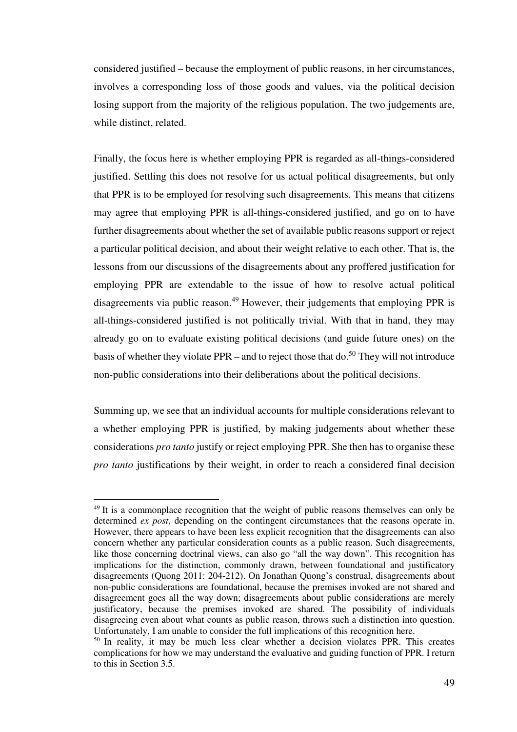considered justified – because the employment of public reasons, in her circumstances, involves a corresponding loss of those goods and values, via the political decision losing support from the majority of the religious population. The two judgements are, while distinct, related.

Finally, the focus here is whether employing PPR is regarded as all-things-considered justified. Settling this does not resolve for us actual political disagreements, but only that PPR is to be employed for resolving such disagreements. This means that citizens may agree that employing PPR is all-things-considered justified, and go on to have further disagreements about whether the set of available public reasons support or reject a particular political decision, and about their weight relative to each other. That is, the lessons from our discussions of the disagreements about any proffered justification for employing PPR are extendable to the issue of how to resolve actual political disagreements via public reason.<sup>49</sup> However, their judgements that employing PPR is all-things-considered justified is not politically trivial. With that in hand, they may already go on to evaluate existing political decisions (and guide future ones) on the basis of whether they violate PPR – and to reject those that do.<sup>50</sup> They will not introduce non-public considerations into their deliberations about the political decisions.

Summing up, we see that an individual accounts for multiple considerations relevant to a whether employing PPR is justified, by making judgements about whether these considerations *pro tanto* justify or reject employing PPR. She then has to organise these *pro tanto* justifications by their weight, in order to reach a considered final decision

 $\overline{a}$ 

<sup>&</sup>lt;sup>49</sup> It is a commonplace recognition that the weight of public reasons themselves can only be determined *ex post*, depending on the contingent circumstances that the reasons operate in. However, there appears to have been less explicit recognition that the disagreements can also concern whether any particular consideration counts as a public reason. Such disagreements, like those concerning doctrinal views, can also go "all the way down". This recognition has implications for the distinction, commonly drawn, between foundational and justificatory disagreements (Quong 2011: 204-212). On Jonathan Quong's construal, disagreements about non-public considerations are foundational, because the premises invoked are not shared and disagreement goes all the way down; disagreements about public considerations are merely justificatory, because the premises invoked are shared. The possibility of individuals disagreeing even about what counts as public reason, throws such a distinction into question. Unfortunately, I am unable to consider the full implications of this recognition here.

<sup>&</sup>lt;sup>50</sup> In reality, it may be much less clear whether a decision violates PPR. This creates complications for how we may understand the evaluative and guiding function of PPR. I return to this in Section 3.5.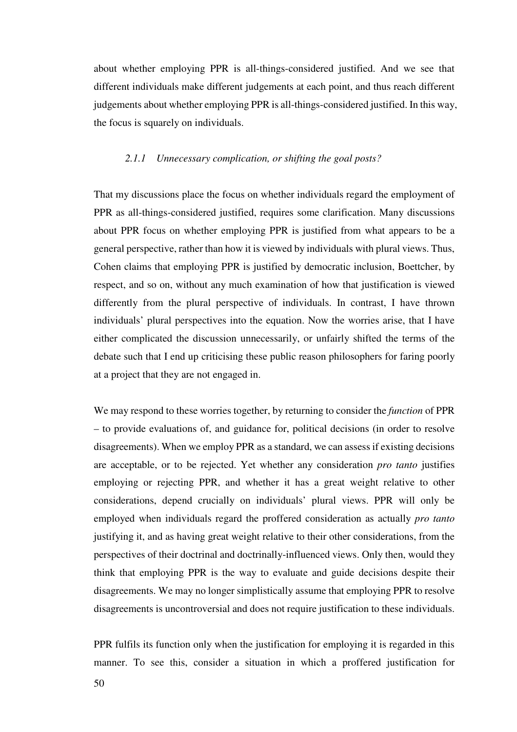about whether employing PPR is all-things-considered justified. And we see that different individuals make different judgements at each point, and thus reach different judgements about whether employing PPR is all-things-considered justified. In this way, the focus is squarely on individuals.

#### *2.1.1 Unnecessary complication, or shifting the goal posts?*

That my discussions place the focus on whether individuals regard the employment of PPR as all-things-considered justified, requires some clarification. Many discussions about PPR focus on whether employing PPR is justified from what appears to be a general perspective, rather than how it is viewed by individuals with plural views. Thus, Cohen claims that employing PPR is justified by democratic inclusion, Boettcher, by respect, and so on, without any much examination of how that justification is viewed differently from the plural perspective of individuals. In contrast, I have thrown individuals' plural perspectives into the equation. Now the worries arise, that I have either complicated the discussion unnecessarily, or unfairly shifted the terms of the debate such that I end up criticising these public reason philosophers for faring poorly at a project that they are not engaged in.

We may respond to these worries together, by returning to consider the *function* of PPR – to provide evaluations of, and guidance for, political decisions (in order to resolve disagreements). When we employ PPR as a standard, we can assess if existing decisions are acceptable, or to be rejected. Yet whether any consideration *pro tanto* justifies employing or rejecting PPR, and whether it has a great weight relative to other considerations, depend crucially on individuals' plural views. PPR will only be employed when individuals regard the proffered consideration as actually *pro tanto* justifying it, and as having great weight relative to their other considerations, from the perspectives of their doctrinal and doctrinally-influenced views. Only then, would they think that employing PPR is the way to evaluate and guide decisions despite their disagreements. We may no longer simplistically assume that employing PPR to resolve disagreements is uncontroversial and does not require justification to these individuals.

PPR fulfils its function only when the justification for employing it is regarded in this manner. To see this, consider a situation in which a proffered justification for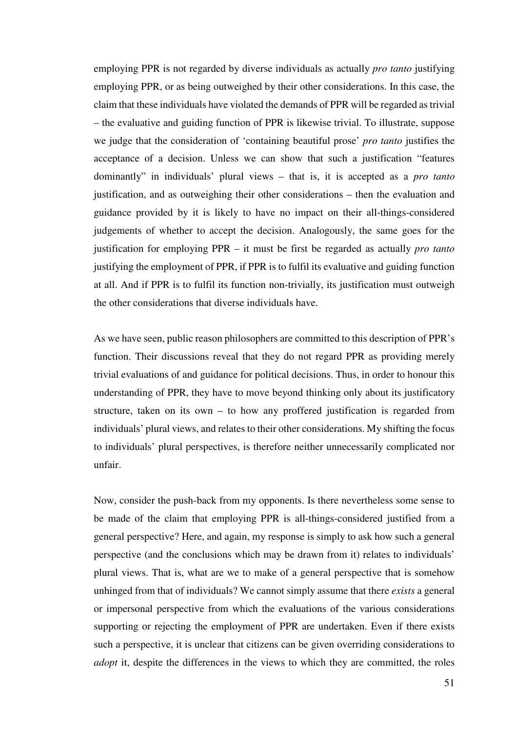employing PPR is not regarded by diverse individuals as actually *pro tanto* justifying employing PPR, or as being outweighed by their other considerations. In this case, the claim that these individuals have violated the demands of PPR will be regarded as trivial – the evaluative and guiding function of PPR is likewise trivial. To illustrate, suppose we judge that the consideration of 'containing beautiful prose' *pro tanto* justifies the acceptance of a decision. Unless we can show that such a justification "features dominantly" in individuals' plural views – that is, it is accepted as a *pro tanto* justification, and as outweighing their other considerations – then the evaluation and guidance provided by it is likely to have no impact on their all-things-considered judgements of whether to accept the decision. Analogously, the same goes for the justification for employing PPR – it must be first be regarded as actually *pro tanto* justifying the employment of PPR, if PPR is to fulfil its evaluative and guiding function at all. And if PPR is to fulfil its function non-trivially, its justification must outweigh the other considerations that diverse individuals have.

As we have seen, public reason philosophers are committed to this description of PPR's function. Their discussions reveal that they do not regard PPR as providing merely trivial evaluations of and guidance for political decisions. Thus, in order to honour this understanding of PPR, they have to move beyond thinking only about its justificatory structure, taken on its own – to how any proffered justification is regarded from individuals' plural views, and relates to their other considerations. My shifting the focus to individuals' plural perspectives, is therefore neither unnecessarily complicated nor unfair.

Now, consider the push-back from my opponents. Is there nevertheless some sense to be made of the claim that employing PPR is all-things-considered justified from a general perspective? Here, and again, my response is simply to ask how such a general perspective (and the conclusions which may be drawn from it) relates to individuals' plural views. That is, what are we to make of a general perspective that is somehow unhinged from that of individuals? We cannot simply assume that there *exists* a general or impersonal perspective from which the evaluations of the various considerations supporting or rejecting the employment of PPR are undertaken. Even if there exists such a perspective, it is unclear that citizens can be given overriding considerations to *adopt* it, despite the differences in the views to which they are committed, the roles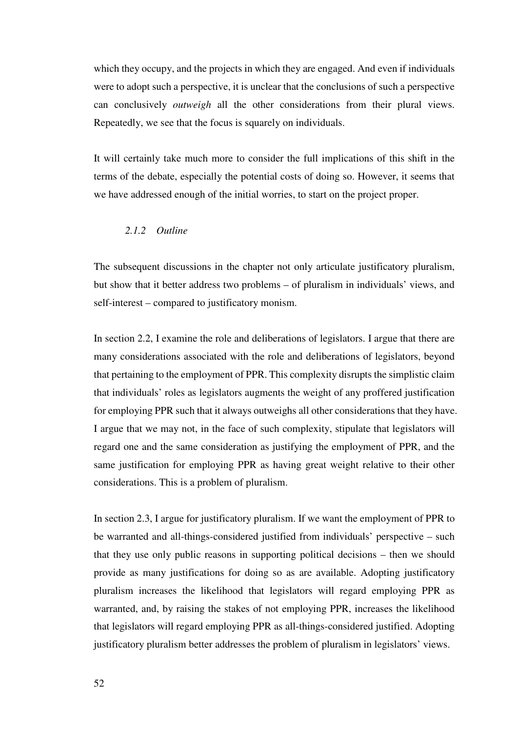which they occupy, and the projects in which they are engaged. And even if individuals were to adopt such a perspective, it is unclear that the conclusions of such a perspective can conclusively *outweigh* all the other considerations from their plural views. Repeatedly, we see that the focus is squarely on individuals.

It will certainly take much more to consider the full implications of this shift in the terms of the debate, especially the potential costs of doing so. However, it seems that we have addressed enough of the initial worries, to start on the project proper.

## *2.1.2 Outline*

The subsequent discussions in the chapter not only articulate justificatory pluralism, but show that it better address two problems – of pluralism in individuals' views, and self-interest – compared to justificatory monism.

In section 2.2, I examine the role and deliberations of legislators. I argue that there are many considerations associated with the role and deliberations of legislators, beyond that pertaining to the employment of PPR. This complexity disrupts the simplistic claim that individuals' roles as legislators augments the weight of any proffered justification for employing PPR such that it always outweighs all other considerations that they have. I argue that we may not, in the face of such complexity, stipulate that legislators will regard one and the same consideration as justifying the employment of PPR, and the same justification for employing PPR as having great weight relative to their other considerations. This is a problem of pluralism.

In section 2.3, I argue for justificatory pluralism. If we want the employment of PPR to be warranted and all-things-considered justified from individuals' perspective – such that they use only public reasons in supporting political decisions – then we should provide as many justifications for doing so as are available. Adopting justificatory pluralism increases the likelihood that legislators will regard employing PPR as warranted, and, by raising the stakes of not employing PPR, increases the likelihood that legislators will regard employing PPR as all-things-considered justified. Adopting justificatory pluralism better addresses the problem of pluralism in legislators' views.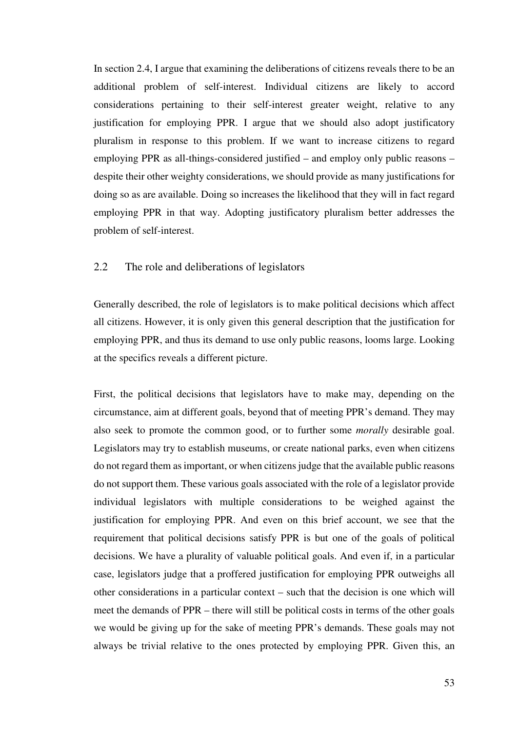In section 2.4, I argue that examining the deliberations of citizens reveals there to be an additional problem of self-interest. Individual citizens are likely to accord considerations pertaining to their self-interest greater weight, relative to any justification for employing PPR. I argue that we should also adopt justificatory pluralism in response to this problem. If we want to increase citizens to regard employing PPR as all-things-considered justified – and employ only public reasons – despite their other weighty considerations, we should provide as many justifications for doing so as are available. Doing so increases the likelihood that they will in fact regard employing PPR in that way. Adopting justificatory pluralism better addresses the problem of self-interest.

## 2.2 The role and deliberations of legislators

Generally described, the role of legislators is to make political decisions which affect all citizens. However, it is only given this general description that the justification for employing PPR, and thus its demand to use only public reasons, looms large. Looking at the specifics reveals a different picture.

First, the political decisions that legislators have to make may, depending on the circumstance, aim at different goals, beyond that of meeting PPR's demand. They may also seek to promote the common good, or to further some *morally* desirable goal. Legislators may try to establish museums, or create national parks, even when citizens do not regard them as important, or when citizens judge that the available public reasons do not support them. These various goals associated with the role of a legislator provide individual legislators with multiple considerations to be weighed against the justification for employing PPR. And even on this brief account, we see that the requirement that political decisions satisfy PPR is but one of the goals of political decisions. We have a plurality of valuable political goals. And even if, in a particular case, legislators judge that a proffered justification for employing PPR outweighs all other considerations in a particular context – such that the decision is one which will meet the demands of PPR – there will still be political costs in terms of the other goals we would be giving up for the sake of meeting PPR's demands. These goals may not always be trivial relative to the ones protected by employing PPR. Given this, an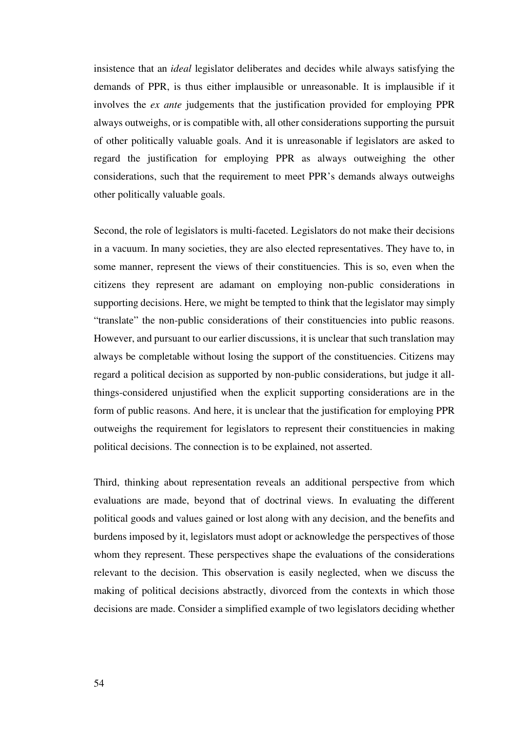insistence that an *ideal* legislator deliberates and decides while always satisfying the demands of PPR, is thus either implausible or unreasonable. It is implausible if it involves the *ex ante* judgements that the justification provided for employing PPR always outweighs, or is compatible with, all other considerations supporting the pursuit of other politically valuable goals. And it is unreasonable if legislators are asked to regard the justification for employing PPR as always outweighing the other considerations, such that the requirement to meet PPR's demands always outweighs other politically valuable goals.

Second, the role of legislators is multi-faceted. Legislators do not make their decisions in a vacuum. In many societies, they are also elected representatives. They have to, in some manner, represent the views of their constituencies. This is so, even when the citizens they represent are adamant on employing non-public considerations in supporting decisions. Here, we might be tempted to think that the legislator may simply "translate" the non-public considerations of their constituencies into public reasons. However, and pursuant to our earlier discussions, it is unclear that such translation may always be completable without losing the support of the constituencies. Citizens may regard a political decision as supported by non-public considerations, but judge it allthings-considered unjustified when the explicit supporting considerations are in the form of public reasons. And here, it is unclear that the justification for employing PPR outweighs the requirement for legislators to represent their constituencies in making political decisions. The connection is to be explained, not asserted.

Third, thinking about representation reveals an additional perspective from which evaluations are made, beyond that of doctrinal views. In evaluating the different political goods and values gained or lost along with any decision, and the benefits and burdens imposed by it, legislators must adopt or acknowledge the perspectives of those whom they represent. These perspectives shape the evaluations of the considerations relevant to the decision. This observation is easily neglected, when we discuss the making of political decisions abstractly, divorced from the contexts in which those decisions are made. Consider a simplified example of two legislators deciding whether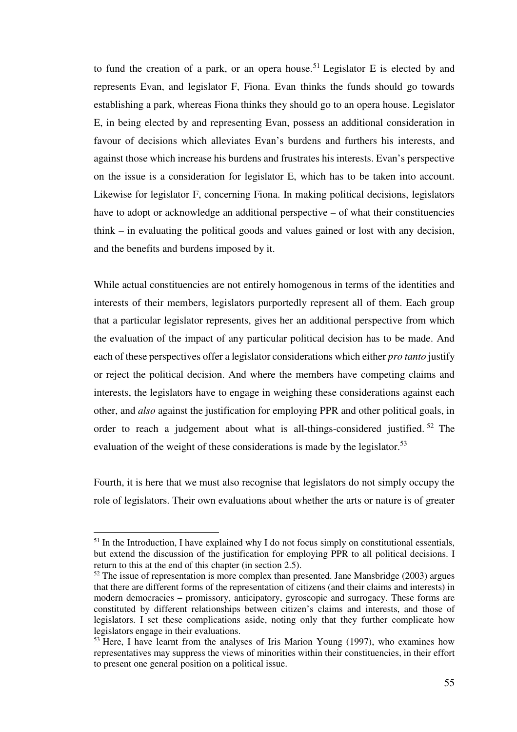to fund the creation of a park, or an opera house.<sup>51</sup> Legislator E is elected by and represents Evan, and legislator F, Fiona. Evan thinks the funds should go towards establishing a park, whereas Fiona thinks they should go to an opera house. Legislator E, in being elected by and representing Evan, possess an additional consideration in favour of decisions which alleviates Evan's burdens and furthers his interests, and against those which increase his burdens and frustrates his interests. Evan's perspective on the issue is a consideration for legislator E, which has to be taken into account. Likewise for legislator F, concerning Fiona. In making political decisions, legislators have to adopt or acknowledge an additional perspective – of what their constituencies think – in evaluating the political goods and values gained or lost with any decision, and the benefits and burdens imposed by it.

While actual constituencies are not entirely homogenous in terms of the identities and interests of their members, legislators purportedly represent all of them. Each group that a particular legislator represents, gives her an additional perspective from which the evaluation of the impact of any particular political decision has to be made. And each of these perspectives offer a legislator considerations which either *pro tanto* justify or reject the political decision. And where the members have competing claims and interests, the legislators have to engage in weighing these considerations against each other, and *also* against the justification for employing PPR and other political goals, in order to reach a judgement about what is all-things-considered justified.<sup>52</sup> The evaluation of the weight of these considerations is made by the legislator.<sup>53</sup>

Fourth, it is here that we must also recognise that legislators do not simply occupy the role of legislators. Their own evaluations about whether the arts or nature is of greater

 $<sup>51</sup>$  In the Introduction, I have explained why I do not focus simply on constitutional essentials,</sup> but extend the discussion of the justification for employing PPR to all political decisions. I return to this at the end of this chapter (in section 2.5).

 $52$  The issue of representation is more complex than presented. Jane Mansbridge (2003) argues that there are different forms of the representation of citizens (and their claims and interests) in modern democracies – promissory, anticipatory, gyroscopic and surrogacy. These forms are constituted by different relationships between citizen's claims and interests, and those of legislators. I set these complications aside, noting only that they further complicate how legislators engage in their evaluations.

<sup>&</sup>lt;sup>53</sup> Here, I have learnt from the analyses of Iris Marion Young (1997), who examines how representatives may suppress the views of minorities within their constituencies, in their effort to present one general position on a political issue.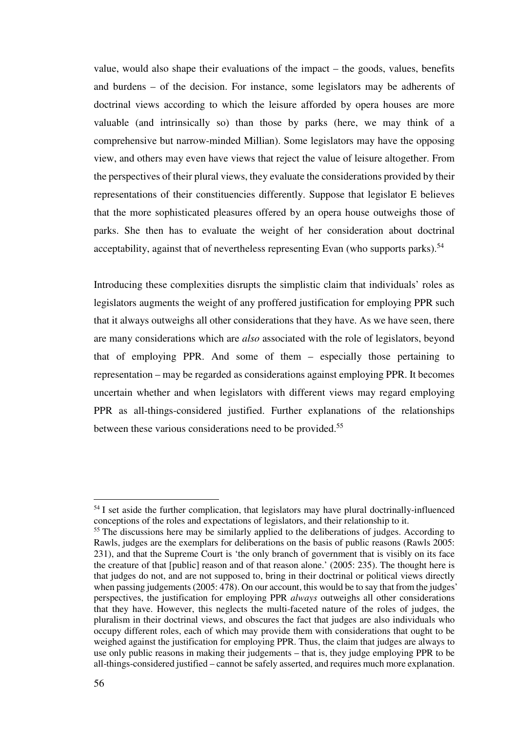value, would also shape their evaluations of the impact – the goods, values, benefits and burdens – of the decision. For instance, some legislators may be adherents of doctrinal views according to which the leisure afforded by opera houses are more valuable (and intrinsically so) than those by parks (here, we may think of a comprehensive but narrow-minded Millian). Some legislators may have the opposing view, and others may even have views that reject the value of leisure altogether. From the perspectives of their plural views, they evaluate the considerations provided by their representations of their constituencies differently. Suppose that legislator E believes that the more sophisticated pleasures offered by an opera house outweighs those of parks. She then has to evaluate the weight of her consideration about doctrinal acceptability, against that of nevertheless representing Evan (who supports parks).<sup>54</sup>

Introducing these complexities disrupts the simplistic claim that individuals' roles as legislators augments the weight of any proffered justification for employing PPR such that it always outweighs all other considerations that they have. As we have seen, there are many considerations which are *also* associated with the role of legislators, beyond that of employing PPR. And some of them – especially those pertaining to representation – may be regarded as considerations against employing PPR. It becomes uncertain whether and when legislators with different views may regard employing PPR as all-things-considered justified. Further explanations of the relationships between these various considerations need to be provided.<sup>55</sup>

 $\overline{a}$ 

<sup>&</sup>lt;sup>54</sup> I set aside the further complication, that legislators may have plural doctrinally-influenced conceptions of the roles and expectations of legislators, and their relationship to it.

<sup>&</sup>lt;sup>55</sup> The discussions here may be similarly applied to the deliberations of judges. According to Rawls, judges are the exemplars for deliberations on the basis of public reasons (Rawls 2005: 231), and that the Supreme Court is 'the only branch of government that is visibly on its face the creature of that [public] reason and of that reason alone.' (2005: 235). The thought here is that judges do not, and are not supposed to, bring in their doctrinal or political views directly when passing judgements (2005: 478). On our account, this would be to say that from the judges' perspectives, the justification for employing PPR *always* outweighs all other considerations that they have. However, this neglects the multi-faceted nature of the roles of judges, the pluralism in their doctrinal views, and obscures the fact that judges are also individuals who occupy different roles, each of which may provide them with considerations that ought to be weighed against the justification for employing PPR. Thus, the claim that judges are always to use only public reasons in making their judgements – that is, they judge employing PPR to be all-things-considered justified – cannot be safely asserted, and requires much more explanation.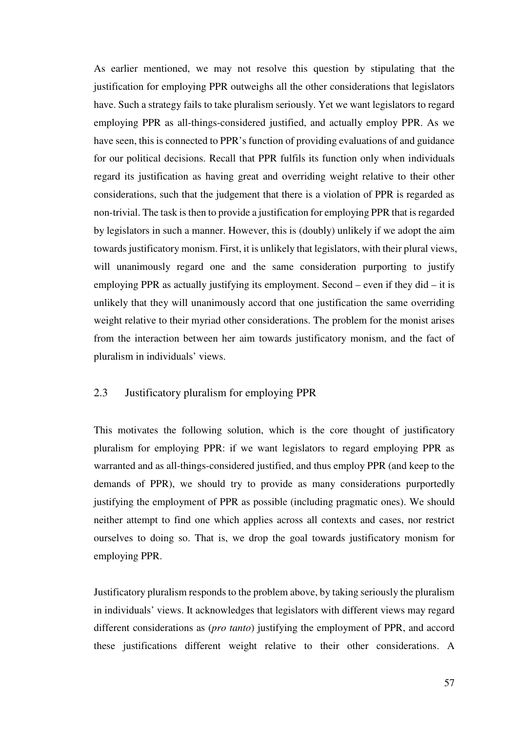As earlier mentioned, we may not resolve this question by stipulating that the justification for employing PPR outweighs all the other considerations that legislators have. Such a strategy fails to take pluralism seriously. Yet we want legislators to regard employing PPR as all-things-considered justified, and actually employ PPR. As we have seen, this is connected to PPR's function of providing evaluations of and guidance for our political decisions. Recall that PPR fulfils its function only when individuals regard its justification as having great and overriding weight relative to their other considerations, such that the judgement that there is a violation of PPR is regarded as non-trivial. The task is then to provide a justification for employing PPR that is regarded by legislators in such a manner. However, this is (doubly) unlikely if we adopt the aim towards justificatory monism. First, it is unlikely that legislators, with their plural views, will unanimously regard one and the same consideration purporting to justify employing PPR as actually justifying its employment. Second – even if they did – it is unlikely that they will unanimously accord that one justification the same overriding weight relative to their myriad other considerations. The problem for the monist arises from the interaction between her aim towards justificatory monism, and the fact of pluralism in individuals' views.

## 2.3 Justificatory pluralism for employing PPR

This motivates the following solution, which is the core thought of justificatory pluralism for employing PPR: if we want legislators to regard employing PPR as warranted and as all-things-considered justified, and thus employ PPR (and keep to the demands of PPR), we should try to provide as many considerations purportedly justifying the employment of PPR as possible (including pragmatic ones). We should neither attempt to find one which applies across all contexts and cases, nor restrict ourselves to doing so. That is, we drop the goal towards justificatory monism for employing PPR.

Justificatory pluralism responds to the problem above, by taking seriously the pluralism in individuals' views. It acknowledges that legislators with different views may regard different considerations as (*pro tanto*) justifying the employment of PPR, and accord these justifications different weight relative to their other considerations. A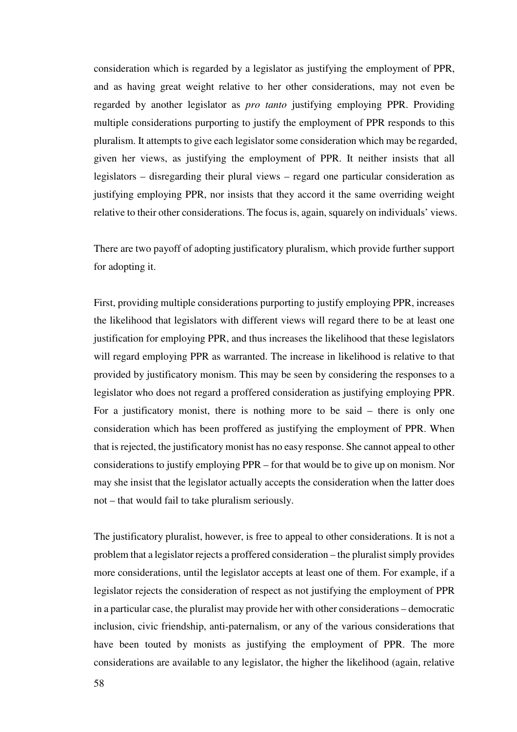consideration which is regarded by a legislator as justifying the employment of PPR, and as having great weight relative to her other considerations, may not even be regarded by another legislator as *pro tanto* justifying employing PPR. Providing multiple considerations purporting to justify the employment of PPR responds to this pluralism. It attempts to give each legislator some consideration which may be regarded, given her views, as justifying the employment of PPR. It neither insists that all legislators – disregarding their plural views – regard one particular consideration as justifying employing PPR, nor insists that they accord it the same overriding weight relative to their other considerations. The focus is, again, squarely on individuals' views.

There are two payoff of adopting justificatory pluralism, which provide further support for adopting it.

First, providing multiple considerations purporting to justify employing PPR, increases the likelihood that legislators with different views will regard there to be at least one justification for employing PPR, and thus increases the likelihood that these legislators will regard employing PPR as warranted. The increase in likelihood is relative to that provided by justificatory monism. This may be seen by considering the responses to a legislator who does not regard a proffered consideration as justifying employing PPR. For a justificatory monist, there is nothing more to be said – there is only one consideration which has been proffered as justifying the employment of PPR. When that is rejected, the justificatory monist has no easy response. She cannot appeal to other considerations to justify employing PPR – for that would be to give up on monism. Nor may she insist that the legislator actually accepts the consideration when the latter does not – that would fail to take pluralism seriously.

The justificatory pluralist, however, is free to appeal to other considerations. It is not a problem that a legislator rejects a proffered consideration – the pluralist simply provides more considerations, until the legislator accepts at least one of them. For example, if a legislator rejects the consideration of respect as not justifying the employment of PPR in a particular case, the pluralist may provide her with other considerations – democratic inclusion, civic friendship, anti-paternalism, or any of the various considerations that have been touted by monists as justifying the employment of PPR. The more considerations are available to any legislator, the higher the likelihood (again, relative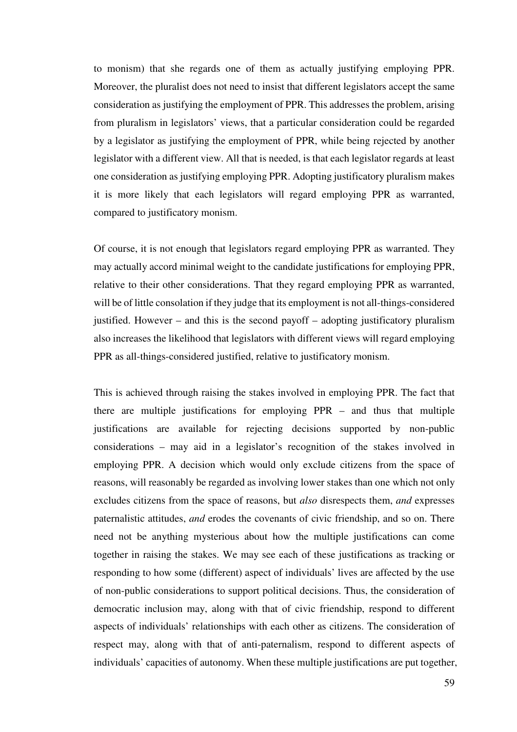to monism) that she regards one of them as actually justifying employing PPR. Moreover, the pluralist does not need to insist that different legislators accept the same consideration as justifying the employment of PPR. This addresses the problem, arising from pluralism in legislators' views, that a particular consideration could be regarded by a legislator as justifying the employment of PPR, while being rejected by another legislator with a different view. All that is needed, is that each legislator regards at least one consideration as justifying employing PPR. Adopting justificatory pluralism makes it is more likely that each legislators will regard employing PPR as warranted, compared to justificatory monism.

Of course, it is not enough that legislators regard employing PPR as warranted. They may actually accord minimal weight to the candidate justifications for employing PPR, relative to their other considerations. That they regard employing PPR as warranted, will be of little consolation if they judge that its employment is not all-things-considered justified. However – and this is the second payoff – adopting justificatory pluralism also increases the likelihood that legislators with different views will regard employing PPR as all-things-considered justified, relative to justificatory monism.

This is achieved through raising the stakes involved in employing PPR. The fact that there are multiple justifications for employing PPR – and thus that multiple justifications are available for rejecting decisions supported by non-public considerations – may aid in a legislator's recognition of the stakes involved in employing PPR. A decision which would only exclude citizens from the space of reasons, will reasonably be regarded as involving lower stakes than one which not only excludes citizens from the space of reasons, but *also* disrespects them, *and* expresses paternalistic attitudes, *and* erodes the covenants of civic friendship, and so on. There need not be anything mysterious about how the multiple justifications can come together in raising the stakes. We may see each of these justifications as tracking or responding to how some (different) aspect of individuals' lives are affected by the use of non-public considerations to support political decisions. Thus, the consideration of democratic inclusion may, along with that of civic friendship, respond to different aspects of individuals' relationships with each other as citizens. The consideration of respect may, along with that of anti-paternalism, respond to different aspects of individuals' capacities of autonomy. When these multiple justifications are put together,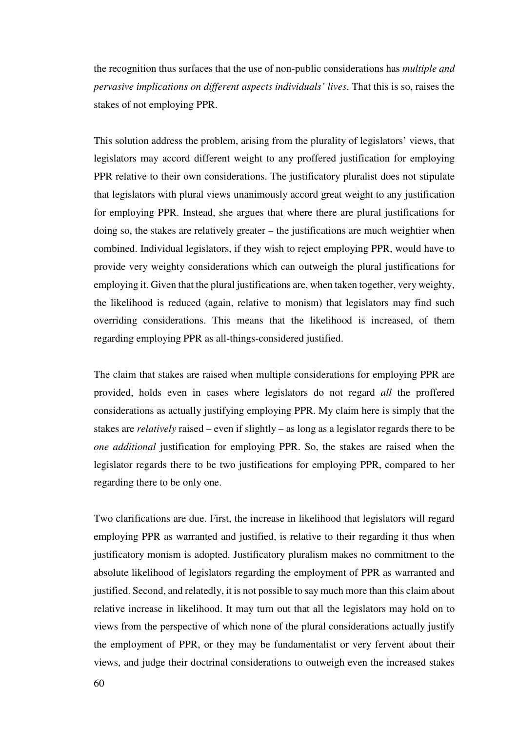the recognition thus surfaces that the use of non-public considerations has *multiple and pervasive implications on different aspects individuals' lives*. That this is so, raises the stakes of not employing PPR.

This solution address the problem, arising from the plurality of legislators' views, that legislators may accord different weight to any proffered justification for employing PPR relative to their own considerations. The justificatory pluralist does not stipulate that legislators with plural views unanimously accord great weight to any justification for employing PPR. Instead, she argues that where there are plural justifications for doing so, the stakes are relatively greater – the justifications are much weightier when combined. Individual legislators, if they wish to reject employing PPR, would have to provide very weighty considerations which can outweigh the plural justifications for employing it. Given that the plural justifications are, when taken together, very weighty, the likelihood is reduced (again, relative to monism) that legislators may find such overriding considerations. This means that the likelihood is increased, of them regarding employing PPR as all-things-considered justified.

The claim that stakes are raised when multiple considerations for employing PPR are provided, holds even in cases where legislators do not regard *all* the proffered considerations as actually justifying employing PPR. My claim here is simply that the stakes are *relatively* raised – even if slightly – as long as a legislator regards there to be *one additional* justification for employing PPR. So, the stakes are raised when the legislator regards there to be two justifications for employing PPR, compared to her regarding there to be only one.

Two clarifications are due. First, the increase in likelihood that legislators will regard employing PPR as warranted and justified, is relative to their regarding it thus when justificatory monism is adopted. Justificatory pluralism makes no commitment to the absolute likelihood of legislators regarding the employment of PPR as warranted and justified. Second, and relatedly, it is not possible to say much more than this claim about relative increase in likelihood. It may turn out that all the legislators may hold on to views from the perspective of which none of the plural considerations actually justify the employment of PPR, or they may be fundamentalist or very fervent about their views, and judge their doctrinal considerations to outweigh even the increased stakes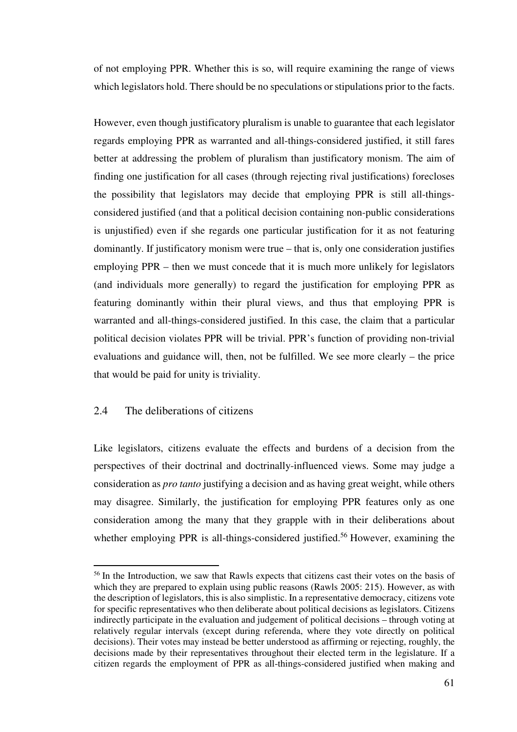of not employing PPR. Whether this is so, will require examining the range of views which legislators hold. There should be no speculations or stipulations prior to the facts.

However, even though justificatory pluralism is unable to guarantee that each legislator regards employing PPR as warranted and all-things-considered justified, it still fares better at addressing the problem of pluralism than justificatory monism. The aim of finding one justification for all cases (through rejecting rival justifications) forecloses the possibility that legislators may decide that employing PPR is still all-thingsconsidered justified (and that a political decision containing non-public considerations is unjustified) even if she regards one particular justification for it as not featuring dominantly. If justificatory monism were true – that is, only one consideration justifies employing PPR – then we must concede that it is much more unlikely for legislators (and individuals more generally) to regard the justification for employing PPR as featuring dominantly within their plural views, and thus that employing PPR is warranted and all-things-considered justified. In this case, the claim that a particular political decision violates PPR will be trivial. PPR's function of providing non-trivial evaluations and guidance will, then, not be fulfilled. We see more clearly – the price that would be paid for unity is triviality.

## 2.4 The deliberations of citizens

l

Like legislators, citizens evaluate the effects and burdens of a decision from the perspectives of their doctrinal and doctrinally-influenced views. Some may judge a consideration as *pro tanto* justifying a decision and as having great weight, while others may disagree. Similarly, the justification for employing PPR features only as one consideration among the many that they grapple with in their deliberations about whether employing PPR is all-things-considered justified.<sup>56</sup> However, examining the

<sup>&</sup>lt;sup>56</sup> In the Introduction, we saw that Rawls expects that citizens cast their votes on the basis of which they are prepared to explain using public reasons (Rawls 2005: 215). However, as with the description of legislators, this is also simplistic. In a representative democracy, citizens vote for specific representatives who then deliberate about political decisions as legislators. Citizens indirectly participate in the evaluation and judgement of political decisions – through voting at relatively regular intervals (except during referenda, where they vote directly on political decisions). Their votes may instead be better understood as affirming or rejecting, roughly, the decisions made by their representatives throughout their elected term in the legislature. If a citizen regards the employment of PPR as all-things-considered justified when making and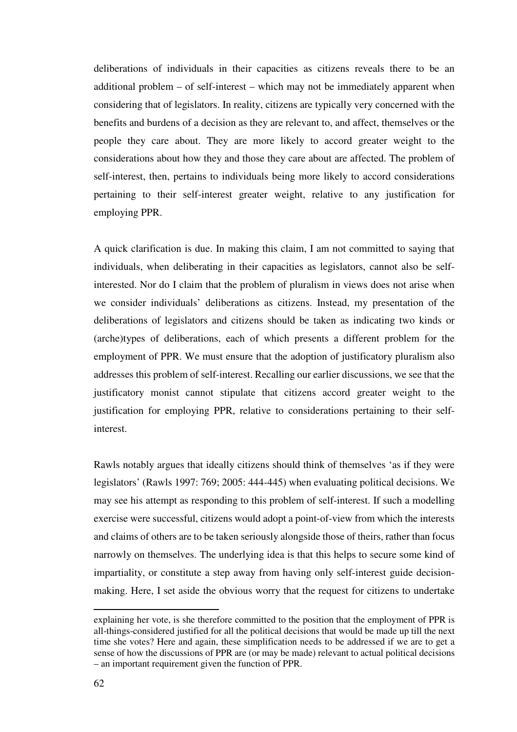deliberations of individuals in their capacities as citizens reveals there to be an additional problem – of self-interest – which may not be immediately apparent when considering that of legislators. In reality, citizens are typically very concerned with the benefits and burdens of a decision as they are relevant to, and affect, themselves or the people they care about. They are more likely to accord greater weight to the considerations about how they and those they care about are affected. The problem of self-interest, then, pertains to individuals being more likely to accord considerations pertaining to their self-interest greater weight, relative to any justification for employing PPR.

A quick clarification is due. In making this claim, I am not committed to saying that individuals, when deliberating in their capacities as legislators, cannot also be selfinterested. Nor do I claim that the problem of pluralism in views does not arise when we consider individuals' deliberations as citizens. Instead, my presentation of the deliberations of legislators and citizens should be taken as indicating two kinds or (arche)types of deliberations, each of which presents a different problem for the employment of PPR. We must ensure that the adoption of justificatory pluralism also addresses this problem of self-interest. Recalling our earlier discussions, we see that the justificatory monist cannot stipulate that citizens accord greater weight to the justification for employing PPR, relative to considerations pertaining to their selfinterest.

Rawls notably argues that ideally citizens should think of themselves 'as if they were legislators' (Rawls 1997: 769; 2005: 444-445) when evaluating political decisions. We may see his attempt as responding to this problem of self-interest. If such a modelling exercise were successful, citizens would adopt a point-of-view from which the interests and claims of others are to be taken seriously alongside those of theirs, rather than focus narrowly on themselves. The underlying idea is that this helps to secure some kind of impartiality, or constitute a step away from having only self-interest guide decisionmaking. Here, I set aside the obvious worry that the request for citizens to undertake

explaining her vote, is she therefore committed to the position that the employment of PPR is all-things-considered justified for all the political decisions that would be made up till the next time she votes? Here and again, these simplification needs to be addressed if we are to get a sense of how the discussions of PPR are (or may be made) relevant to actual political decisions – an important requirement given the function of PPR.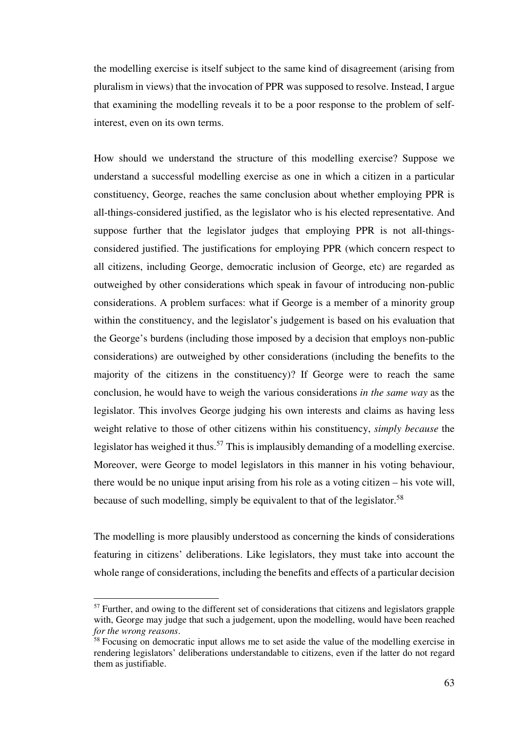the modelling exercise is itself subject to the same kind of disagreement (arising from pluralism in views) that the invocation of PPR was supposed to resolve. Instead, I argue that examining the modelling reveals it to be a poor response to the problem of selfinterest, even on its own terms.

How should we understand the structure of this modelling exercise? Suppose we understand a successful modelling exercise as one in which a citizen in a particular constituency, George, reaches the same conclusion about whether employing PPR is all-things-considered justified, as the legislator who is his elected representative. And suppose further that the legislator judges that employing PPR is not all-thingsconsidered justified. The justifications for employing PPR (which concern respect to all citizens, including George, democratic inclusion of George, etc) are regarded as outweighed by other considerations which speak in favour of introducing non-public considerations. A problem surfaces: what if George is a member of a minority group within the constituency, and the legislator's judgement is based on his evaluation that the George's burdens (including those imposed by a decision that employs non-public considerations) are outweighed by other considerations (including the benefits to the majority of the citizens in the constituency)? If George were to reach the same conclusion, he would have to weigh the various considerations *in the same way* as the legislator. This involves George judging his own interests and claims as having less weight relative to those of other citizens within his constituency, *simply because* the legislator has weighed it thus.<sup>57</sup> This is implausibly demanding of a modelling exercise. Moreover, were George to model legislators in this manner in his voting behaviour, there would be no unique input arising from his role as a voting citizen – his vote will, because of such modelling, simply be equivalent to that of the legislator.<sup>58</sup>

The modelling is more plausibly understood as concerning the kinds of considerations featuring in citizens' deliberations. Like legislators, they must take into account the whole range of considerations, including the benefits and effects of a particular decision

<sup>&</sup>lt;sup>57</sup> Further, and owing to the different set of considerations that citizens and legislators grapple with, George may judge that such a judgement, upon the modelling, would have been reached *for the wrong reasons*.

<sup>&</sup>lt;sup>58</sup> Focusing on democratic input allows me to set aside the value of the modelling exercise in rendering legislators' deliberations understandable to citizens, even if the latter do not regard them as justifiable.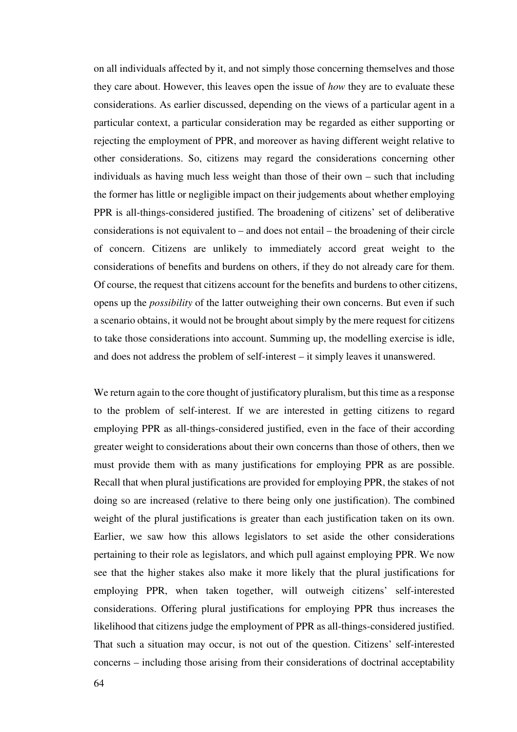on all individuals affected by it, and not simply those concerning themselves and those they care about. However, this leaves open the issue of *how* they are to evaluate these considerations. As earlier discussed, depending on the views of a particular agent in a particular context, a particular consideration may be regarded as either supporting or rejecting the employment of PPR, and moreover as having different weight relative to other considerations. So, citizens may regard the considerations concerning other individuals as having much less weight than those of their own – such that including the former has little or negligible impact on their judgements about whether employing PPR is all-things-considered justified. The broadening of citizens' set of deliberative considerations is not equivalent to – and does not entail – the broadening of their circle of concern. Citizens are unlikely to immediately accord great weight to the considerations of benefits and burdens on others, if they do not already care for them. Of course, the request that citizens account for the benefits and burdens to other citizens, opens up the *possibility* of the latter outweighing their own concerns. But even if such a scenario obtains, it would not be brought about simply by the mere request for citizens to take those considerations into account. Summing up, the modelling exercise is idle, and does not address the problem of self-interest – it simply leaves it unanswered.

We return again to the core thought of justificatory pluralism, but this time as a response to the problem of self-interest. If we are interested in getting citizens to regard employing PPR as all-things-considered justified, even in the face of their according greater weight to considerations about their own concerns than those of others, then we must provide them with as many justifications for employing PPR as are possible. Recall that when plural justifications are provided for employing PPR, the stakes of not doing so are increased (relative to there being only one justification). The combined weight of the plural justifications is greater than each justification taken on its own. Earlier, we saw how this allows legislators to set aside the other considerations pertaining to their role as legislators, and which pull against employing PPR. We now see that the higher stakes also make it more likely that the plural justifications for employing PPR, when taken together, will outweigh citizens' self-interested considerations. Offering plural justifications for employing PPR thus increases the likelihood that citizens judge the employment of PPR as all-things-considered justified. That such a situation may occur, is not out of the question. Citizens' self-interested concerns – including those arising from their considerations of doctrinal acceptability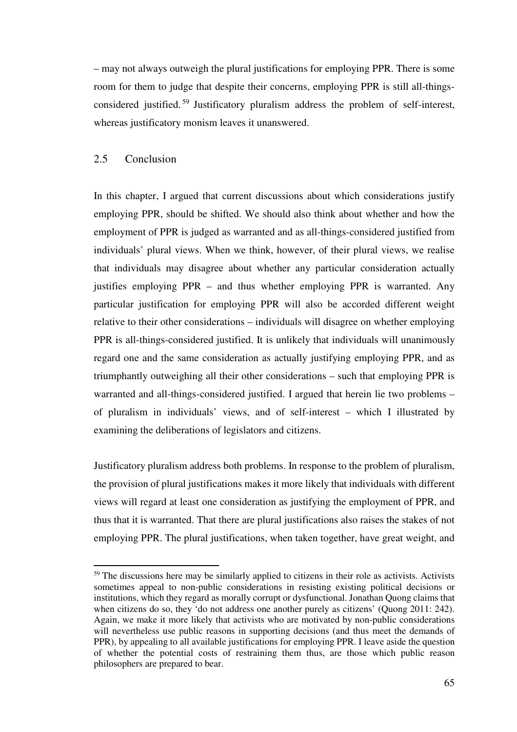– may not always outweigh the plural justifications for employing PPR. There is some room for them to judge that despite their concerns, employing PPR is still all-thingsconsidered justified. <sup>59</sup> Justificatory pluralism address the problem of self-interest, whereas justificatory monism leaves it unanswered.

### 2.5 Conclusion

l

In this chapter, I argued that current discussions about which considerations justify employing PPR, should be shifted. We should also think about whether and how the employment of PPR is judged as warranted and as all-things-considered justified from individuals' plural views. When we think, however, of their plural views, we realise that individuals may disagree about whether any particular consideration actually justifies employing PPR – and thus whether employing PPR is warranted. Any particular justification for employing PPR will also be accorded different weight relative to their other considerations – individuals will disagree on whether employing PPR is all-things-considered justified. It is unlikely that individuals will unanimously regard one and the same consideration as actually justifying employing PPR, and as triumphantly outweighing all their other considerations – such that employing PPR is warranted and all-things-considered justified. I argued that herein lie two problems – of pluralism in individuals' views, and of self-interest – which I illustrated by examining the deliberations of legislators and citizens.

Justificatory pluralism address both problems. In response to the problem of pluralism, the provision of plural justifications makes it more likely that individuals with different views will regard at least one consideration as justifying the employment of PPR, and thus that it is warranted. That there are plural justifications also raises the stakes of not employing PPR. The plural justifications, when taken together, have great weight, and

<sup>&</sup>lt;sup>59</sup> The discussions here may be similarly applied to citizens in their role as activists. Activists sometimes appeal to non-public considerations in resisting existing political decisions or institutions, which they regard as morally corrupt or dysfunctional. Jonathan Quong claims that when citizens do so, they 'do not address one another purely as citizens' (Quong 2011: 242). Again, we make it more likely that activists who are motivated by non-public considerations will nevertheless use public reasons in supporting decisions (and thus meet the demands of PPR), by appealing to all available justifications for employing PPR. I leave aside the question of whether the potential costs of restraining them thus, are those which public reason philosophers are prepared to bear.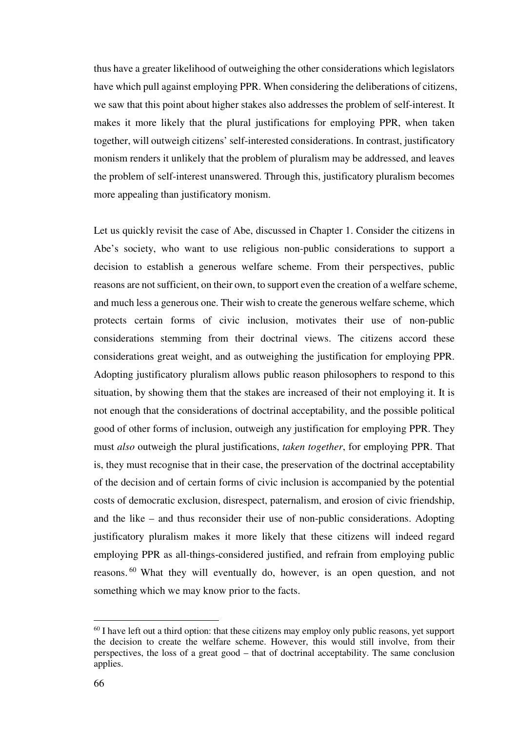thus have a greater likelihood of outweighing the other considerations which legislators have which pull against employing PPR. When considering the deliberations of citizens, we saw that this point about higher stakes also addresses the problem of self-interest. It makes it more likely that the plural justifications for employing PPR, when taken together, will outweigh citizens' self-interested considerations. In contrast, justificatory monism renders it unlikely that the problem of pluralism may be addressed, and leaves the problem of self-interest unanswered. Through this, justificatory pluralism becomes more appealing than justificatory monism.

Let us quickly revisit the case of Abe, discussed in Chapter 1. Consider the citizens in Abe's society, who want to use religious non-public considerations to support a decision to establish a generous welfare scheme. From their perspectives, public reasons are not sufficient, on their own, to support even the creation of a welfare scheme, and much less a generous one. Their wish to create the generous welfare scheme, which protects certain forms of civic inclusion, motivates their use of non-public considerations stemming from their doctrinal views. The citizens accord these considerations great weight, and as outweighing the justification for employing PPR. Adopting justificatory pluralism allows public reason philosophers to respond to this situation, by showing them that the stakes are increased of their not employing it. It is not enough that the considerations of doctrinal acceptability, and the possible political good of other forms of inclusion, outweigh any justification for employing PPR. They must *also* outweigh the plural justifications, *taken together*, for employing PPR. That is, they must recognise that in their case, the preservation of the doctrinal acceptability of the decision and of certain forms of civic inclusion is accompanied by the potential costs of democratic exclusion, disrespect, paternalism, and erosion of civic friendship, and the like – and thus reconsider their use of non-public considerations. Adopting justificatory pluralism makes it more likely that these citizens will indeed regard employing PPR as all-things-considered justified, and refrain from employing public reasons. <sup>60</sup> What they will eventually do, however, is an open question, and not something which we may know prior to the facts.

 $\overline{a}$ 

<sup>&</sup>lt;sup>60</sup> I have left out a third option: that these citizens may employ only public reasons, yet support the decision to create the welfare scheme. However, this would still involve, from their perspectives, the loss of a great good – that of doctrinal acceptability. The same conclusion applies.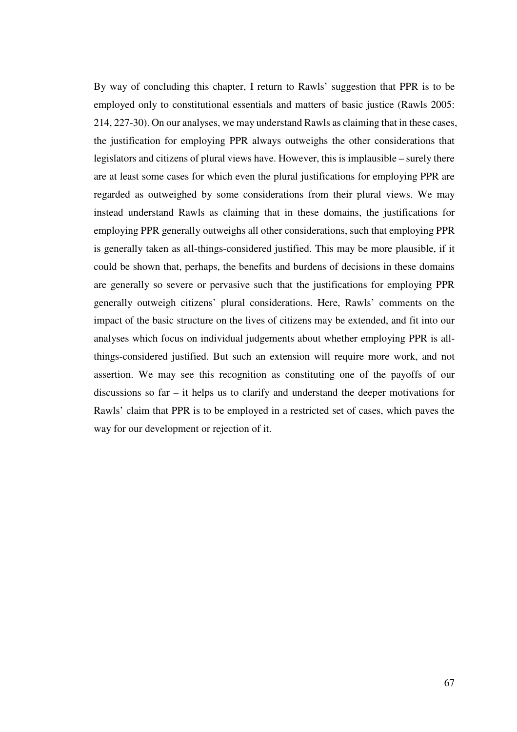By way of concluding this chapter, I return to Rawls' suggestion that PPR is to be employed only to constitutional essentials and matters of basic justice (Rawls 2005: 214, 227-30). On our analyses, we may understand Rawls as claiming that in these cases, the justification for employing PPR always outweighs the other considerations that legislators and citizens of plural views have. However, this is implausible – surely there are at least some cases for which even the plural justifications for employing PPR are regarded as outweighed by some considerations from their plural views. We may instead understand Rawls as claiming that in these domains, the justifications for employing PPR generally outweighs all other considerations, such that employing PPR is generally taken as all-things-considered justified. This may be more plausible, if it could be shown that, perhaps, the benefits and burdens of decisions in these domains are generally so severe or pervasive such that the justifications for employing PPR generally outweigh citizens' plural considerations. Here, Rawls' comments on the impact of the basic structure on the lives of citizens may be extended, and fit into our analyses which focus on individual judgements about whether employing PPR is allthings-considered justified. But such an extension will require more work, and not assertion. We may see this recognition as constituting one of the payoffs of our discussions so far – it helps us to clarify and understand the deeper motivations for Rawls' claim that PPR is to be employed in a restricted set of cases, which paves the way for our development or rejection of it.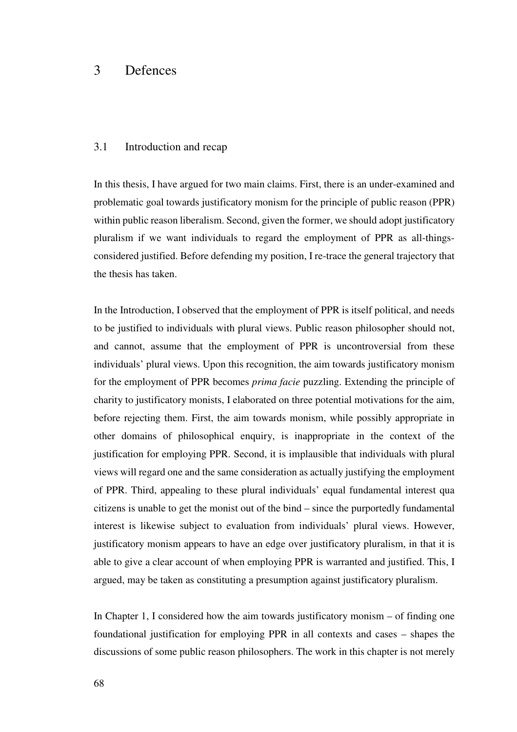## 3 Defences

## 3.1 Introduction and recap

In this thesis, I have argued for two main claims. First, there is an under-examined and problematic goal towards justificatory monism for the principle of public reason (PPR) within public reason liberalism. Second, given the former, we should adopt justificatory pluralism if we want individuals to regard the employment of PPR as all-thingsconsidered justified. Before defending my position, I re-trace the general trajectory that the thesis has taken.

In the Introduction, I observed that the employment of PPR is itself political, and needs to be justified to individuals with plural views. Public reason philosopher should not, and cannot, assume that the employment of PPR is uncontroversial from these individuals' plural views. Upon this recognition, the aim towards justificatory monism for the employment of PPR becomes *prima facie* puzzling. Extending the principle of charity to justificatory monists, I elaborated on three potential motivations for the aim, before rejecting them. First, the aim towards monism, while possibly appropriate in other domains of philosophical enquiry, is inappropriate in the context of the justification for employing PPR. Second, it is implausible that individuals with plural views will regard one and the same consideration as actually justifying the employment of PPR. Third, appealing to these plural individuals' equal fundamental interest qua citizens is unable to get the monist out of the bind – since the purportedly fundamental interest is likewise subject to evaluation from individuals' plural views. However, justificatory monism appears to have an edge over justificatory pluralism, in that it is able to give a clear account of when employing PPR is warranted and justified. This, I argued, may be taken as constituting a presumption against justificatory pluralism.

In Chapter 1, I considered how the aim towards justificatory monism – of finding one foundational justification for employing PPR in all contexts and cases – shapes the discussions of some public reason philosophers. The work in this chapter is not merely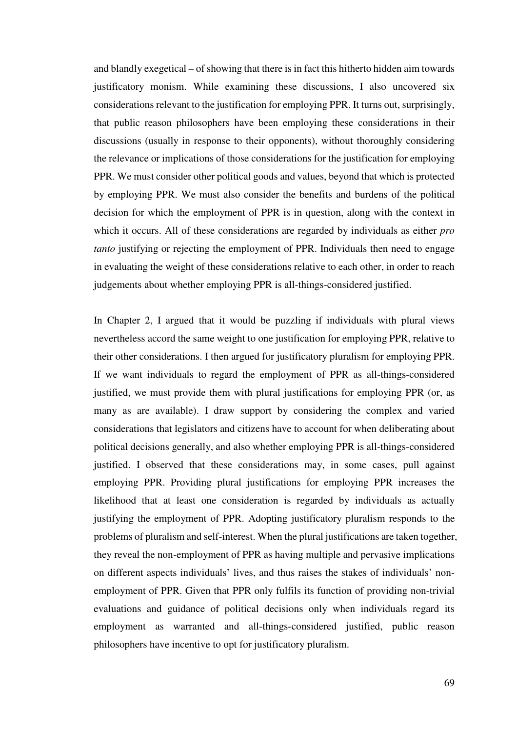and blandly exegetical – of showing that there is in fact this hitherto hidden aim towards justificatory monism. While examining these discussions, I also uncovered six considerations relevant to the justification for employing PPR. It turns out, surprisingly, that public reason philosophers have been employing these considerations in their discussions (usually in response to their opponents), without thoroughly considering the relevance or implications of those considerations for the justification for employing PPR. We must consider other political goods and values, beyond that which is protected by employing PPR. We must also consider the benefits and burdens of the political decision for which the employment of PPR is in question, along with the context in which it occurs. All of these considerations are regarded by individuals as either *pro tanto* justifying or rejecting the employment of PPR. Individuals then need to engage in evaluating the weight of these considerations relative to each other, in order to reach judgements about whether employing PPR is all-things-considered justified.

In Chapter 2, I argued that it would be puzzling if individuals with plural views nevertheless accord the same weight to one justification for employing PPR, relative to their other considerations. I then argued for justificatory pluralism for employing PPR. If we want individuals to regard the employment of PPR as all-things-considered justified, we must provide them with plural justifications for employing PPR (or, as many as are available). I draw support by considering the complex and varied considerations that legislators and citizens have to account for when deliberating about political decisions generally, and also whether employing PPR is all-things-considered justified. I observed that these considerations may, in some cases, pull against employing PPR. Providing plural justifications for employing PPR increases the likelihood that at least one consideration is regarded by individuals as actually justifying the employment of PPR. Adopting justificatory pluralism responds to the problems of pluralism and self-interest. When the plural justifications are taken together, they reveal the non-employment of PPR as having multiple and pervasive implications on different aspects individuals' lives, and thus raises the stakes of individuals' nonemployment of PPR. Given that PPR only fulfils its function of providing non-trivial evaluations and guidance of political decisions only when individuals regard its employment as warranted and all-things-considered justified, public reason philosophers have incentive to opt for justificatory pluralism.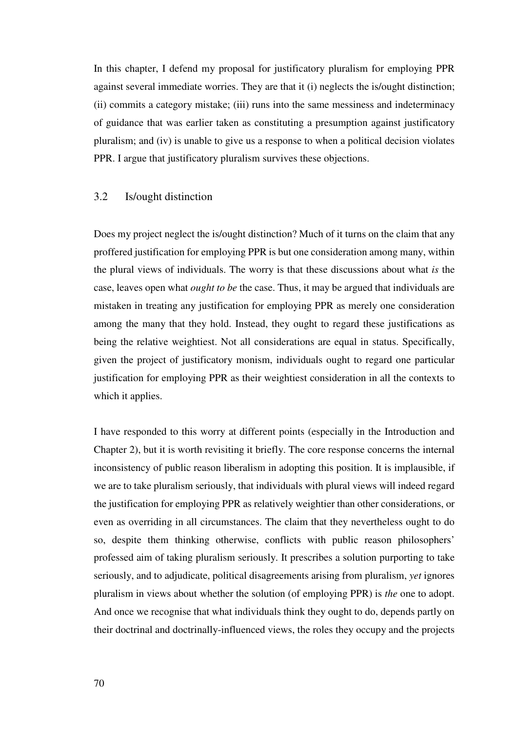In this chapter, I defend my proposal for justificatory pluralism for employing PPR against several immediate worries. They are that it (i) neglects the is/ought distinction; (ii) commits a category mistake; (iii) runs into the same messiness and indeterminacy of guidance that was earlier taken as constituting a presumption against justificatory pluralism; and (iv) is unable to give us a response to when a political decision violates PPR. I argue that justificatory pluralism survives these objections.

## 3.2 Is/ought distinction

Does my project neglect the is/ought distinction? Much of it turns on the claim that any proffered justification for employing PPR is but one consideration among many, within the plural views of individuals. The worry is that these discussions about what *is* the case, leaves open what *ought to be* the case. Thus, it may be argued that individuals are mistaken in treating any justification for employing PPR as merely one consideration among the many that they hold. Instead, they ought to regard these justifications as being the relative weightiest. Not all considerations are equal in status. Specifically, given the project of justificatory monism, individuals ought to regard one particular justification for employing PPR as their weightiest consideration in all the contexts to which it applies.

I have responded to this worry at different points (especially in the Introduction and Chapter 2), but it is worth revisiting it briefly. The core response concerns the internal inconsistency of public reason liberalism in adopting this position. It is implausible, if we are to take pluralism seriously, that individuals with plural views will indeed regard the justification for employing PPR as relatively weightier than other considerations, or even as overriding in all circumstances. The claim that they nevertheless ought to do so, despite them thinking otherwise, conflicts with public reason philosophers' professed aim of taking pluralism seriously. It prescribes a solution purporting to take seriously, and to adjudicate, political disagreements arising from pluralism, *yet* ignores pluralism in views about whether the solution (of employing PPR) is *the* one to adopt. And once we recognise that what individuals think they ought to do, depends partly on their doctrinal and doctrinally-influenced views, the roles they occupy and the projects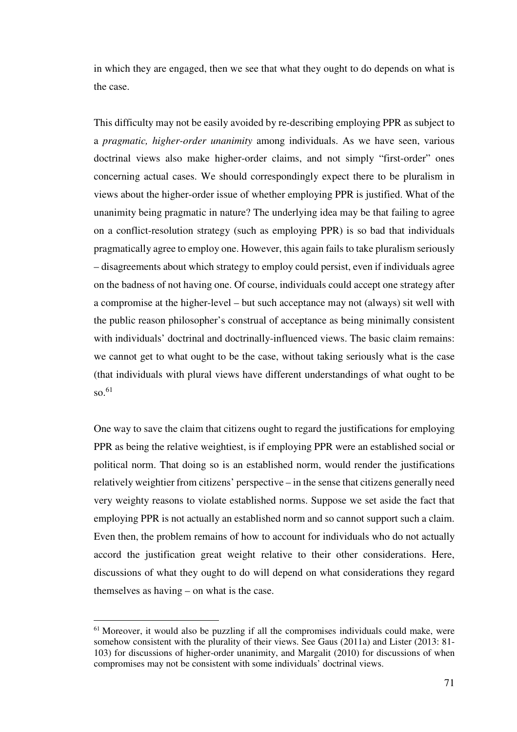in which they are engaged, then we see that what they ought to do depends on what is the case.

This difficulty may not be easily avoided by re-describing employing PPR as subject to a *pragmatic, higher-order unanimity* among individuals. As we have seen, various doctrinal views also make higher-order claims, and not simply "first-order" ones concerning actual cases. We should correspondingly expect there to be pluralism in views about the higher-order issue of whether employing PPR is justified. What of the unanimity being pragmatic in nature? The underlying idea may be that failing to agree on a conflict-resolution strategy (such as employing PPR) is so bad that individuals pragmatically agree to employ one. However, this again fails to take pluralism seriously – disagreements about which strategy to employ could persist, even if individuals agree on the badness of not having one. Of course, individuals could accept one strategy after a compromise at the higher-level – but such acceptance may not (always) sit well with the public reason philosopher's construal of acceptance as being minimally consistent with individuals' doctrinal and doctrinally-influenced views. The basic claim remains: we cannot get to what ought to be the case, without taking seriously what is the case (that individuals with plural views have different understandings of what ought to be so.<sup>61</sup>

One way to save the claim that citizens ought to regard the justifications for employing PPR as being the relative weightiest, is if employing PPR were an established social or political norm. That doing so is an established norm, would render the justifications relatively weightier from citizens' perspective – in the sense that citizens generally need very weighty reasons to violate established norms. Suppose we set aside the fact that employing PPR is not actually an established norm and so cannot support such a claim. Even then, the problem remains of how to account for individuals who do not actually accord the justification great weight relative to their other considerations. Here, discussions of what they ought to do will depend on what considerations they regard themselves as having – on what is the case.

 $\overline{a}$ 

<sup>&</sup>lt;sup>61</sup> Moreover, it would also be puzzling if all the compromises individuals could make, were somehow consistent with the plurality of their views. See Gaus (2011a) and Lister (2013: 81- 103) for discussions of higher-order unanimity, and Margalit (2010) for discussions of when compromises may not be consistent with some individuals' doctrinal views.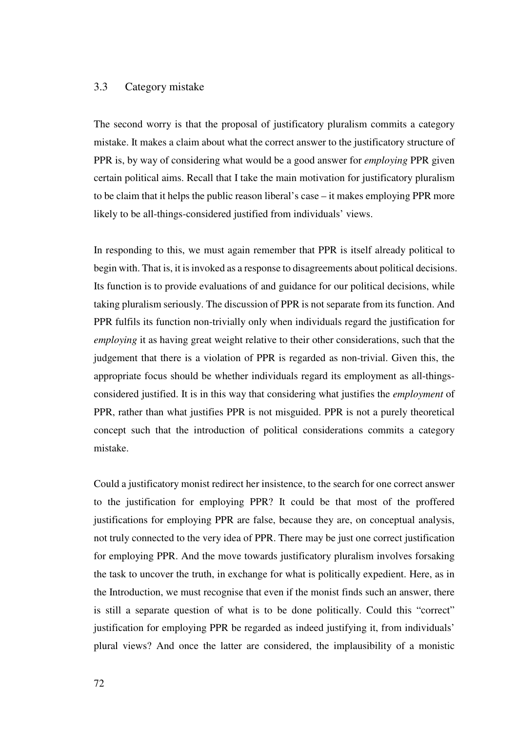## 3.3 Category mistake

The second worry is that the proposal of justificatory pluralism commits a category mistake. It makes a claim about what the correct answer to the justificatory structure of PPR is, by way of considering what would be a good answer for *employing* PPR given certain political aims. Recall that I take the main motivation for justificatory pluralism to be claim that it helps the public reason liberal's case – it makes employing PPR more likely to be all-things-considered justified from individuals' views.

In responding to this, we must again remember that PPR is itself already political to begin with. That is, it is invoked as a response to disagreements about political decisions. Its function is to provide evaluations of and guidance for our political decisions, while taking pluralism seriously. The discussion of PPR is not separate from its function. And PPR fulfils its function non-trivially only when individuals regard the justification for *employing* it as having great weight relative to their other considerations, such that the judgement that there is a violation of PPR is regarded as non-trivial. Given this, the appropriate focus should be whether individuals regard its employment as all-thingsconsidered justified. It is in this way that considering what justifies the *employment* of PPR, rather than what justifies PPR is not misguided. PPR is not a purely theoretical concept such that the introduction of political considerations commits a category mistake.

Could a justificatory monist redirect her insistence, to the search for one correct answer to the justification for employing PPR? It could be that most of the proffered justifications for employing PPR are false, because they are, on conceptual analysis, not truly connected to the very idea of PPR. There may be just one correct justification for employing PPR. And the move towards justificatory pluralism involves forsaking the task to uncover the truth, in exchange for what is politically expedient. Here, as in the Introduction, we must recognise that even if the monist finds such an answer, there is still a separate question of what is to be done politically. Could this "correct" justification for employing PPR be regarded as indeed justifying it, from individuals' plural views? And once the latter are considered, the implausibility of a monistic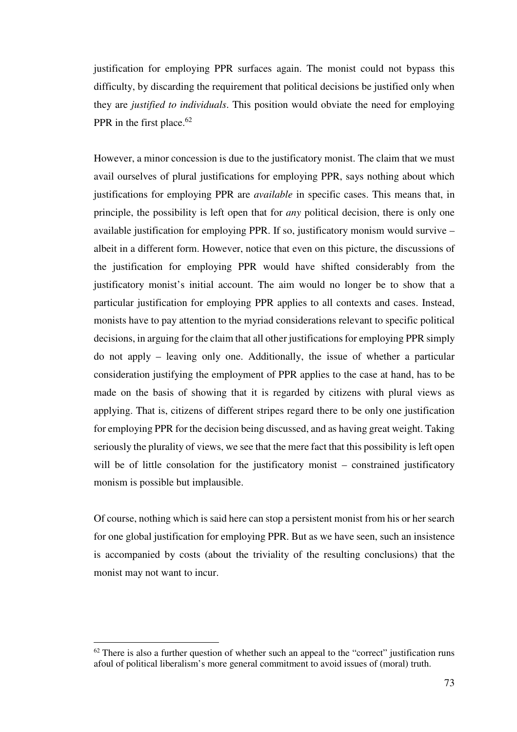justification for employing PPR surfaces again. The monist could not bypass this difficulty, by discarding the requirement that political decisions be justified only when they are *justified to individuals*. This position would obviate the need for employing PPR in the first place.<sup>62</sup>

However, a minor concession is due to the justificatory monist. The claim that we must avail ourselves of plural justifications for employing PPR, says nothing about which justifications for employing PPR are *available* in specific cases. This means that, in principle, the possibility is left open that for *any* political decision, there is only one available justification for employing PPR. If so, justificatory monism would survive – albeit in a different form. However, notice that even on this picture, the discussions of the justification for employing PPR would have shifted considerably from the justificatory monist's initial account. The aim would no longer be to show that a particular justification for employing PPR applies to all contexts and cases. Instead, monists have to pay attention to the myriad considerations relevant to specific political decisions, in arguing for the claim that all other justifications for employing PPR simply do not apply – leaving only one. Additionally, the issue of whether a particular consideration justifying the employment of PPR applies to the case at hand, has to be made on the basis of showing that it is regarded by citizens with plural views as applying. That is, citizens of different stripes regard there to be only one justification for employing PPR for the decision being discussed, and as having great weight. Taking seriously the plurality of views, we see that the mere fact that this possibility is left open will be of little consolation for the justificatory monist – constrained justificatory monism is possible but implausible.

Of course, nothing which is said here can stop a persistent monist from his or her search for one global justification for employing PPR. But as we have seen, such an insistence is accompanied by costs (about the triviality of the resulting conclusions) that the monist may not want to incur.

l

 $62$  There is also a further question of whether such an appeal to the "correct" justification runs afoul of political liberalism's more general commitment to avoid issues of (moral) truth.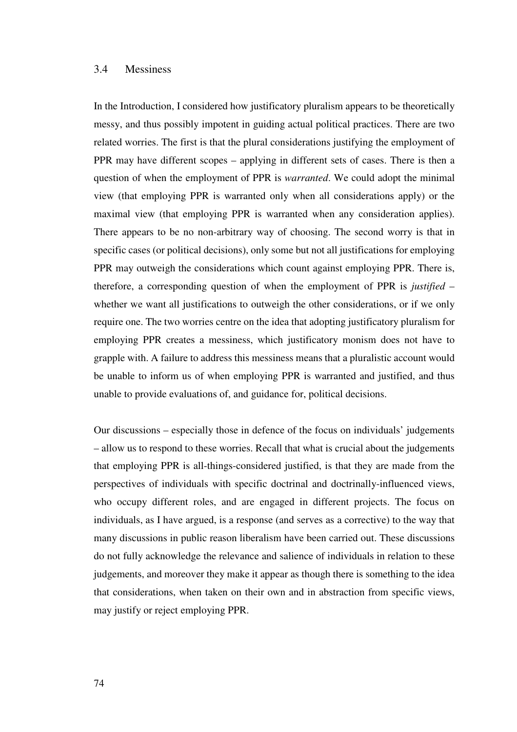## 3.4 Messiness

In the Introduction, I considered how justificatory pluralism appears to be theoretically messy, and thus possibly impotent in guiding actual political practices. There are two related worries. The first is that the plural considerations justifying the employment of PPR may have different scopes – applying in different sets of cases. There is then a question of when the employment of PPR is *warranted*. We could adopt the minimal view (that employing PPR is warranted only when all considerations apply) or the maximal view (that employing PPR is warranted when any consideration applies). There appears to be no non-arbitrary way of choosing. The second worry is that in specific cases (or political decisions), only some but not all justifications for employing PPR may outweigh the considerations which count against employing PPR. There is, therefore, a corresponding question of when the employment of PPR is *justified* – whether we want all justifications to outweigh the other considerations, or if we only require one. The two worries centre on the idea that adopting justificatory pluralism for employing PPR creates a messiness, which justificatory monism does not have to grapple with. A failure to address this messiness means that a pluralistic account would be unable to inform us of when employing PPR is warranted and justified, and thus unable to provide evaluations of, and guidance for, political decisions.

Our discussions – especially those in defence of the focus on individuals' judgements – allow us to respond to these worries. Recall that what is crucial about the judgements that employing PPR is all-things-considered justified, is that they are made from the perspectives of individuals with specific doctrinal and doctrinally-influenced views, who occupy different roles, and are engaged in different projects. The focus on individuals, as I have argued, is a response (and serves as a corrective) to the way that many discussions in public reason liberalism have been carried out. These discussions do not fully acknowledge the relevance and salience of individuals in relation to these judgements, and moreover they make it appear as though there is something to the idea that considerations, when taken on their own and in abstraction from specific views, may justify or reject employing PPR.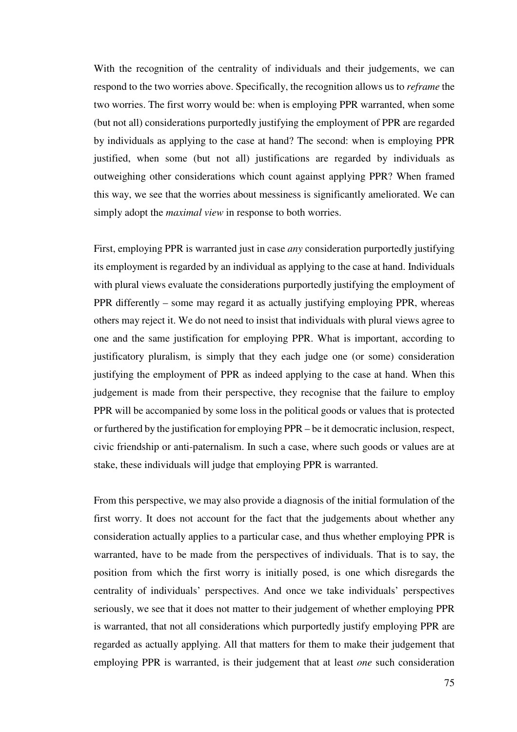With the recognition of the centrality of individuals and their judgements, we can respond to the two worries above. Specifically, the recognition allows us to *reframe* the two worries. The first worry would be: when is employing PPR warranted, when some (but not all) considerations purportedly justifying the employment of PPR are regarded by individuals as applying to the case at hand? The second: when is employing PPR justified, when some (but not all) justifications are regarded by individuals as outweighing other considerations which count against applying PPR? When framed this way, we see that the worries about messiness is significantly ameliorated. We can simply adopt the *maximal view* in response to both worries.

First, employing PPR is warranted just in case *any* consideration purportedly justifying its employment is regarded by an individual as applying to the case at hand. Individuals with plural views evaluate the considerations purportedly justifying the employment of PPR differently – some may regard it as actually justifying employing PPR, whereas others may reject it. We do not need to insist that individuals with plural views agree to one and the same justification for employing PPR. What is important, according to justificatory pluralism, is simply that they each judge one (or some) consideration justifying the employment of PPR as indeed applying to the case at hand. When this judgement is made from their perspective, they recognise that the failure to employ PPR will be accompanied by some loss in the political goods or values that is protected or furthered by the justification for employing PPR – be it democratic inclusion, respect, civic friendship or anti-paternalism. In such a case, where such goods or values are at stake, these individuals will judge that employing PPR is warranted.

From this perspective, we may also provide a diagnosis of the initial formulation of the first worry. It does not account for the fact that the judgements about whether any consideration actually applies to a particular case, and thus whether employing PPR is warranted, have to be made from the perspectives of individuals. That is to say, the position from which the first worry is initially posed, is one which disregards the centrality of individuals' perspectives. And once we take individuals' perspectives seriously, we see that it does not matter to their judgement of whether employing PPR is warranted, that not all considerations which purportedly justify employing PPR are regarded as actually applying. All that matters for them to make their judgement that employing PPR is warranted, is their judgement that at least *one* such consideration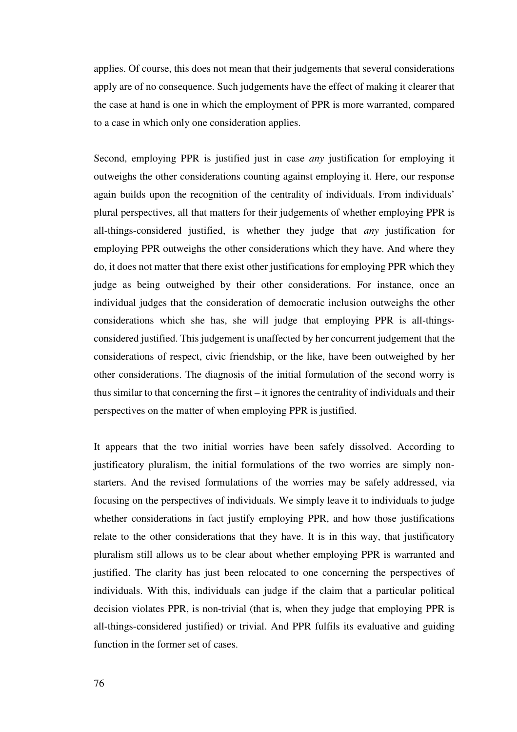applies. Of course, this does not mean that their judgements that several considerations apply are of no consequence. Such judgements have the effect of making it clearer that the case at hand is one in which the employment of PPR is more warranted, compared to a case in which only one consideration applies.

Second, employing PPR is justified just in case *any* justification for employing it outweighs the other considerations counting against employing it. Here, our response again builds upon the recognition of the centrality of individuals. From individuals' plural perspectives, all that matters for their judgements of whether employing PPR is all-things-considered justified, is whether they judge that *any* justification for employing PPR outweighs the other considerations which they have. And where they do, it does not matter that there exist other justifications for employing PPR which they judge as being outweighed by their other considerations. For instance, once an individual judges that the consideration of democratic inclusion outweighs the other considerations which she has, she will judge that employing PPR is all-thingsconsidered justified. This judgement is unaffected by her concurrent judgement that the considerations of respect, civic friendship, or the like, have been outweighed by her other considerations. The diagnosis of the initial formulation of the second worry is thus similar to that concerning the first – it ignores the centrality of individuals and their perspectives on the matter of when employing PPR is justified.

It appears that the two initial worries have been safely dissolved. According to justificatory pluralism, the initial formulations of the two worries are simply nonstarters. And the revised formulations of the worries may be safely addressed, via focusing on the perspectives of individuals. We simply leave it to individuals to judge whether considerations in fact justify employing PPR, and how those justifications relate to the other considerations that they have. It is in this way, that justificatory pluralism still allows us to be clear about whether employing PPR is warranted and justified. The clarity has just been relocated to one concerning the perspectives of individuals. With this, individuals can judge if the claim that a particular political decision violates PPR, is non-trivial (that is, when they judge that employing PPR is all-things-considered justified) or trivial. And PPR fulfils its evaluative and guiding function in the former set of cases.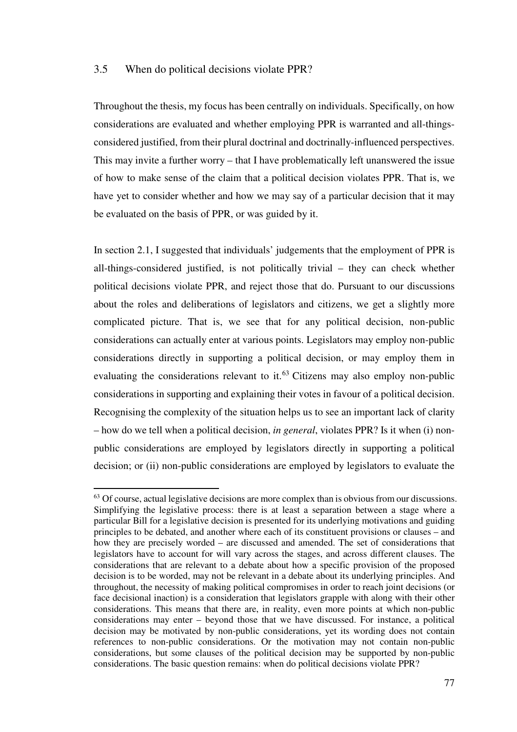## 3.5 When do political decisions violate PPR?

 $\overline{a}$ 

Throughout the thesis, my focus has been centrally on individuals. Specifically, on how considerations are evaluated and whether employing PPR is warranted and all-thingsconsidered justified, from their plural doctrinal and doctrinally-influenced perspectives. This may invite a further worry – that I have problematically left unanswered the issue of how to make sense of the claim that a political decision violates PPR. That is, we have yet to consider whether and how we may say of a particular decision that it may be evaluated on the basis of PPR, or was guided by it.

In section 2.1, I suggested that individuals' judgements that the employment of PPR is all-things-considered justified, is not politically trivial – they can check whether political decisions violate PPR, and reject those that do. Pursuant to our discussions about the roles and deliberations of legislators and citizens, we get a slightly more complicated picture. That is, we see that for any political decision, non-public considerations can actually enter at various points. Legislators may employ non-public considerations directly in supporting a political decision, or may employ them in evaluating the considerations relevant to it.<sup>63</sup> Citizens may also employ non-public considerations in supporting and explaining their votes in favour of a political decision. Recognising the complexity of the situation helps us to see an important lack of clarity – how do we tell when a political decision, *in general*, violates PPR? Is it when (i) nonpublic considerations are employed by legislators directly in supporting a political decision; or (ii) non-public considerations are employed by legislators to evaluate the

<sup>&</sup>lt;sup>63</sup> Of course, actual legislative decisions are more complex than is obvious from our discussions. Simplifying the legislative process: there is at least a separation between a stage where a particular Bill for a legislative decision is presented for its underlying motivations and guiding principles to be debated, and another where each of its constituent provisions or clauses – and how they are precisely worded – are discussed and amended. The set of considerations that legislators have to account for will vary across the stages, and across different clauses. The considerations that are relevant to a debate about how a specific provision of the proposed decision is to be worded, may not be relevant in a debate about its underlying principles. And throughout, the necessity of making political compromises in order to reach joint decisions (or face decisional inaction) is a consideration that legislators grapple with along with their other considerations. This means that there are, in reality, even more points at which non-public considerations may enter – beyond those that we have discussed. For instance, a political decision may be motivated by non-public considerations, yet its wording does not contain references to non-public considerations. Or the motivation may not contain non-public considerations, but some clauses of the political decision may be supported by non-public considerations. The basic question remains: when do political decisions violate PPR?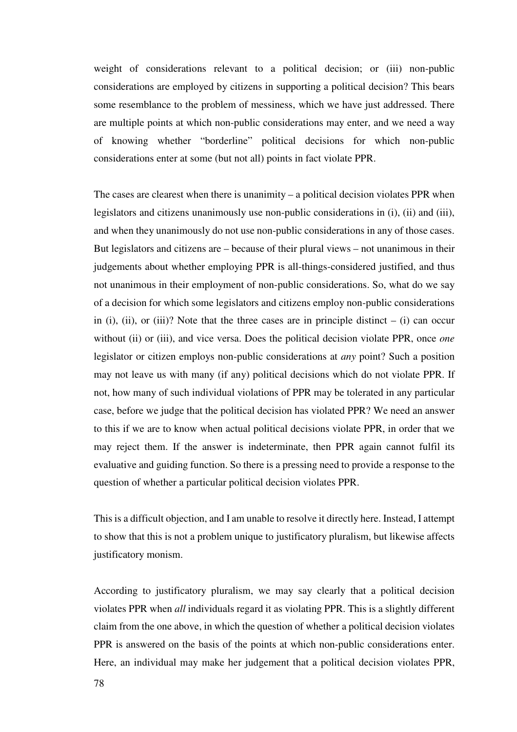weight of considerations relevant to a political decision; or (iii) non-public considerations are employed by citizens in supporting a political decision? This bears some resemblance to the problem of messiness, which we have just addressed. There are multiple points at which non-public considerations may enter, and we need a way of knowing whether "borderline" political decisions for which non-public considerations enter at some (but not all) points in fact violate PPR.

The cases are clearest when there is unanimity – a political decision violates PPR when legislators and citizens unanimously use non-public considerations in (i), (ii) and (iii), and when they unanimously do not use non-public considerations in any of those cases. But legislators and citizens are – because of their plural views – not unanimous in their judgements about whether employing PPR is all-things-considered justified, and thus not unanimous in their employment of non-public considerations. So, what do we say of a decision for which some legislators and citizens employ non-public considerations in (i), (ii), or (iii)? Note that the three cases are in principle distinct  $-$  (i) can occur without (ii) or (iii), and vice versa. Does the political decision violate PPR, once *one* legislator or citizen employs non-public considerations at *any* point? Such a position may not leave us with many (if any) political decisions which do not violate PPR. If not, how many of such individual violations of PPR may be tolerated in any particular case, before we judge that the political decision has violated PPR? We need an answer to this if we are to know when actual political decisions violate PPR, in order that we may reject them. If the answer is indeterminate, then PPR again cannot fulfil its evaluative and guiding function. So there is a pressing need to provide a response to the question of whether a particular political decision violates PPR.

This is a difficult objection, and I am unable to resolve it directly here. Instead, I attempt to show that this is not a problem unique to justificatory pluralism, but likewise affects justificatory monism.

According to justificatory pluralism, we may say clearly that a political decision violates PPR when *all* individuals regard it as violating PPR. This is a slightly different claim from the one above, in which the question of whether a political decision violates PPR is answered on the basis of the points at which non-public considerations enter. Here, an individual may make her judgement that a political decision violates PPR,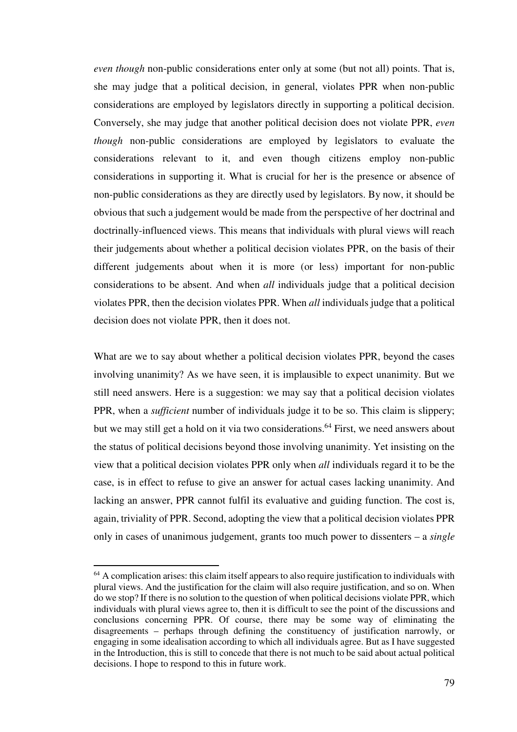*even though* non-public considerations enter only at some (but not all) points. That is, she may judge that a political decision, in general, violates PPR when non-public considerations are employed by legislators directly in supporting a political decision. Conversely, she may judge that another political decision does not violate PPR, *even though* non-public considerations are employed by legislators to evaluate the considerations relevant to it, and even though citizens employ non-public considerations in supporting it. What is crucial for her is the presence or absence of non-public considerations as they are directly used by legislators. By now, it should be obvious that such a judgement would be made from the perspective of her doctrinal and doctrinally-influenced views. This means that individuals with plural views will reach their judgements about whether a political decision violates PPR, on the basis of their different judgements about when it is more (or less) important for non-public considerations to be absent. And when *all* individuals judge that a political decision violates PPR, then the decision violates PPR. When *all* individuals judge that a political decision does not violate PPR, then it does not.

What are we to say about whether a political decision violates PPR, beyond the cases involving unanimity? As we have seen, it is implausible to expect unanimity. But we still need answers. Here is a suggestion: we may say that a political decision violates PPR, when a *sufficient* number of individuals judge it to be so. This claim is slippery; but we may still get a hold on it via two considerations.<sup>64</sup> First, we need answers about the status of political decisions beyond those involving unanimity. Yet insisting on the view that a political decision violates PPR only when *all* individuals regard it to be the case, is in effect to refuse to give an answer for actual cases lacking unanimity. And lacking an answer, PPR cannot fulfil its evaluative and guiding function. The cost is, again, triviality of PPR. Second, adopting the view that a political decision violates PPR only in cases of unanimous judgement, grants too much power to dissenters – a *single*

l

<sup>&</sup>lt;sup>64</sup> A complication arises: this claim itself appears to also require justification to individuals with plural views. And the justification for the claim will also require justification, and so on. When do we stop? If there is no solution to the question of when political decisions violate PPR, which individuals with plural views agree to, then it is difficult to see the point of the discussions and conclusions concerning PPR. Of course, there may be some way of eliminating the disagreements – perhaps through defining the constituency of justification narrowly, or engaging in some idealisation according to which all individuals agree. But as I have suggested in the Introduction, this is still to concede that there is not much to be said about actual political decisions. I hope to respond to this in future work.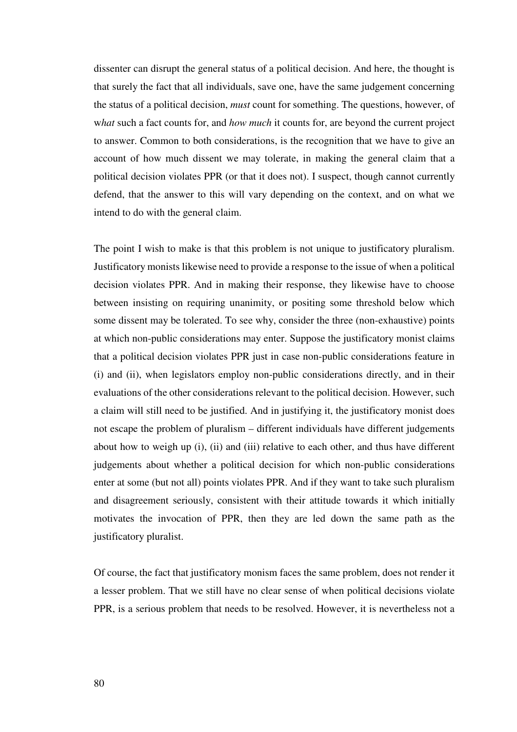dissenter can disrupt the general status of a political decision. And here, the thought is that surely the fact that all individuals, save one, have the same judgement concerning the status of a political decision, *must* count for something. The questions, however, of what such a fact counts for, and *how much* it counts for, are beyond the current project to answer. Common to both considerations, is the recognition that we have to give an account of how much dissent we may tolerate, in making the general claim that a political decision violates PPR (or that it does not). I suspect, though cannot currently defend, that the answer to this will vary depending on the context, and on what we intend to do with the general claim.

The point I wish to make is that this problem is not unique to justificatory pluralism. Justificatory monists likewise need to provide a response to the issue of when a political decision violates PPR. And in making their response, they likewise have to choose between insisting on requiring unanimity, or positing some threshold below which some dissent may be tolerated. To see why, consider the three (non-exhaustive) points at which non-public considerations may enter. Suppose the justificatory monist claims that a political decision violates PPR just in case non-public considerations feature in (i) and (ii), when legislators employ non-public considerations directly, and in their evaluations of the other considerations relevant to the political decision. However, such a claim will still need to be justified. And in justifying it, the justificatory monist does not escape the problem of pluralism – different individuals have different judgements about how to weigh up (i), (ii) and (iii) relative to each other, and thus have different judgements about whether a political decision for which non-public considerations enter at some (but not all) points violates PPR. And if they want to take such pluralism and disagreement seriously, consistent with their attitude towards it which initially motivates the invocation of PPR, then they are led down the same path as the justificatory pluralist.

Of course, the fact that justificatory monism faces the same problem, does not render it a lesser problem. That we still have no clear sense of when political decisions violate PPR, is a serious problem that needs to be resolved. However, it is nevertheless not a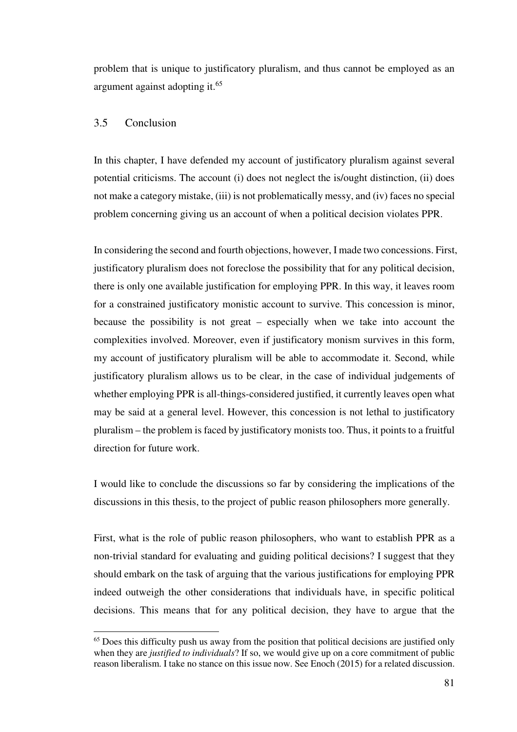problem that is unique to justificatory pluralism, and thus cannot be employed as an argument against adopting it.<sup>65</sup>

## 3.5 Conclusion

 $\overline{a}$ 

In this chapter, I have defended my account of justificatory pluralism against several potential criticisms. The account (i) does not neglect the is/ought distinction, (ii) does not make a category mistake, (iii) is not problematically messy, and (iv) faces no special problem concerning giving us an account of when a political decision violates PPR.

In considering the second and fourth objections, however, I made two concessions. First, justificatory pluralism does not foreclose the possibility that for any political decision, there is only one available justification for employing PPR. In this way, it leaves room for a constrained justificatory monistic account to survive. This concession is minor, because the possibility is not great – especially when we take into account the complexities involved. Moreover, even if justificatory monism survives in this form, my account of justificatory pluralism will be able to accommodate it. Second, while justificatory pluralism allows us to be clear, in the case of individual judgements of whether employing PPR is all-things-considered justified, it currently leaves open what may be said at a general level. However, this concession is not lethal to justificatory pluralism – the problem is faced by justificatory monists too. Thus, it points to a fruitful direction for future work.

I would like to conclude the discussions so far by considering the implications of the discussions in this thesis, to the project of public reason philosophers more generally.

First, what is the role of public reason philosophers, who want to establish PPR as a non-trivial standard for evaluating and guiding political decisions? I suggest that they should embark on the task of arguing that the various justifications for employing PPR indeed outweigh the other considerations that individuals have, in specific political decisions. This means that for any political decision, they have to argue that the

<sup>&</sup>lt;sup>65</sup> Does this difficulty push us away from the position that political decisions are justified only when they are *justified to individuals*? If so, we would give up on a core commitment of public reason liberalism. I take no stance on this issue now. See Enoch (2015) for a related discussion.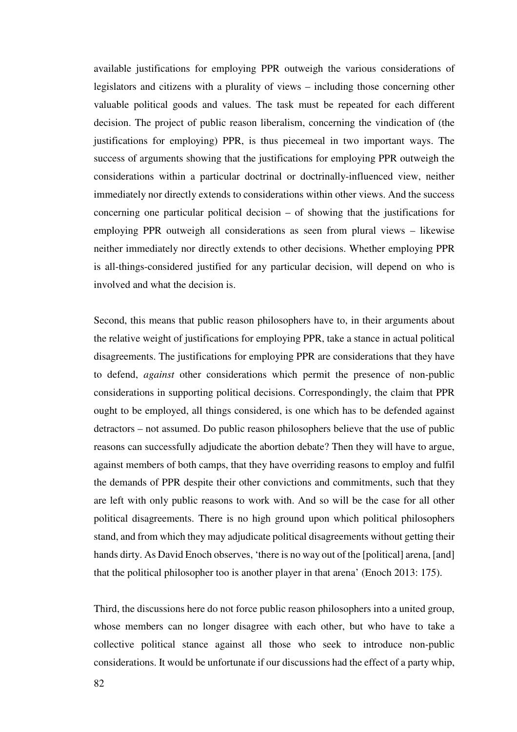available justifications for employing PPR outweigh the various considerations of legislators and citizens with a plurality of views – including those concerning other valuable political goods and values. The task must be repeated for each different decision. The project of public reason liberalism, concerning the vindication of (the justifications for employing) PPR, is thus piecemeal in two important ways. The success of arguments showing that the justifications for employing PPR outweigh the considerations within a particular doctrinal or doctrinally-influenced view, neither immediately nor directly extends to considerations within other views. And the success concerning one particular political decision – of showing that the justifications for employing PPR outweigh all considerations as seen from plural views – likewise neither immediately nor directly extends to other decisions. Whether employing PPR is all-things-considered justified for any particular decision, will depend on who is involved and what the decision is.

Second, this means that public reason philosophers have to, in their arguments about the relative weight of justifications for employing PPR, take a stance in actual political disagreements. The justifications for employing PPR are considerations that they have to defend, *against* other considerations which permit the presence of non-public considerations in supporting political decisions. Correspondingly, the claim that PPR ought to be employed, all things considered, is one which has to be defended against detractors – not assumed. Do public reason philosophers believe that the use of public reasons can successfully adjudicate the abortion debate? Then they will have to argue, against members of both camps, that they have overriding reasons to employ and fulfil the demands of PPR despite their other convictions and commitments, such that they are left with only public reasons to work with. And so will be the case for all other political disagreements. There is no high ground upon which political philosophers stand, and from which they may adjudicate political disagreements without getting their hands dirty. As David Enoch observes, 'there is no way out of the [political] arena, [and] that the political philosopher too is another player in that arena' (Enoch 2013: 175).

Third, the discussions here do not force public reason philosophers into a united group, whose members can no longer disagree with each other, but who have to take a collective political stance against all those who seek to introduce non-public considerations. It would be unfortunate if our discussions had the effect of a party whip,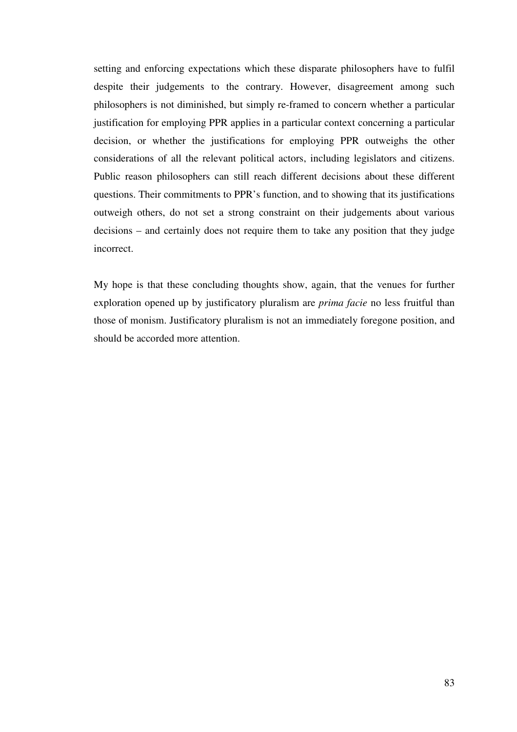setting and enforcing expectations which these disparate philosophers have to fulfil despite their judgements to the contrary. However, disagreement among such philosophers is not diminished, but simply re-framed to concern whether a particular justification for employing PPR applies in a particular context concerning a particular decision, or whether the justifications for employing PPR outweighs the other considerations of all the relevant political actors, including legislators and citizens. Public reason philosophers can still reach different decisions about these different questions. Their commitments to PPR's function, and to showing that its justifications outweigh others, do not set a strong constraint on their judgements about various decisions – and certainly does not require them to take any position that they judge incorrect.

My hope is that these concluding thoughts show, again, that the venues for further exploration opened up by justificatory pluralism are *prima facie* no less fruitful than those of monism. Justificatory pluralism is not an immediately foregone position, and should be accorded more attention.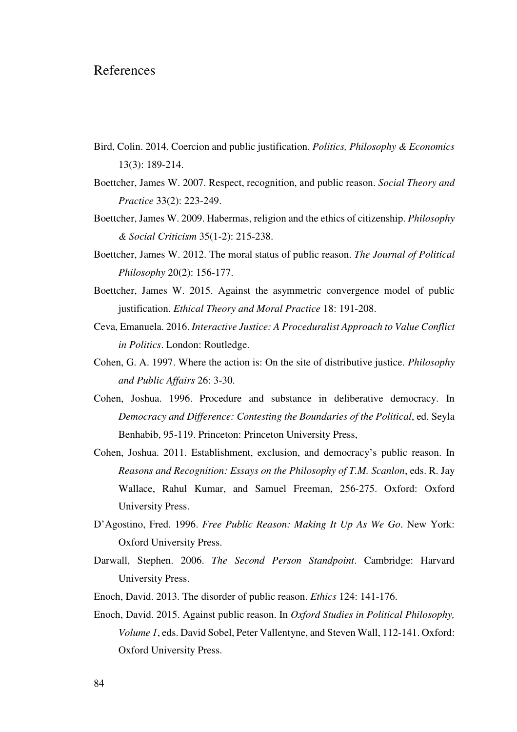## References

- Bird, Colin. 2014. Coercion and public justification. *Politics, Philosophy & Economics* 13(3): 189-214.
- Boettcher, James W. 2007. Respect, recognition, and public reason. *Social Theory and Practice* 33(2): 223-249.
- Boettcher, James W. 2009. Habermas, religion and the ethics of citizenship. *Philosophy & Social Criticism* 35(1-2): 215-238.
- Boettcher, James W. 2012. The moral status of public reason. *The Journal of Political Philosophy* 20(2): 156-177.
- Boettcher, James W. 2015. Against the asymmetric convergence model of public justification. *Ethical Theory and Moral Practice* 18: 191-208.
- Ceva, Emanuela. 2016. *Interactive Justice: A Proceduralist Approach to Value Conflict in Politics*. London: Routledge.
- Cohen, G. A. 1997. Where the action is: On the site of distributive justice. *Philosophy and Public Affairs* 26: 3-30.
- Cohen, Joshua. 1996. Procedure and substance in deliberative democracy. In *Democracy and Difference: Contesting the Boundaries of the Political*, ed. Seyla Benhabib, 95-119. Princeton: Princeton University Press,
- Cohen, Joshua. 2011. Establishment, exclusion, and democracy's public reason. In *Reasons and Recognition: Essays on the Philosophy of T.M. Scanlon*, eds. R. Jay Wallace, Rahul Kumar, and Samuel Freeman, 256-275. Oxford: Oxford University Press.
- D'Agostino, Fred. 1996. *Free Public Reason: Making It Up As We Go*. New York: Oxford University Press.
- Darwall, Stephen. 2006. *The Second Person Standpoint*. Cambridge: Harvard University Press.
- Enoch, David. 2013. The disorder of public reason. *Ethics* 124: 141-176.
- Enoch, David. 2015. Against public reason. In *Oxford Studies in Political Philosophy, Volume 1*, eds. David Sobel, Peter Vallentyne, and Steven Wall, 112-141. Oxford: Oxford University Press.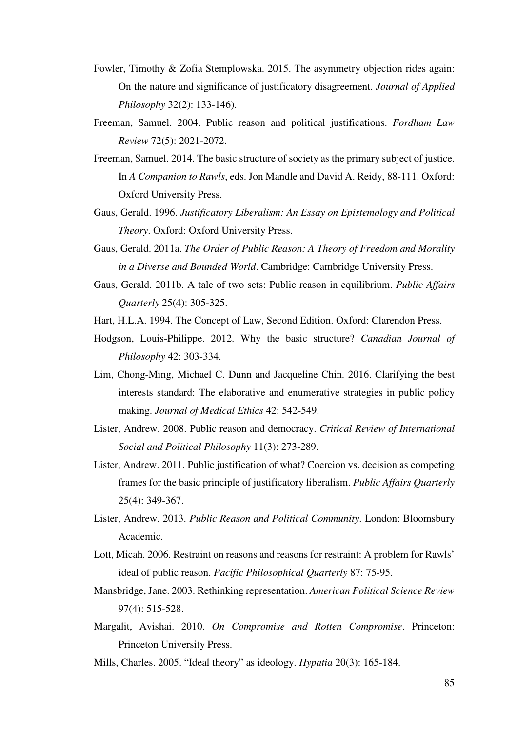- Fowler, Timothy & Zofia Stemplowska. 2015. The asymmetry objection rides again: On the nature and significance of justificatory disagreement. *Journal of Applied Philosophy* 32(2): 133-146).
- Freeman, Samuel. 2004. Public reason and political justifications. *Fordham Law Review* 72(5): 2021-2072.
- Freeman, Samuel. 2014. The basic structure of society as the primary subject of justice. In *A Companion to Rawls*, eds. Jon Mandle and David A. Reidy, 88-111. Oxford: Oxford University Press.
- Gaus, Gerald. 1996. *Justificatory Liberalism: An Essay on Epistemology and Political Theory*. Oxford: Oxford University Press.
- Gaus, Gerald. 2011a. *The Order of Public Reason: A Theory of Freedom and Morality in a Diverse and Bounded World*. Cambridge: Cambridge University Press.
- Gaus, Gerald. 2011b. A tale of two sets: Public reason in equilibrium. *Public Affairs Quarterly* 25(4): 305-325.
- Hart, H.L.A. 1994. The Concept of Law, Second Edition. Oxford: Clarendon Press.
- Hodgson, Louis-Philippe. 2012. Why the basic structure? *Canadian Journal of Philosophy* 42: 303-334.
- Lim, Chong-Ming, Michael C. Dunn and Jacqueline Chin. 2016. Clarifying the best interests standard: The elaborative and enumerative strategies in public policy making. *Journal of Medical Ethics* 42: 542-549.
- Lister, Andrew. 2008. Public reason and democracy. *Critical Review of International Social and Political Philosophy* 11(3): 273-289.
- Lister, Andrew. 2011. Public justification of what? Coercion vs. decision as competing frames for the basic principle of justificatory liberalism. *Public Affairs Quarterly* 25(4): 349-367.
- Lister, Andrew. 2013. *Public Reason and Political Community*. London: Bloomsbury Academic.
- Lott, Micah. 2006. Restraint on reasons and reasons for restraint: A problem for Rawls' ideal of public reason. *Pacific Philosophical Quarterly* 87: 75-95.
- Mansbridge, Jane. 2003. Rethinking representation. *American Political Science Review* 97(4): 515-528.
- Margalit, Avishai. 2010. *On Compromise and Rotten Compromise*. Princeton: Princeton University Press.
- Mills, Charles. 2005. "Ideal theory" as ideology. *Hypatia* 20(3): 165-184.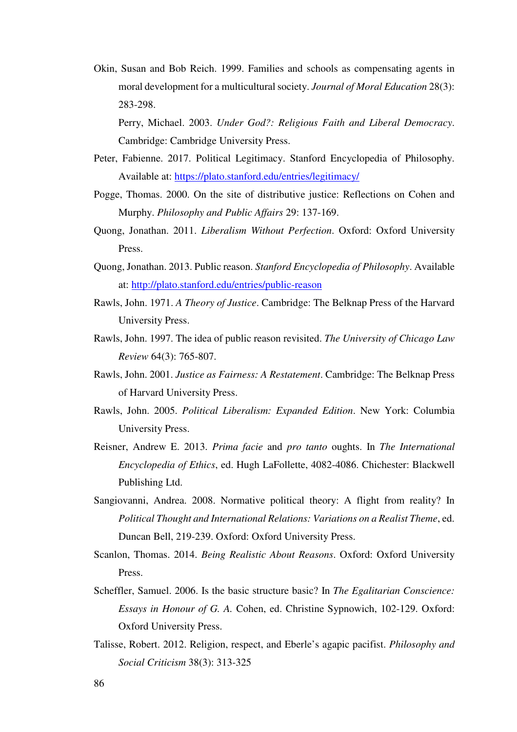Okin, Susan and Bob Reich. 1999. Families and schools as compensating agents in moral development for a multicultural society. *Journal of Moral Education* 28(3): 283-298.

Perry, Michael. 2003. *Under God?: Religious Faith and Liberal Democracy*. Cambridge: Cambridge University Press.

- Peter, Fabienne. 2017. Political Legitimacy. Stanford Encyclopedia of Philosophy. Available at: https://plato.stanford.edu/entries/legitimacy/
- Pogge, Thomas. 2000. On the site of distributive justice: Reflections on Cohen and Murphy. *Philosophy and Public Affairs* 29: 137-169.
- Quong, Jonathan. 2011. *Liberalism Without Perfection*. Oxford: Oxford University Press.
- Quong, Jonathan. 2013. Public reason. *Stanford Encyclopedia of Philosophy*. Available at: http://plato.stanford.edu/entries/public-reason
- Rawls, John. 1971. *A Theory of Justice*. Cambridge: The Belknap Press of the Harvard University Press.
- Rawls, John. 1997. The idea of public reason revisited. *The University of Chicago Law Review* 64(3): 765-807.
- Rawls, John. 2001. *Justice as Fairness: A Restatement*. Cambridge: The Belknap Press of Harvard University Press.
- Rawls, John. 2005. *Political Liberalism: Expanded Edition*. New York: Columbia University Press.
- Reisner, Andrew E. 2013. *Prima facie* and *pro tanto* oughts. In *The International Encyclopedia of Ethics*, ed. Hugh LaFollette, 4082-4086. Chichester: Blackwell Publishing Ltd.
- Sangiovanni, Andrea. 2008. Normative political theory: A flight from reality? In *Political Thought and International Relations: Variations on a Realist Theme*, ed. Duncan Bell, 219-239. Oxford: Oxford University Press.
- Scanlon, Thomas. 2014. *Being Realistic About Reasons*. Oxford: Oxford University Press.
- Scheffler, Samuel. 2006. Is the basic structure basic? In *The Egalitarian Conscience: Essays in Honour of G. A.* Cohen, ed. Christine Sypnowich, 102-129. Oxford: Oxford University Press.
- Talisse, Robert. 2012. Religion, respect, and Eberle's agapic pacifist. *Philosophy and Social Criticism* 38(3): 313-325